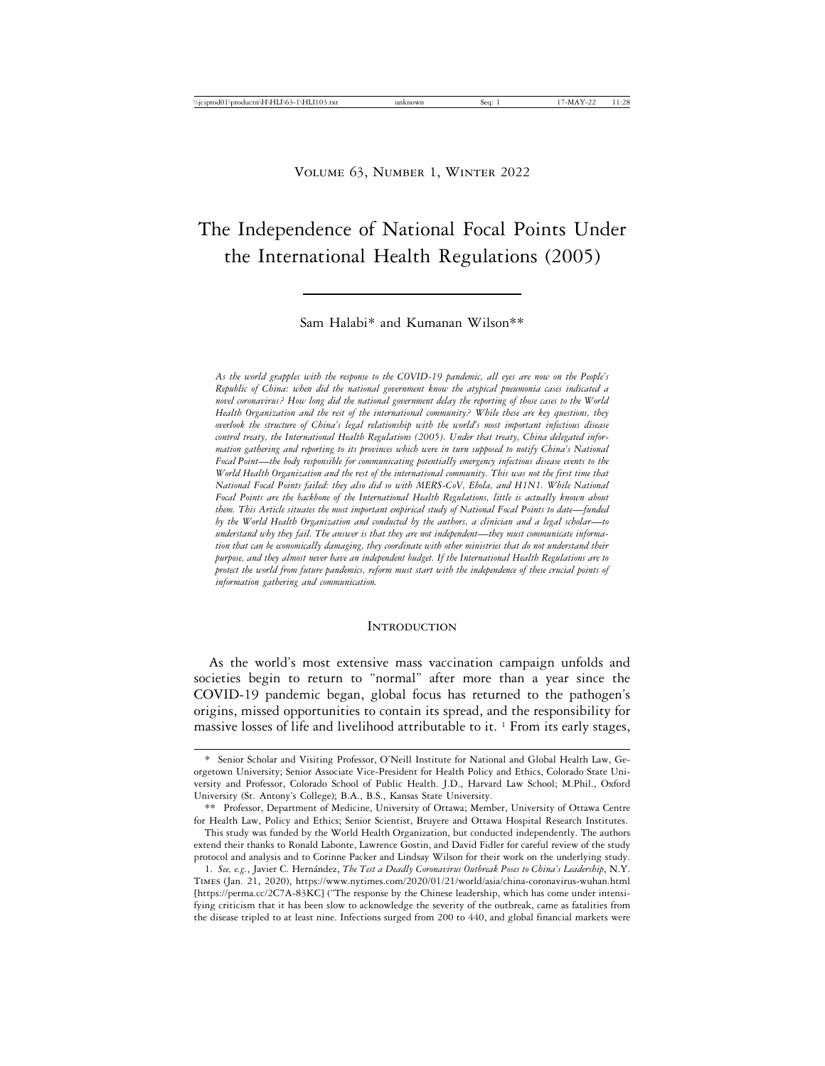# The Independence of National Focal Points Under the International Health Regulations (2005)

Sam Halabi\* and Kumanan Wilson\*\*

*As the world grapples with the response to the COVID-19 pandemic, all eyes are now on the People's Republic of China: when did the national government know the atypical pneumonia cases indicated a novel coronavirus? How long did the national government delay the reporting of those cases to the World Health Organization and the rest of the international community? While these are key questions, they overlook the structure of China's legal relationship with the world's most important infectious disease control treaty, the International Health Regulations (2005). Under that treaty, China delegated information gathering and reporting to its provinces which were in turn supposed to notify China's National Focal Point*—*the body responsible for communicating potentially emergency infectious disease events to the World Health Organization and the rest of the international community. This was not the first time that National Focal Points failed: they also did so with MERS-CoV, Ebola, and H1N1. While National Focal Points are the backbone of the International Health Regulations, little is actually known about them. This Article situates the most important empirical study of National Focal Points to date*—*funded by the World Health Organization and conducted by the authors, a clinician and a legal scholar*—*to understand why they fail. The answer is that they are not independent*—*they must communicate information that can be economically damaging, they coordinate with other ministries that do not understand their purpose, and they almost never have an independent budget. If the International Health Regulations are to protect the world from future pandemics, reform must start with the independence of these crucial points of information gathering and communication.*

#### **INTRODUCTION**

As the world's most extensive mass vaccination campaign unfolds and societies begin to return to "normal" after more than a year since the COVID-19 pandemic began, global focus has returned to the pathogen's origins, missed opportunities to contain its spread, and the responsibility for massive losses of life and livelihood attributable to it.  $\frac{1}{1}$  From its early stages,

<sup>\*</sup> Senior Scholar and Visiting Professor, O'Neill Institute for National and Global Health Law, Georgetown University; Senior Associate Vice-President for Health Policy and Ethics, Colorado State University and Professor, Colorado School of Public Health. J.D., Harvard Law School; M.Phil., Oxford University (St. Antony's College); B.A., B.S., Kansas State University.

<sup>\*\*</sup> Professor, Department of Medicine, University of Ottawa; Member, University of Ottawa Centre for Health Law, Policy and Ethics; Senior Scientist, Bruyere and Ottawa Hospital Research Institutes.

This study was funded by the World Health Organization, but conducted independently. The authors extend their thanks to Ronald Labonte, Lawrence Gostin, and David Fidler for careful review of the study protocol and analysis and to Corinne Packer and Lindsay Wilson for their work on the underlying study.

<sup>1.</sup> *See, e.g.*, Javier C. Hern´andez, *The Test a Deadly Coronavirus Outbreak Poses to China's Leadership*, N.Y. Times (Jan. 21, 2020), https://www.nytimes.com/2020/01/21/world/asia/china-coronavirus-wuhan.html [https://perma.cc/2C7A-83KC] ("The response by the Chinese leadership, which has come under intensifying criticism that it has been slow to acknowledge the severity of the outbreak, came as fatalities from the disease tripled to at least nine. Infections surged from 200 to 440, and global financial markets were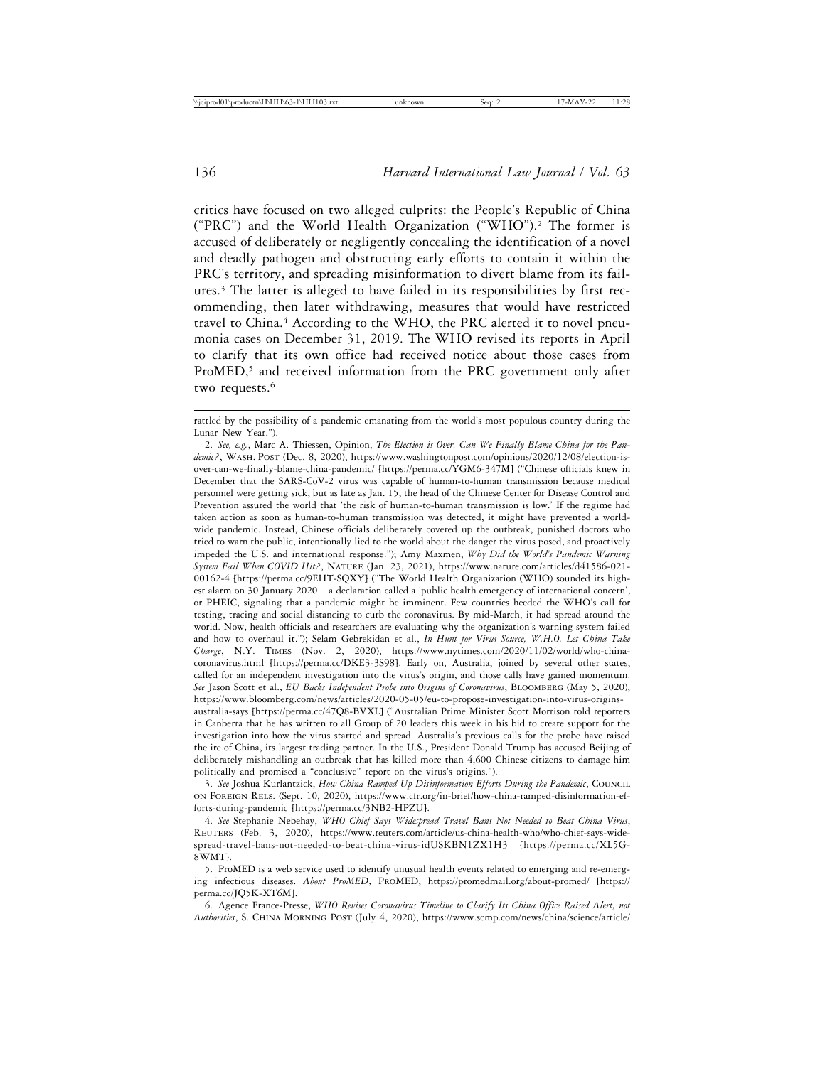critics have focused on two alleged culprits: the People's Republic of China ("PRC") and the World Health Organization ("WHO").2 The former is accused of deliberately or negligently concealing the identification of a novel and deadly pathogen and obstructing early efforts to contain it within the PRC's territory, and spreading misinformation to divert blame from its failures.3 The latter is alleged to have failed in its responsibilities by first recommending, then later withdrawing, measures that would have restricted travel to China.4 According to the WHO, the PRC alerted it to novel pneumonia cases on December 31, 2019. The WHO revised its reports in April to clarify that its own office had received notice about those cases from ProMED,<sup>5</sup> and received information from the PRC government only after two requests.<sup>6</sup>

3. *See* Joshua Kurlantzick, *How China Ramped Up Disinformation Efforts During the Pandemic*, Council on Foreign Rels. (Sept. 10, 2020), https://www.cfr.org/in-brief/how-china-ramped-disinformation-efforts-during-pandemic [https://perma.cc/3NB2-HPZU].

4. *See* Stephanie Nebehay, *WHO Chief Says Widespread Travel Bans Not Needed to Beat China Virus*, Reuters (Feb. 3, 2020), https://www.reuters.com/article/us-china-health-who/who-chief-says-widespread-travel-bans-not-needed-to-beat-china-virus-idUSKBN1ZX1H3 [https://perma.cc/XL5G-8WMT].

5. ProMED is a web service used to identify unusual health events related to emerging and re-emerging infectious diseases. *About ProMED*, ProMED, https://promedmail.org/about-promed/ [https:// perma.cc/JQ5K-XT6M].

6. Agence France-Presse, *WHO Revises Coronavirus Timeline to Clarify Its China Office Raised Alert, not Authorities*, S. China Morning Post (July 4, 2020), https://www.scmp.com/news/china/science/article/

rattled by the possibility of a pandemic emanating from the world's most populous country during the Lunar New Year.").

<sup>2.</sup> *See, e.g.*, Marc A. Thiessen, Opinion, *The Election is Over. Can We Finally Blame China for the Pan*demic?, WASH. POST (Dec. 8, 2020), https://www.washingtonpost.com/opinions/2020/12/08/election-isover-can-we-finally-blame-china-pandemic/ [https://perma.cc/YGM6-347M] ("Chinese officials knew in December that the SARS-CoV-2 virus was capable of human-to-human transmission because medical personnel were getting sick, but as late as Jan. 15, the head of the Chinese Center for Disease Control and Prevention assured the world that 'the risk of human-to-human transmission is low.' If the regime had taken action as soon as human-to-human transmission was detected, it might have prevented a worldwide pandemic. Instead, Chinese officials deliberately covered up the outbreak, punished doctors who tried to warn the public, intentionally lied to the world about the danger the virus posed, and proactively impeded the U.S. and international response."); Amy Maxmen, *Why Did the World's Pandemic Warning System Fail When COVID Hit?*, Nature (Jan. 23, 2021), https://www.nature.com/articles/d41586-021- 00162-4 [https://perma.cc/9EHT-SQXY] ("The World Health Organization (WHO) sounded its highest alarm on 30 January 2020 – a declaration called a 'public health emergency of international concern', or PHEIC, signaling that a pandemic might be imminent. Few countries heeded the WHO's call for testing, tracing and social distancing to curb the coronavirus. By mid-March, it had spread around the world. Now, health officials and researchers are evaluating why the organization's warning system failed and how to overhaul it."); Selam Gebrekidan et al., *In Hunt for Virus Source, W.H.O. Let China Take Charge*, N.Y. Times (Nov. 2, 2020), https://www.nytimes.com/2020/11/02/world/who-chinacoronavirus.html [https://perma.cc/DKE3-3S98]. Early on, Australia, joined by several other states, called for an independent investigation into the virus's origin, and those calls have gained momentum. *See* Jason Scott et al., *EU Backs Independent Probe into Origins of Coronavirus*, Bloomberg (May 5, 2020), https://www.bloomberg.com/news/articles/2020-05-05/eu-to-propose-investigation-into-virus-originsaustralia-says [https://perma.cc/47Q8-BVXL] ("Australian Prime Minister Scott Morrison told reporters in Canberra that he has written to all Group of 20 leaders this week in his bid to create support for the investigation into how the virus started and spread. Australia's previous calls for the probe have raised the ire of China, its largest trading partner. In the U.S., President Donald Trump has accused Beijing of deliberately mishandling an outbreak that has killed more than 4,600 Chinese citizens to damage him politically and promised a "conclusive" report on the virus's origins.").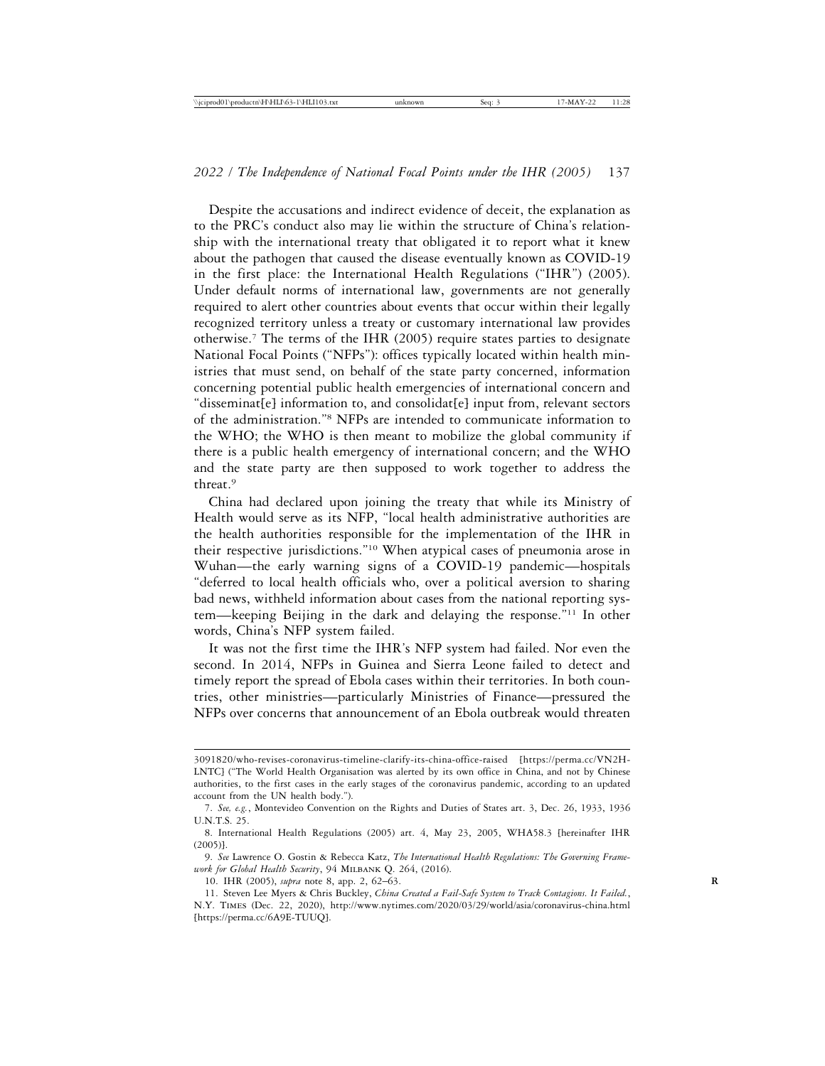Despite the accusations and indirect evidence of deceit, the explanation as to the PRC's conduct also may lie within the structure of China's relationship with the international treaty that obligated it to report what it knew about the pathogen that caused the disease eventually known as COVID-19 in the first place: the International Health Regulations ("IHR") (2005). Under default norms of international law, governments are not generally required to alert other countries about events that occur within their legally recognized territory unless a treaty or customary international law provides otherwise.7 The terms of the IHR (2005) require states parties to designate National Focal Points ("NFPs"): offices typically located within health ministries that must send, on behalf of the state party concerned, information concerning potential public health emergencies of international concern and "disseminat[e] information to, and consolidat[e] input from, relevant sectors of the administration."8 NFPs are intended to communicate information to the WHO; the WHO is then meant to mobilize the global community if there is a public health emergency of international concern; and the WHO and the state party are then supposed to work together to address the threat.9

China had declared upon joining the treaty that while its Ministry of Health would serve as its NFP, "local health administrative authorities are the health authorities responsible for the implementation of the IHR in their respective jurisdictions."10 When atypical cases of pneumonia arose in Wuhan—the early warning signs of a COVID-19 pandemic—hospitals "deferred to local health officials who, over a political aversion to sharing bad news, withheld information about cases from the national reporting system—keeping Beijing in the dark and delaying the response."11 In other words, China's NFP system failed.

It was not the first time the IHR's NFP system had failed. Nor even the second. In 2014, NFPs in Guinea and Sierra Leone failed to detect and timely report the spread of Ebola cases within their territories. In both countries, other ministries—particularly Ministries of Finance—pressured the NFPs over concerns that announcement of an Ebola outbreak would threaten

<sup>3091820/</sup>who-revises-coronavirus-timeline-clarify-its-china-office-raised [https://perma.cc/VN2H-LNTC] ("The World Health Organisation was alerted by its own office in China, and not by Chinese authorities, to the first cases in the early stages of the coronavirus pandemic, according to an updated account from the UN health body.").

<sup>7.</sup> *See, e.g.*, Montevideo Convention on the Rights and Duties of States art. 3, Dec. 26, 1933, 1936 U.N.T.S. 25.

<sup>8.</sup> International Health Regulations (2005) art. 4, May 23, 2005, WHA58.3 [hereinafter IHR (2005)].

<sup>9.</sup> *See* Lawrence O. Gostin & Rebecca Katz, *The International Health Regulations: The Governing Framework for Global Health Security*, 94 Milbank Q. 264, (2016).

<sup>10.</sup> IHR (2005), *supra* note 8, app. 2, 62–63. **R**

<sup>11.</sup> Steven Lee Myers & Chris Buckley, *China Created a Fail-Safe System to Track Contagions. It Failed.*, N.Y. Times (Dec. 22, 2020), http://www.nytimes.com/2020/03/29/world/asia/coronavirus-china.html [https://perma.cc/6A9E-TUUQ].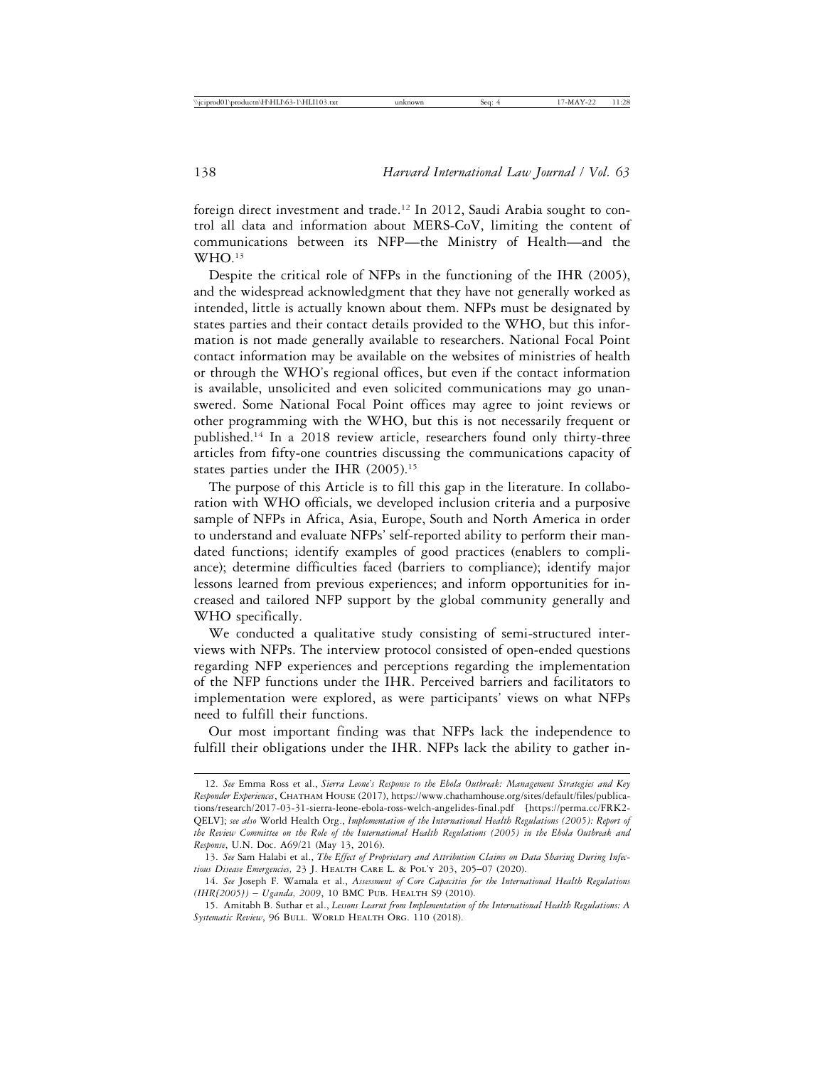foreign direct investment and trade.12 In 2012, Saudi Arabia sought to control all data and information about MERS-CoV, limiting the content of communications between its NFP—the Ministry of Health—and the WHO.13

Despite the critical role of NFPs in the functioning of the IHR (2005), and the widespread acknowledgment that they have not generally worked as intended, little is actually known about them. NFPs must be designated by states parties and their contact details provided to the WHO, but this information is not made generally available to researchers. National Focal Point contact information may be available on the websites of ministries of health or through the WHO's regional offices, but even if the contact information is available, unsolicited and even solicited communications may go unanswered. Some National Focal Point offices may agree to joint reviews or other programming with the WHO, but this is not necessarily frequent or published.14 In a 2018 review article, researchers found only thirty-three articles from fifty-one countries discussing the communications capacity of states parties under the IHR (2005).<sup>15</sup>

The purpose of this Article is to fill this gap in the literature. In collaboration with WHO officials, we developed inclusion criteria and a purposive sample of NFPs in Africa, Asia, Europe, South and North America in order to understand and evaluate NFPs' self-reported ability to perform their mandated functions; identify examples of good practices (enablers to compliance); determine difficulties faced (barriers to compliance); identify major lessons learned from previous experiences; and inform opportunities for increased and tailored NFP support by the global community generally and WHO specifically.

We conducted a qualitative study consisting of semi-structured interviews with NFPs. The interview protocol consisted of open-ended questions regarding NFP experiences and perceptions regarding the implementation of the NFP functions under the IHR. Perceived barriers and facilitators to implementation were explored, as were participants' views on what NFPs need to fulfill their functions.

Our most important finding was that NFPs lack the independence to fulfill their obligations under the IHR. NFPs lack the ability to gather in-

<sup>12.</sup> *See* Emma Ross et al., *Sierra Leone's Response to the Ebola Outbreak: Management Strategies and Key Responder Experiences*, Chatham House (2017), https://www.chathamhouse.org/sites/default/files/publications/research/2017-03-31-sierra-leone-ebola-ross-welch-angelides-final.pdf [https://perma.cc/FRK2- QELV]; *see also* World Health Org., *Implementation of the International Health Regulations (2005): Report of the Review Committee on the Role of the International Health Regulations (2005) in the Ebola Outbreak and Response*, U.N. Doc. A69/21 (May 13, 2016).

<sup>13.</sup> *See* Sam Halabi et al., *The Effect of Proprietary and Attribution Claims on Data Sharing During Infectious Disease Emergencies,* 23 J. Health Care L. & Pol'y 203, 205–07 (2020).

<sup>14.</sup> *See* Joseph F. Wamala et al., *Assessment of Core Capacities for the International Health Regulations (IHR[2005])* – *Uganda, 2009*, 10 BMC Pub. Health S9 (2010).

<sup>15.</sup> Amitabh B. Suthar et al., *Lessons Learnt from Implementation of the International Health Regulations: A* Systematic Review, 96 BULL. WORLD HEALTH ORG. 110 (2018).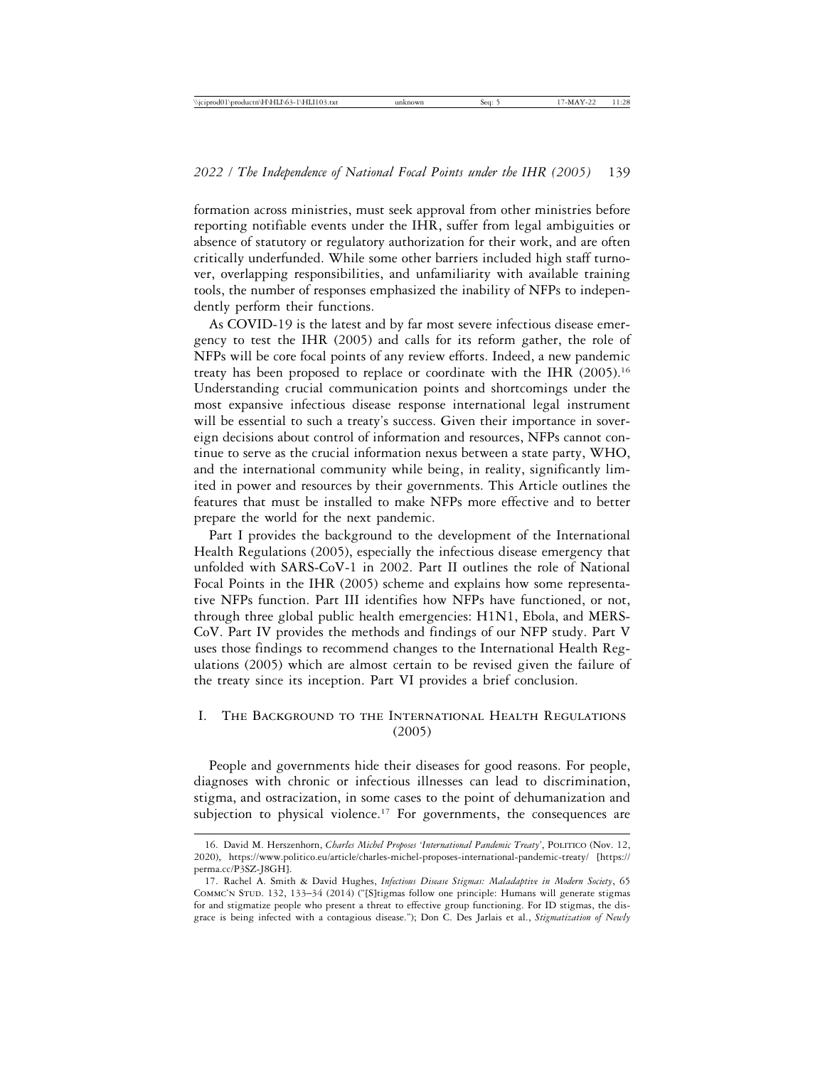formation across ministries, must seek approval from other ministries before reporting notifiable events under the IHR, suffer from legal ambiguities or absence of statutory or regulatory authorization for their work, and are often critically underfunded. While some other barriers included high staff turnover, overlapping responsibilities, and unfamiliarity with available training tools, the number of responses emphasized the inability of NFPs to independently perform their functions.

As COVID-19 is the latest and by far most severe infectious disease emergency to test the IHR (2005) and calls for its reform gather, the role of NFPs will be core focal points of any review efforts. Indeed, a new pandemic treaty has been proposed to replace or coordinate with the IHR (2005).16 Understanding crucial communication points and shortcomings under the most expansive infectious disease response international legal instrument will be essential to such a treaty's success. Given their importance in sovereign decisions about control of information and resources, NFPs cannot continue to serve as the crucial information nexus between a state party, WHO, and the international community while being, in reality, significantly limited in power and resources by their governments. This Article outlines the features that must be installed to make NFPs more effective and to better prepare the world for the next pandemic.

Part I provides the background to the development of the International Health Regulations (2005), especially the infectious disease emergency that unfolded with SARS-CoV-1 in 2002. Part II outlines the role of National Focal Points in the IHR (2005) scheme and explains how some representative NFPs function. Part III identifies how NFPs have functioned, or not, through three global public health emergencies: H1N1, Ebola, and MERS-CoV. Part IV provides the methods and findings of our NFP study. Part V uses those findings to recommend changes to the International Health Regulations (2005) which are almost certain to be revised given the failure of the treaty since its inception. Part VI provides a brief conclusion.

# I. The Background to the International Health Regulations (2005)

People and governments hide their diseases for good reasons. For people, diagnoses with chronic or infectious illnesses can lead to discrimination, stigma, and ostracization, in some cases to the point of dehumanization and subjection to physical violence.<sup>17</sup> For governments, the consequences are

<sup>16.</sup> David M. Herszenhorn, *Charles Michel Proposes 'International Pandemic Treaty'*, Politico (Nov. 12, 2020), https://www.politico.eu/article/charles-michel-proposes-international-pandemic-treaty/ [https:// perma.cc/P3SZ-J8GH].

<sup>17.</sup> Rachel A. Smith & David Hughes, *Infectious Disease Stigmas: Maladaptive in Modern Society*, 65 Commc'n Stud. 132, 133–34 (2014) ("[S]tigmas follow one principle: Humans will generate stigmas for and stigmatize people who present a threat to effective group functioning. For ID stigmas, the disgrace is being infected with a contagious disease."); Don C. Des Jarlais et al., *Stigmatization of Newly*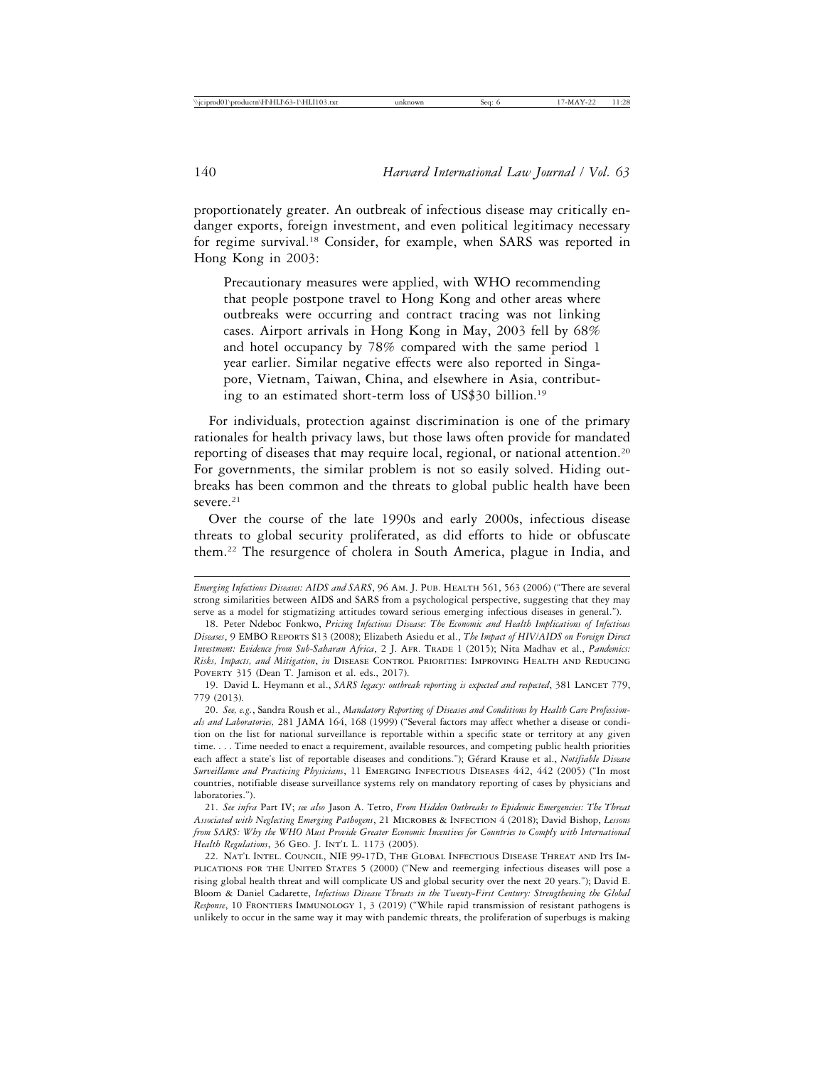proportionately greater. An outbreak of infectious disease may critically endanger exports, foreign investment, and even political legitimacy necessary for regime survival.18 Consider, for example, when SARS was reported in Hong Kong in 2003:

Precautionary measures were applied, with WHO recommending that people postpone travel to Hong Kong and other areas where outbreaks were occurring and contract tracing was not linking cases. Airport arrivals in Hong Kong in May, 2003 fell by 68% and hotel occupancy by 78% compared with the same period 1 year earlier. Similar negative effects were also reported in Singapore, Vietnam, Taiwan, China, and elsewhere in Asia, contributing to an estimated short-term loss of US\$30 billion.19

For individuals, protection against discrimination is one of the primary rationales for health privacy laws, but those laws often provide for mandated reporting of diseases that may require local, regional, or national attention.<sup>20</sup> For governments, the similar problem is not so easily solved. Hiding outbreaks has been common and the threats to global public health have been severe. $21$ 

Over the course of the late 1990s and early 2000s, infectious disease threats to global security proliferated, as did efforts to hide or obfuscate them.22 The resurgence of cholera in South America, plague in India, and

*Emerging Infectious Diseases: AIDS and SARS*, 96 Am. J. PUB. HEALTH 561, 563 (2006) ("There are several strong similarities between AIDS and SARS from a psychological perspective, suggesting that they may serve as a model for stigmatizing attitudes toward serious emerging infectious diseases in general.").

<sup>18.</sup> Peter Ndeboc Fonkwo, *Pricing Infectious Disease: The Economic and Health Implications of Infectious Diseases*, 9 EMBO Reports S13 (2008); Elizabeth Asiedu et al., *The Impact of HIV/AIDS on Foreign Direct Investment: Evidence from Sub-Saharan Africa*, 2 J. AFR. TRADE 1 (2015); Nita Madhav et al., *Pandemics: Risks, Impacts, and Mitigation*, *in* Disease Control Priorities: Improving Health and Reducing POVERTY 315 (Dean T. Jamison et al. eds., 2017).

<sup>19.</sup> David L. Heymann et al., *SARS legacy: outbreak reporting is expected and respected*, 381 LANCET 779, 779 (2013).

<sup>20.</sup> *See, e.g.*, Sandra Roush et al., *Mandatory Reporting of Diseases and Conditions by Health Care Professionals and Laboratories,* 281 JAMA 164, 168 (1999) ("Several factors may affect whether a disease or condition on the list for national surveillance is reportable within a specific state or territory at any given time. . . . Time needed to enact a requirement, available resources, and competing public health priorities each affect a state's list of reportable diseases and conditions."); Gérard Krause et al., *Notifiable Disease Surveillance and Practicing Physicians*, 11 Emerging Infectious Diseases 442, 442 (2005) ("In most countries, notifiable disease surveillance systems rely on mandatory reporting of cases by physicians and laboratories.").

<sup>21.</sup> *See infra* Part IV; *see also* Jason A. Tetro, *From Hidden Outbreaks to Epidemic Emergencies: The Threat Associated with Neglecting Emerging Pathogens*, 21 Microbes & Infection 4 (2018); David Bishop, *Lessons from SARS: Why the WHO Must Provide Greater Economic Incentives for Countries to Comply with International Health Regulations*, 36 GEO. J. INT'L L. 1173 (2005).

<sup>22.</sup> Nat'l Intel. Council, NIE 99-17D, The Global Infectious Disease Threat and Its Implications for the United States 5 (2000) ("New and reemerging infectious diseases will pose a rising global health threat and will complicate US and global security over the next 20 years."); David E. Bloom & Daniel Cadarette, *Infectious Disease Threats in the Twenty-First Century: Strengthening the Global Response*, 10 FRONTIERS IMMUNOLOGY 1, 3 (2019) ("While rapid transmission of resistant pathogens is unlikely to occur in the same way it may with pandemic threats, the proliferation of superbugs is making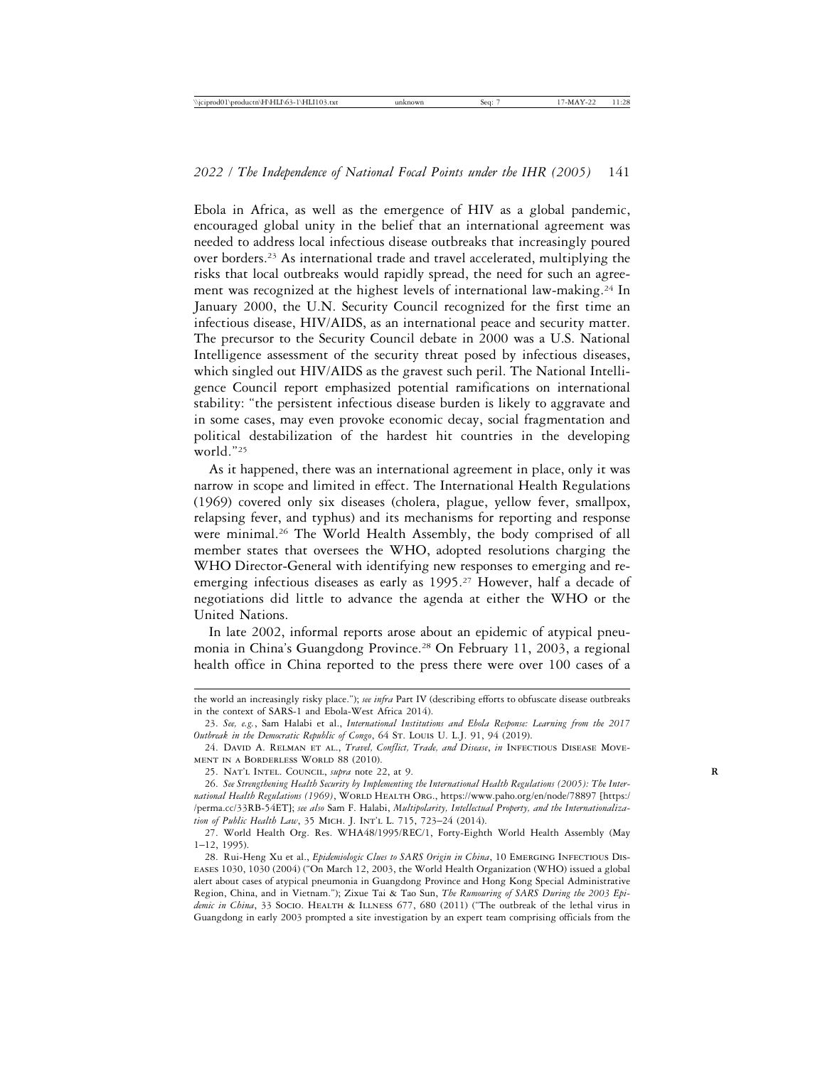Ebola in Africa, as well as the emergence of HIV as a global pandemic, encouraged global unity in the belief that an international agreement was needed to address local infectious disease outbreaks that increasingly poured over borders.23 As international trade and travel accelerated, multiplying the risks that local outbreaks would rapidly spread, the need for such an agreement was recognized at the highest levels of international law-making.24 In January 2000, the U.N. Security Council recognized for the first time an infectious disease, HIV/AIDS, as an international peace and security matter. The precursor to the Security Council debate in 2000 was a U.S. National Intelligence assessment of the security threat posed by infectious diseases, which singled out HIV/AIDS as the gravest such peril. The National Intelligence Council report emphasized potential ramifications on international stability: "the persistent infectious disease burden is likely to aggravate and in some cases, may even provoke economic decay, social fragmentation and political destabilization of the hardest hit countries in the developing world."25

As it happened, there was an international agreement in place, only it was narrow in scope and limited in effect. The International Health Regulations (1969) covered only six diseases (cholera, plague, yellow fever, smallpox, relapsing fever, and typhus) and its mechanisms for reporting and response were minimal.<sup>26</sup> The World Health Assembly, the body comprised of all member states that oversees the WHO, adopted resolutions charging the WHO Director-General with identifying new responses to emerging and reemerging infectious diseases as early as 1995.<sup>27</sup> However, half a decade of negotiations did little to advance the agenda at either the WHO or the United Nations.

In late 2002, informal reports arose about an epidemic of atypical pneumonia in China's Guangdong Province.<sup>28</sup> On February 11, 2003, a regional health office in China reported to the press there were over 100 cases of a

the world an increasingly risky place."); *see infra* Part IV (describing efforts to obfuscate disease outbreaks in the context of SARS-1 and Ebola-West Africa 2014).

<sup>23.</sup> *See, e.g.*, Sam Halabi et al., *International Institutions and Ebola Response: Learning from the 2017 Outbreak in the Democratic Republic of Congo*, 64 St. Louis U. L.J. 91, 94 (2019).

<sup>24.</sup> David A. Relman et al., *Travel, Conflict, Trade, and Disease*, *in* Infectious Disease Movement in a Borderless World 88 (2010).

<sup>25.</sup> NAT'L INTEL. COUNCIL, *supra* note 22, at 9.

<sup>26.</sup> *See Strengthening Health Security by Implementing the International Health Regulations (2005): The Inter*national Health Regulations (1969), WORLD HEALTH ORG., https://www.paho.org/en/node/78897 [https:/ /perma.cc/33RB-54ET]; *see also* Sam F. Halabi, *Multipolarity, Intellectual Property, and the Internationalization of Public Health Law*, 35 Mich. J. Int'l L. 715, 723–24 (2014).

<sup>27.</sup> World Health Org. Res. WHA48/1995/REC/1, Forty-Eighth World Health Assembly (May 1–12, 1995).

<sup>28.</sup> Rui-Heng Xu et al., *Epidemiologic Clues to SARS Origin in China*, 10 Emerging Infectious Diseases 1030, 1030 (2004) ("On March 12, 2003, the World Health Organization (WHO) issued a global alert about cases of atypical pneumonia in Guangdong Province and Hong Kong Special Administrative Region, China, and in Vietnam."); Zixue Tai & Tao Sun, *The Rumouring of SARS During the 2003 Epidemic in China*, 33 Socio. HEALTH & ILLNESS 677, 680 (2011) ("The outbreak of the lethal virus in Guangdong in early 2003 prompted a site investigation by an expert team comprising officials from the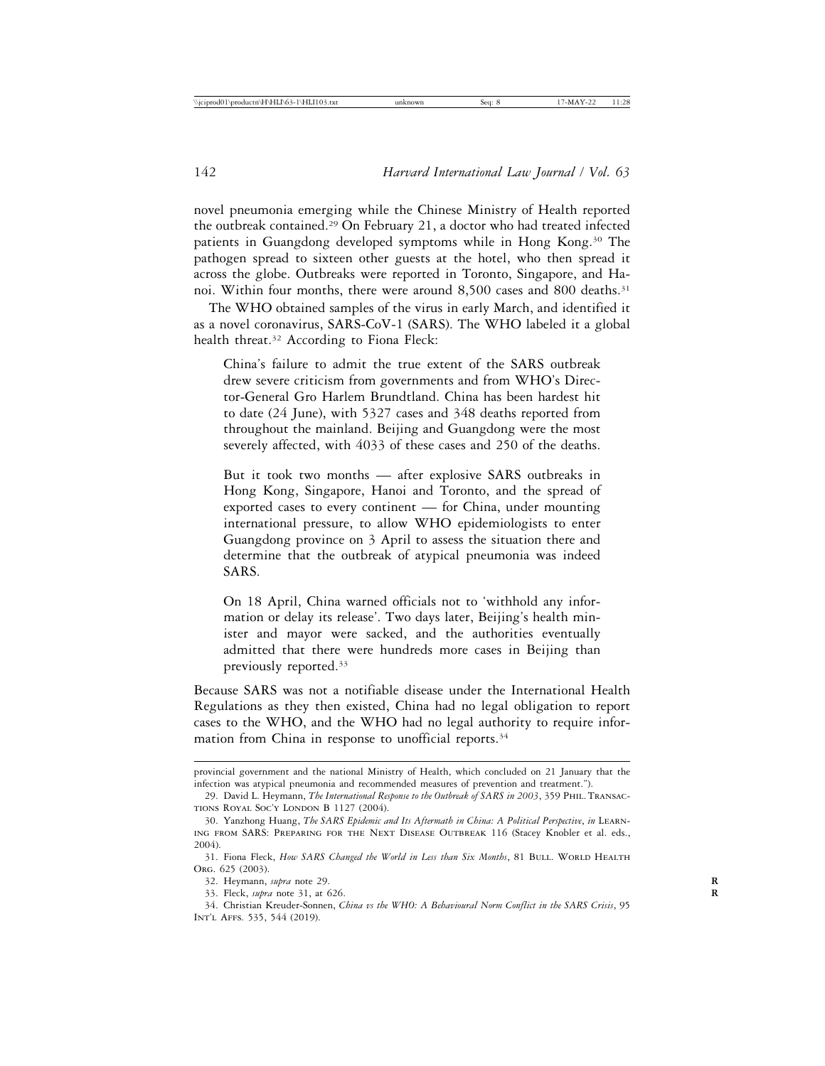novel pneumonia emerging while the Chinese Ministry of Health reported the outbreak contained.29 On February 21, a doctor who had treated infected patients in Guangdong developed symptoms while in Hong Kong.30 The pathogen spread to sixteen other guests at the hotel, who then spread it across the globe. Outbreaks were reported in Toronto, Singapore, and Hanoi. Within four months, there were around 8,500 cases and 800 deaths.<sup>31</sup>

The WHO obtained samples of the virus in early March, and identified it as a novel coronavirus, SARS-CoV-1 (SARS). The WHO labeled it a global health threat.<sup>32</sup> According to Fiona Fleck:

China's failure to admit the true extent of the SARS outbreak drew severe criticism from governments and from WHO's Director-General Gro Harlem Brundtland. China has been hardest hit to date (24 June), with 5327 cases and 348 deaths reported from throughout the mainland. Beijing and Guangdong were the most severely affected, with 4033 of these cases and 250 of the deaths.

But it took two months — after explosive SARS outbreaks in Hong Kong, Singapore, Hanoi and Toronto, and the spread of exported cases to every continent — for China, under mounting international pressure, to allow WHO epidemiologists to enter Guangdong province on 3 April to assess the situation there and determine that the outbreak of atypical pneumonia was indeed SARS.

On 18 April, China warned officials not to 'withhold any information or delay its release'. Two days later, Beijing's health minister and mayor were sacked, and the authorities eventually admitted that there were hundreds more cases in Beijing than previously reported.33

Because SARS was not a notifiable disease under the International Health Regulations as they then existed, China had no legal obligation to report cases to the WHO, and the WHO had no legal authority to require information from China in response to unofficial reports.<sup>34</sup>

provincial government and the national Ministry of Health, which concluded on 21 January that the infection was atypical pneumonia and recommended measures of prevention and treatment.").

<sup>29.</sup> David L. Heymann, *The International Response to the Outbreak of SARS in 2003*, 359 Phil. Transactions Royal Soc'y London B 1127 (2004).

<sup>30.</sup> Yanzhong Huang, *The SARS Epidemic and Its Aftermath in China: A Political Perspective*, *in* Learning from SARS: Preparing for the Next Disease Outbreak 116 (Stacey Knobler et al. eds., 2004).

<sup>31.</sup> Fiona Fleck, *How SARS Changed the World in Less than Six Months*, 81 BULL. WORLD HEALTH Org. 625 (2003).

<sup>32.</sup> Heymann, *supra* note 29. **R**

<sup>33.</sup> Fleck, *supra* note 31, at 626. **R**

<sup>34.</sup> Christian Kreuder-Sonnen, *China vs the WHO: A Behavioural Norm Conflict in the SARS Crisis*, 95 Int'l Affs. 535, 544 (2019).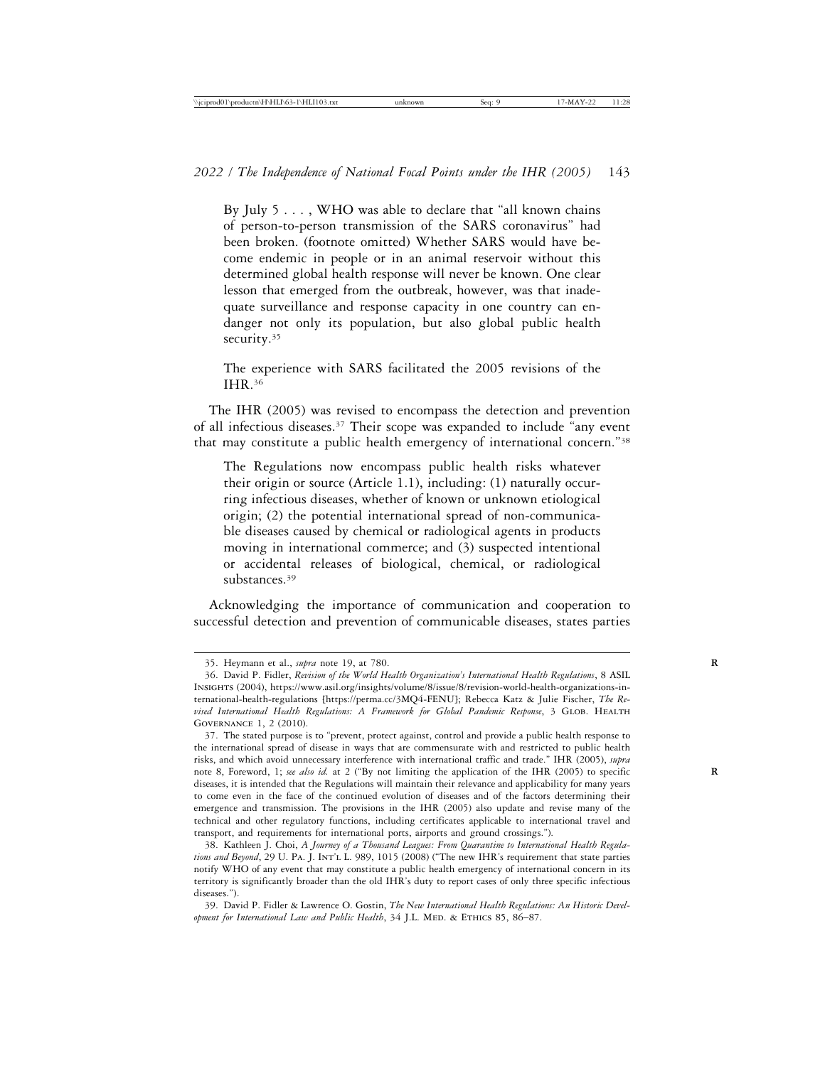By July 5 . . . , WHO was able to declare that "all known chains of person-to-person transmission of the SARS coronavirus" had been broken. (footnote omitted) Whether SARS would have become endemic in people or in an animal reservoir without this determined global health response will never be known. One clear lesson that emerged from the outbreak, however, was that inadequate surveillance and response capacity in one country can endanger not only its population, but also global public health security.<sup>35</sup>

The experience with SARS facilitated the 2005 revisions of the IHR.36

The IHR (2005) was revised to encompass the detection and prevention of all infectious diseases.37 Their scope was expanded to include "any event that may constitute a public health emergency of international concern."38

The Regulations now encompass public health risks whatever their origin or source (Article 1.1), including: (1) naturally occurring infectious diseases, whether of known or unknown etiological origin; (2) the potential international spread of non-communicable diseases caused by chemical or radiological agents in products moving in international commerce; and (3) suspected intentional or accidental releases of biological, chemical, or radiological substances.<sup>39</sup>

Acknowledging the importance of communication and cooperation to successful detection and prevention of communicable diseases, states parties

<sup>35.</sup> Heymann et al., *supra* note 19, at 780. **R**

<sup>36.</sup> David P. Fidler, *Revision of the World Health Organization's International Health Regulations*, 8 ASIL Insights (2004), https://www.asil.org/insights/volume/8/issue/8/revision-world-health-organizations-international-health-regulations [https://perma.cc/3MQ4-FENU]; Rebecca Katz & Julie Fischer, *The Re*vised International Health Regulations: A Framework for Global Pandemic Response, 3 GLOB. HEALTH Governance 1, 2 (2010).

<sup>37.</sup> The stated purpose is to "prevent, protect against, control and provide a public health response to the international spread of disease in ways that are commensurate with and restricted to public health risks, and which avoid unnecessary interference with international traffic and trade." IHR (2005), *supra* note 8, Foreword, 1; *see also id.* at 2 ("By not limiting the application of the IHR (2005) to specific **R** diseases, it is intended that the Regulations will maintain their relevance and applicability for many years to come even in the face of the continued evolution of diseases and of the factors determining their emergence and transmission. The provisions in the IHR (2005) also update and revise many of the technical and other regulatory functions, including certificates applicable to international travel and transport, and requirements for international ports, airports and ground crossings.").

<sup>38.</sup> Kathleen J. Choi, *A Journey of a Thousand Leagues: From Quarantine to International Health Regula*tions and Beyond, 29 U. PA. J. INT'L L. 989, 1015 (2008) ("The new IHR's requirement that state parties notify WHO of any event that may constitute a public health emergency of international concern in its territory is significantly broader than the old IHR's duty to report cases of only three specific infectious diseases.").

<sup>39.</sup> David P. Fidler & Lawrence O. Gostin, *The New International Health Regulations: An Historic Devel*opment for International Law and Public Health, 34 J.L. MED. & ETHICS 85, 86-87.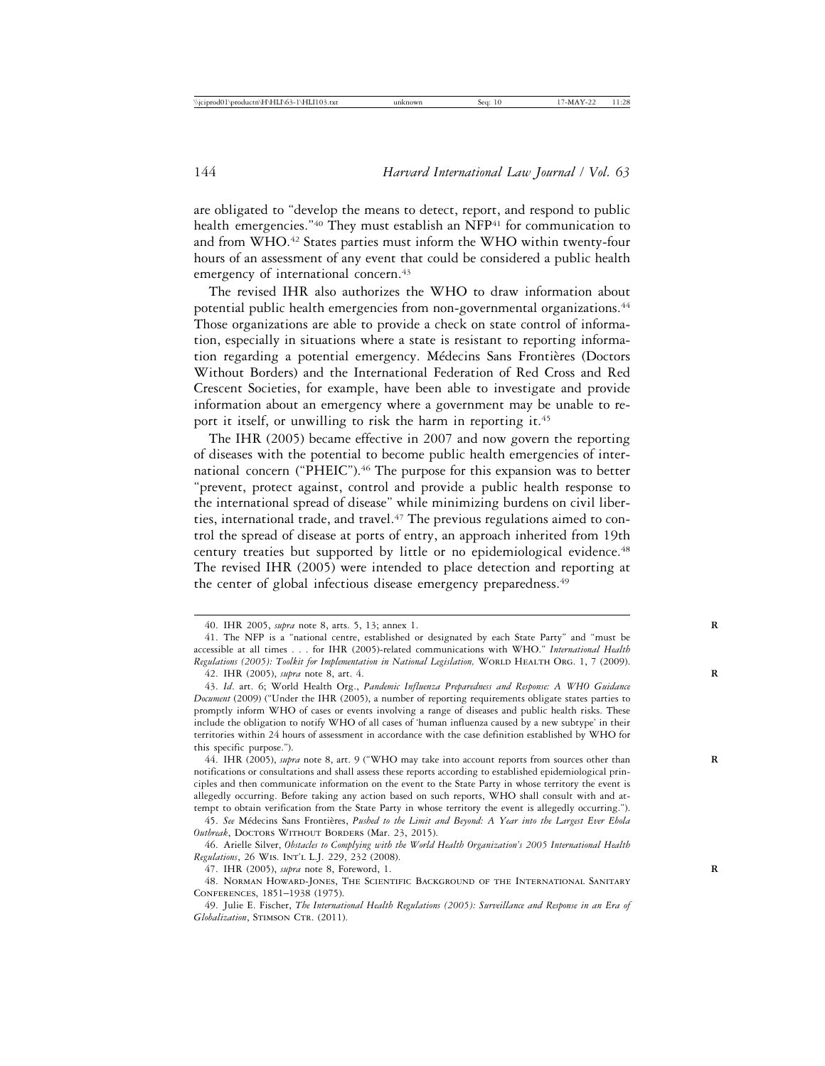are obligated to "develop the means to detect, report, and respond to public health emergencies."<sup>40</sup> They must establish an NFP<sup>41</sup> for communication to and from WHO.42 States parties must inform the WHO within twenty-four hours of an assessment of any event that could be considered a public health emergency of international concern.<sup>43</sup>

The revised IHR also authorizes the WHO to draw information about potential public health emergencies from non-governmental organizations.<sup>44</sup> Those organizations are able to provide a check on state control of information, especially in situations where a state is resistant to reporting information regarding a potential emergency. Médecins Sans Frontières (Doctors Without Borders) and the International Federation of Red Cross and Red Crescent Societies, for example, have been able to investigate and provide information about an emergency where a government may be unable to report it itself, or unwilling to risk the harm in reporting it.<sup>45</sup>

The IHR (2005) became effective in 2007 and now govern the reporting of diseases with the potential to become public health emergencies of international concern ("PHEIC").<sup>46</sup> The purpose for this expansion was to better "prevent, protect against, control and provide a public health response to the international spread of disease" while minimizing burdens on civil liberties, international trade, and travel.<sup>47</sup> The previous regulations aimed to control the spread of disease at ports of entry, an approach inherited from 19th century treaties but supported by little or no epidemiological evidence.48 The revised IHR (2005) were intended to place detection and reporting at the center of global infectious disease emergency preparedness.<sup>49</sup>

<sup>40.</sup> IHR 2005, *supra* note 8, arts. 5, 13; annex 1. **R**

<sup>41.</sup> The NFP is a "national centre, established or designated by each State Party" and "must be accessible at all times . . . for IHR (2005)-related communications with WHO." *International Health Regulations (2005): Toolkit for Implementation in National Legislation,* WORLD HEALTH ORG. 1, 7 (2009).

<sup>42.</sup> IHR (2005), *supra* note 8, art. 4. **R**

<sup>43.</sup> *Id*. art. 6; World Health Org., *Pandemic Influenza Preparedness and Response: A WHO Guidance Document* (2009) ("Under the IHR (2005), a number of reporting requirements obligate states parties to promptly inform WHO of cases or events involving a range of diseases and public health risks. These include the obligation to notify WHO of all cases of 'human influenza caused by a new subtype' in their territories within 24 hours of assessment in accordance with the case definition established by WHO for this specific purpose.").

<sup>44.</sup> IHR (2005), *supra* note 8, art. 9 ("WHO may take into account reports from sources other than **R** notifications or consultations and shall assess these reports according to established epidemiological principles and then communicate information on the event to the State Party in whose territory the event is allegedly occurring. Before taking any action based on such reports, WHO shall consult with and attempt to obtain verification from the State Party in whose territory the event is allegedly occurring.").

<sup>45.</sup> See Médecins Sans Frontières, Pushed to the Limit and Beyond: A Year into the Largest Ever Ebola Outbreak, DOCTORS WITHOUT BORDERS (Mar. 23, 2015).

<sup>46.</sup> Arielle Silver, *Obstacles to Complying with the World Health Organization's 2005 International Health Regulations*, 26 Wis. Int'l L.J. 229, 232 (2008).

<sup>47.</sup> IHR (2005), *supra* note 8, Foreword, 1. **R**

<sup>48.</sup> Norman Howard-Jones, The Scientific Background of the International Sanitary Conferences, 1851–1938 (1975).

<sup>49.</sup> Julie E. Fischer, *The International Health Regulations (2005): Surveillance and Response in an Era of*  $Globalization$ , STIMSON CTR. (2011).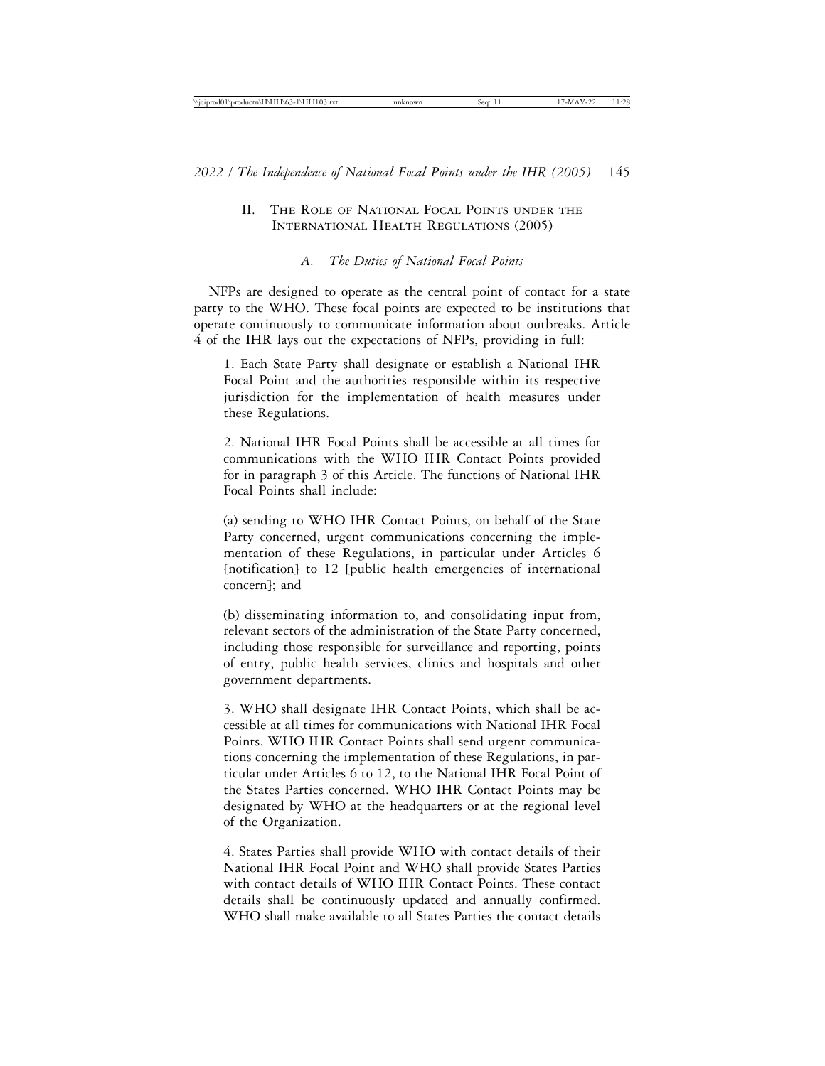# II. The Role of National Focal Points under the International Health Regulations (2005)

# *A. The Duties of National Focal Points*

NFPs are designed to operate as the central point of contact for a state party to the WHO. These focal points are expected to be institutions that operate continuously to communicate information about outbreaks. Article 4 of the IHR lays out the expectations of NFPs, providing in full:

1. Each State Party shall designate or establish a National IHR Focal Point and the authorities responsible within its respective jurisdiction for the implementation of health measures under these Regulations.

2. National IHR Focal Points shall be accessible at all times for communications with the WHO IHR Contact Points provided for in paragraph 3 of this Article. The functions of National IHR Focal Points shall include:

(a) sending to WHO IHR Contact Points, on behalf of the State Party concerned, urgent communications concerning the implementation of these Regulations, in particular under Articles 6 [notification] to 12 [public health emergencies of international concern]; and

(b) disseminating information to, and consolidating input from, relevant sectors of the administration of the State Party concerned, including those responsible for surveillance and reporting, points of entry, public health services, clinics and hospitals and other government departments.

3. WHO shall designate IHR Contact Points, which shall be accessible at all times for communications with National IHR Focal Points. WHO IHR Contact Points shall send urgent communications concerning the implementation of these Regulations, in particular under Articles 6 to 12, to the National IHR Focal Point of the States Parties concerned. WHO IHR Contact Points may be designated by WHO at the headquarters or at the regional level of the Organization.

4. States Parties shall provide WHO with contact details of their National IHR Focal Point and WHO shall provide States Parties with contact details of WHO IHR Contact Points. These contact details shall be continuously updated and annually confirmed. WHO shall make available to all States Parties the contact details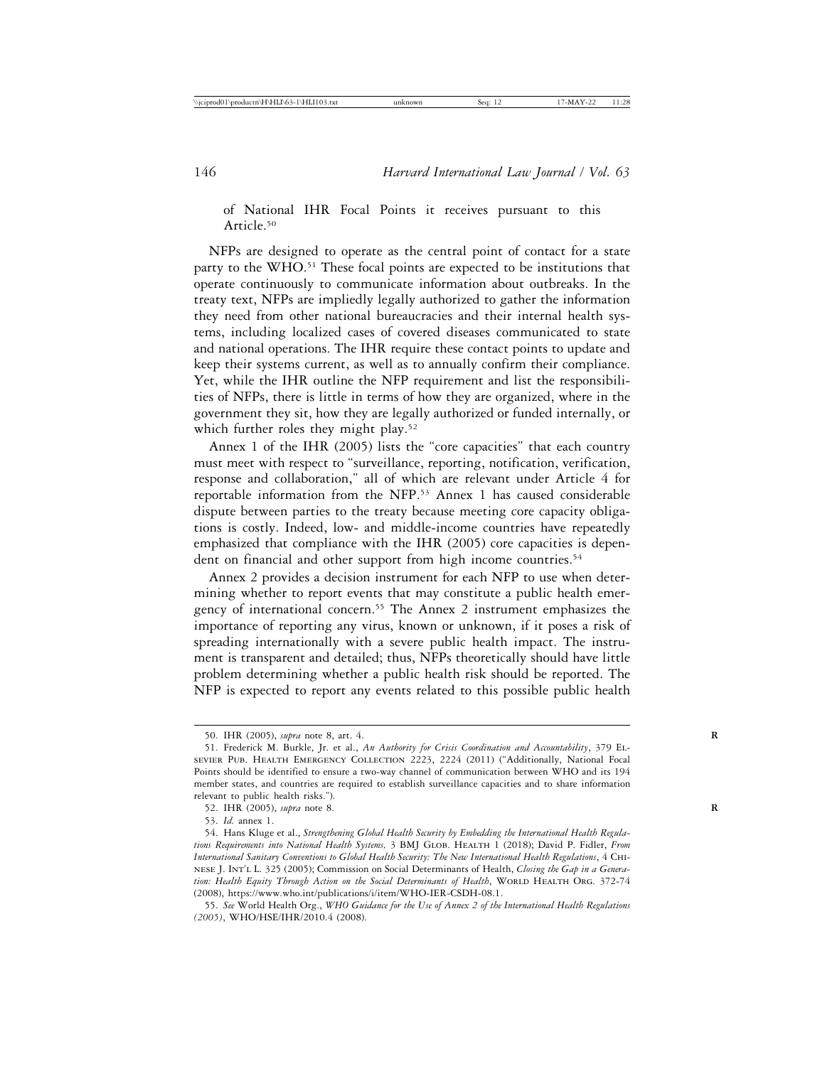of National IHR Focal Points it receives pursuant to this Article.50

NFPs are designed to operate as the central point of contact for a state party to the WHO.<sup>51</sup> These focal points are expected to be institutions that operate continuously to communicate information about outbreaks. In the treaty text, NFPs are impliedly legally authorized to gather the information they need from other national bureaucracies and their internal health systems, including localized cases of covered diseases communicated to state and national operations. The IHR require these contact points to update and keep their systems current, as well as to annually confirm their compliance. Yet, while the IHR outline the NFP requirement and list the responsibilities of NFPs, there is little in terms of how they are organized, where in the government they sit, how they are legally authorized or funded internally, or which further roles they might play.<sup>52</sup>

Annex 1 of the IHR (2005) lists the "core capacities" that each country must meet with respect to "surveillance, reporting, notification, verification, response and collaboration," all of which are relevant under Article 4 for reportable information from the NFP.53 Annex 1 has caused considerable dispute between parties to the treaty because meeting core capacity obligations is costly. Indeed, low- and middle-income countries have repeatedly emphasized that compliance with the IHR (2005) core capacities is dependent on financial and other support from high income countries.<sup>54</sup>

Annex 2 provides a decision instrument for each NFP to use when determining whether to report events that may constitute a public health emergency of international concern.55 The Annex 2 instrument emphasizes the importance of reporting any virus, known or unknown, if it poses a risk of spreading internationally with a severe public health impact. The instrument is transparent and detailed; thus, NFPs theoretically should have little problem determining whether a public health risk should be reported. The NFP is expected to report any events related to this possible public health

<sup>50.</sup> IHR (2005), *supra* note 8, art. 4. **R**

<sup>51.</sup> Frederick M. Burkle, Jr. et al., *An Authority for Crisis Coordination and Accountability*, 379 Elsevier Pub. Health Emergency Collection 2223, 2224 (2011) ("Additionally, National Focal Points should be identified to ensure a two-way channel of communication between WHO and its 194 member states, and countries are required to establish surveillance capacities and to share information relevant to public health risks.").

<sup>52.</sup> IHR (2005), *supra* note 8. **R**

<sup>53.</sup> *Id.* annex 1.

<sup>54.</sup> Hans Kluge et al., *Strengthening Global Health Security by Embedding the International Health Regulations Requirements into National Health Systems,* 3 BMJ Glob. Health 1 (2018); David P. Fidler, *From International Sanitary Conventions to Global Health Security: The New International Health Regulations*, 4 Chinese J. Int'l L. 325 (2005); Commission on Social Determinants of Health, *Closing the Gap in a Genera*tion: Health Equity Through Action on the Social Determinants of Health, WORLD HEALTH ORG. 372-74 (2008), https://www.who.int/publications/i/item/WHO-IER-CSDH-08.1.

<sup>55.</sup> *See* World Health Org., *WHO Guidance for the Use of Annex 2 of the International Health Regulations (2005)*, WHO/HSE/IHR/2010.4 (2008).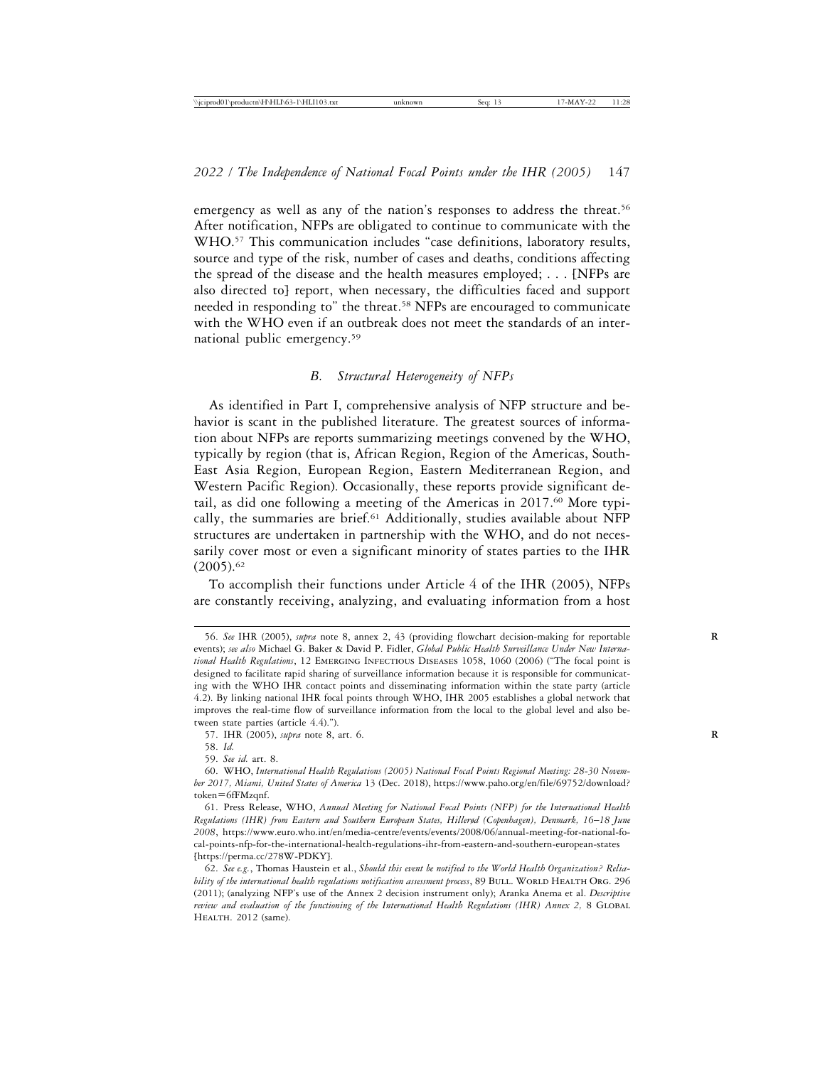emergency as well as any of the nation's responses to address the threat.<sup>56</sup> After notification, NFPs are obligated to continue to communicate with the WHO.57 This communication includes "case definitions, laboratory results, source and type of the risk, number of cases and deaths, conditions affecting the spread of the disease and the health measures employed; . . . [NFPs are also directed to] report, when necessary, the difficulties faced and support needed in responding to" the threat.58 NFPs are encouraged to communicate with the WHO even if an outbreak does not meet the standards of an international public emergency.59

# *B. Structural Heterogeneity of NFPs*

As identified in Part I, comprehensive analysis of NFP structure and behavior is scant in the published literature. The greatest sources of information about NFPs are reports summarizing meetings convened by the WHO, typically by region (that is, African Region, Region of the Americas, South-East Asia Region, European Region, Eastern Mediterranean Region, and Western Pacific Region). Occasionally, these reports provide significant detail, as did one following a meeting of the Americas in 2017.<sup>60</sup> More typically, the summaries are brief.<sup>61</sup> Additionally, studies available about NFP structures are undertaken in partnership with the WHO, and do not necessarily cover most or even a significant minority of states parties to the IHR  $(2005).$ <sup>62</sup>

To accomplish their functions under Article 4 of the IHR (2005), NFPs are constantly receiving, analyzing, and evaluating information from a host

<sup>56.</sup> *See* IHR (2005), *supra* note 8, annex 2, 43 (providing flowchart decision-making for reportable **R** events); *see also* Michael G. Baker & David P. Fidler, *Global Public Health Surveillance Under New International Health Regulations*, 12 Emerging Infectious Diseases 1058, 1060 (2006) ("The focal point is designed to facilitate rapid sharing of surveillance information because it is responsible for communicating with the WHO IHR contact points and disseminating information within the state party (article 4.2). By linking national IHR focal points through WHO, IHR 2005 establishes a global network that improves the real-time flow of surveillance information from the local to the global level and also between state parties (article 4.4).").

<sup>57.</sup> IHR (2005), *supra* note 8, art. 6. **R**

<sup>58.</sup> *Id.*

<sup>59.</sup> *See id.* art. 8.

<sup>60.</sup> WHO, *International Health Regulations (2005) National Focal Points Regional Meeting: 28-30 November 2017, Miami, United States of America* 13 (Dec. 2018), https://www.paho.org/en/file/69752/download? token=6fFMzqnf.

<sup>61.</sup> Press Release, WHO, *Annual Meeting for National Focal Points (NFP) for the International Health Regulations (IHR) from Eastern and Southern European States, Hillerød (Copenhagen), Denmark, 16*–*18 June 2008*, https://www.euro.who.int/en/media-centre/events/events/2008/06/annual-meeting-for-national-focal-points-nfp-for-the-international-health-regulations-ihr-from-eastern-and-southern-european-states [https://perma.cc/278W-PDKY].

<sup>62.</sup> *See e.g.*, Thomas Haustein et al., *Should this event be notified to the World Health Organization? Relia*bility of the international health regulations notification assessment process, 89 BULL. WORLD HEALTH ORG. 296 (2011); (analyzing NFP's use of the Annex 2 decision instrument only); Aranka Anema et al. *Descriptive review and evaluation of the functioning of the International Health Regulations (IHR) Annex 2,* 8 Global HEALTH. 2012 (same).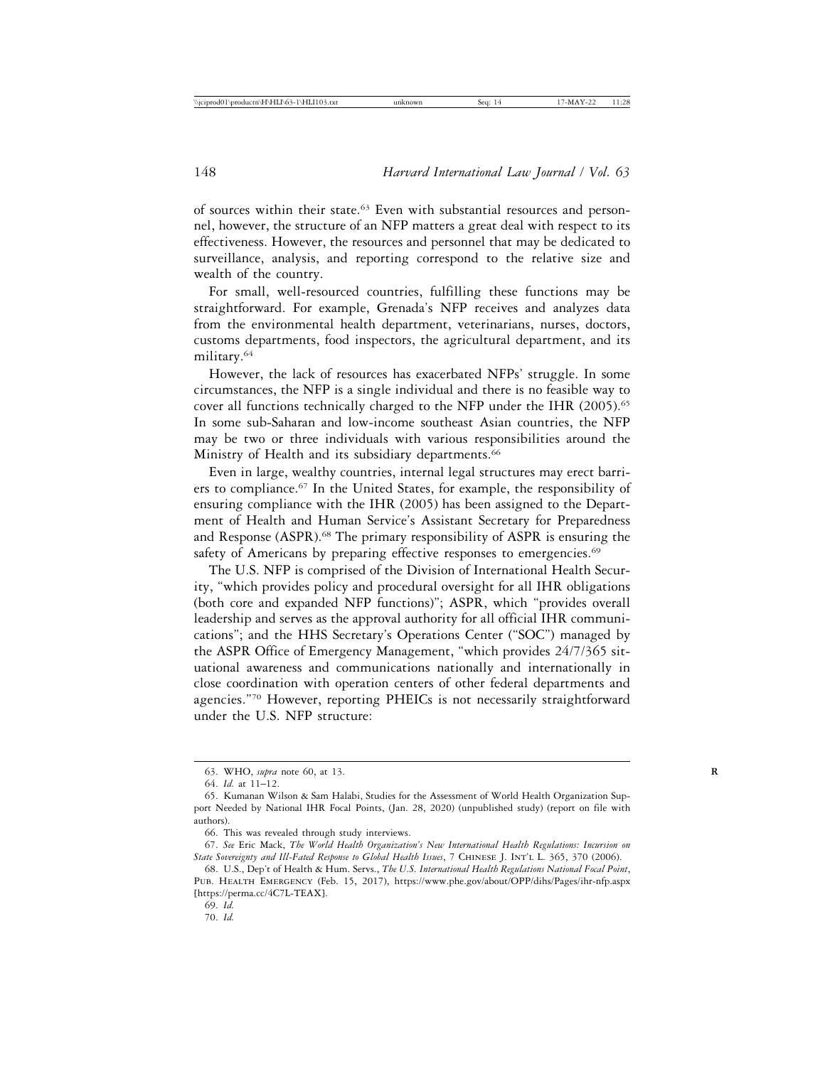of sources within their state.63 Even with substantial resources and personnel, however, the structure of an NFP matters a great deal with respect to its effectiveness. However, the resources and personnel that may be dedicated to surveillance, analysis, and reporting correspond to the relative size and wealth of the country.

For small, well-resourced countries, fulfilling these functions may be straightforward. For example, Grenada's NFP receives and analyzes data from the environmental health department, veterinarians, nurses, doctors, customs departments, food inspectors, the agricultural department, and its military.64

However, the lack of resources has exacerbated NFPs' struggle. In some circumstances, the NFP is a single individual and there is no feasible way to cover all functions technically charged to the NFP under the IHR (2005).<sup>65</sup> In some sub-Saharan and low-income southeast Asian countries, the NFP may be two or three individuals with various responsibilities around the Ministry of Health and its subsidiary departments.<sup>66</sup>

Even in large, wealthy countries, internal legal structures may erect barriers to compliance.67 In the United States, for example, the responsibility of ensuring compliance with the IHR (2005) has been assigned to the Department of Health and Human Service's Assistant Secretary for Preparedness and Response (ASPR).68 The primary responsibility of ASPR is ensuring the safety of Americans by preparing effective responses to emergencies.<sup>69</sup>

The U.S. NFP is comprised of the Division of International Health Security, "which provides policy and procedural oversight for all IHR obligations (both core and expanded NFP functions)"; ASPR, which "provides overall leadership and serves as the approval authority for all official IHR communications"; and the HHS Secretary's Operations Center ("SOC") managed by the ASPR Office of Emergency Management, "which provides 24/7/365 situational awareness and communications nationally and internationally in close coordination with operation centers of other federal departments and agencies."70 However, reporting PHEICs is not necessarily straightforward under the U.S. NFP structure:

<sup>63.</sup> WHO, *supra* note 60, at 13. **R**

<sup>64.</sup> *Id.* at 11–12.

<sup>65.</sup> Kumanan Wilson & Sam Halabi, Studies for the Assessment of World Health Organization Support Needed by National IHR Focal Points, (Jan. 28, 2020) (unpublished study) (report on file with authors).

<sup>66.</sup> This was revealed through study interviews.

<sup>67.</sup> *See* Eric Mack, *The World Health Organization's New International Health Regulations: Incursion on* State Sovereignty and Ill-Fated Response to Global Health Issues, 7 CHINESE J. INT'L L. 365, 370 (2006).

<sup>68.</sup> U.S., Dep't of Health & Hum. Servs., *The U.S. International Health Regulations National Focal Point*, Pub. Health Emergency (Feb. 15, 2017), https://www.phe.gov/about/OPP/dihs/Pages/ihr-nfp.aspx [https://perma.cc/4C7L-TEAX].

<sup>69.</sup> *Id.*

<sup>70.</sup> *Id.*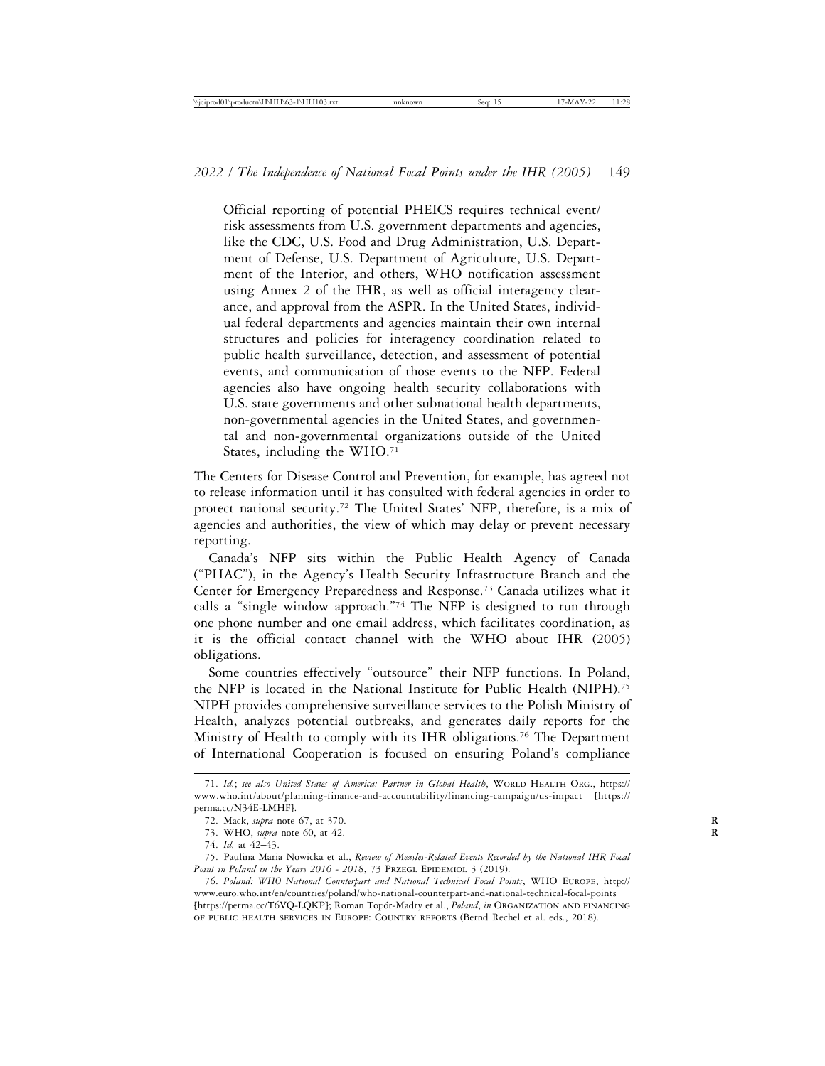Official reporting of potential PHEICS requires technical event/ risk assessments from U.S. government departments and agencies, like the CDC, U.S. Food and Drug Administration, U.S. Department of Defense, U.S. Department of Agriculture, U.S. Department of the Interior, and others, WHO notification assessment using Annex 2 of the IHR, as well as official interagency clearance, and approval from the ASPR. In the United States, individual federal departments and agencies maintain their own internal structures and policies for interagency coordination related to public health surveillance, detection, and assessment of potential events, and communication of those events to the NFP. Federal agencies also have ongoing health security collaborations with U.S. state governments and other subnational health departments, non-governmental agencies in the United States, and governmental and non-governmental organizations outside of the United States, including the WHO.<sup>71</sup>

The Centers for Disease Control and Prevention, for example, has agreed not to release information until it has consulted with federal agencies in order to protect national security.72 The United States' NFP, therefore, is a mix of agencies and authorities, the view of which may delay or prevent necessary reporting.

Canada's NFP sits within the Public Health Agency of Canada ("PHAC"), in the Agency's Health Security Infrastructure Branch and the Center for Emergency Preparedness and Response.73 Canada utilizes what it calls a "single window approach."74 The NFP is designed to run through one phone number and one email address, which facilitates coordination, as it is the official contact channel with the WHO about IHR (2005) obligations.

Some countries effectively "outsource" their NFP functions. In Poland, the NFP is located in the National Institute for Public Health (NIPH).75 NIPH provides comprehensive surveillance services to the Polish Ministry of Health, analyzes potential outbreaks, and generates daily reports for the Ministry of Health to comply with its IHR obligations.<sup>76</sup> The Department of International Cooperation is focused on ensuring Poland's compliance

<sup>71.</sup> *Id.*; see also United States of America: Partner in Global Health, WORLD HEALTH ORG., https:// www.who.int/about/planning-finance-and-accountability/financing-campaign/us-impact [https:// perma.cc/N34E-LMHF].

<sup>72.</sup> Mack, *supra* note 67, at 370. **R**

<sup>73.</sup> WHO, *supra* note 60, at 42. **R**

<sup>74.</sup> *Id.* at 42–43.

<sup>75.</sup> Paulina Maria Nowicka et al., *Review of Measles-Related Events Recorded by the National IHR Focal* Point in Poland in the Years 2016 - 2018, 73 PRZEGL EPIDEMIOL 3 (2019).

<sup>76.</sup> *Poland: WHO National Counterpart and National Technical Focal Points*, WHO Europe, http:// www.euro.who.int/en/countries/poland/who-national-counterpart-and-national-technical-focal-points [https://perma.cc/T6VQ-LQKP]; Roman Top´or-Madry et al., *Poland*, *in* Organization and financing of public health services in Europe: Country reports (Bernd Rechel et al. eds., 2018).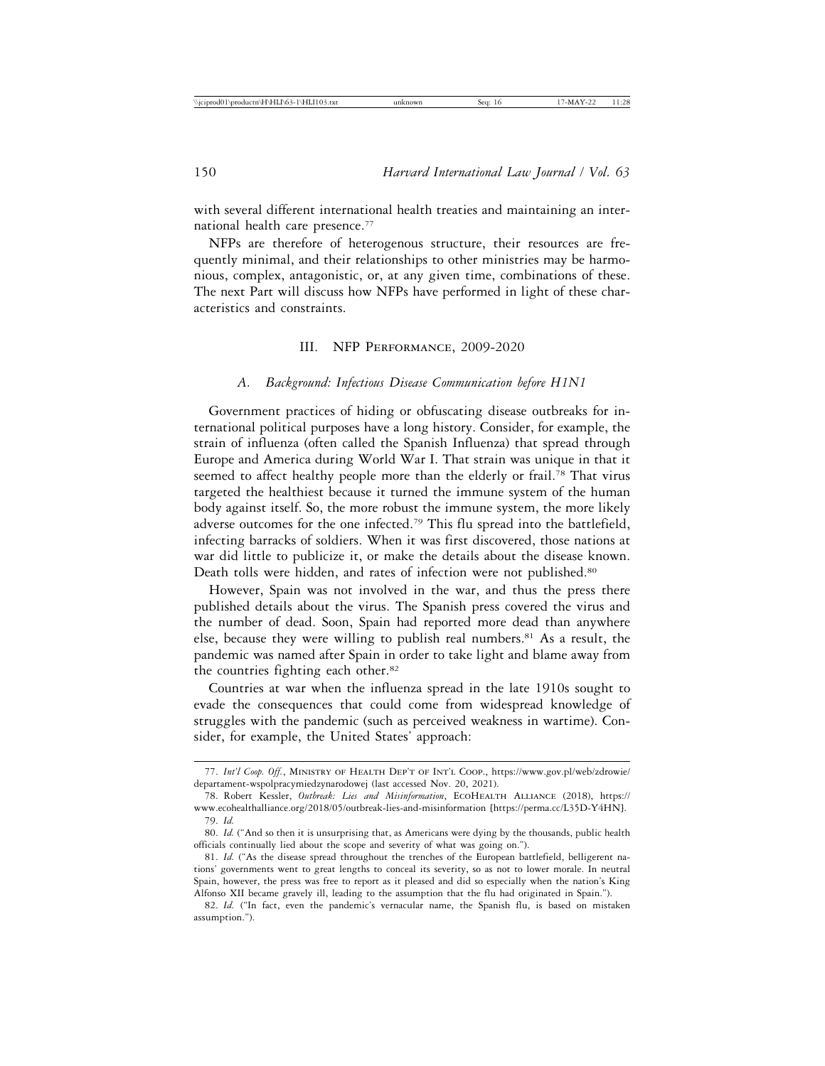with several different international health treaties and maintaining an international health care presence.77

NFPs are therefore of heterogenous structure, their resources are frequently minimal, and their relationships to other ministries may be harmonious, complex, antagonistic, or, at any given time, combinations of these. The next Part will discuss how NFPs have performed in light of these characteristics and constraints.

## III. NFP Performance, 2009-2020

#### *A. Background: Infectious Disease Communication before H1N1*

Government practices of hiding or obfuscating disease outbreaks for international political purposes have a long history. Consider, for example, the strain of influenza (often called the Spanish Influenza) that spread through Europe and America during World War I. That strain was unique in that it seemed to affect healthy people more than the elderly or frail.<sup>78</sup> That virus targeted the healthiest because it turned the immune system of the human body against itself. So, the more robust the immune system, the more likely adverse outcomes for the one infected.79 This flu spread into the battlefield, infecting barracks of soldiers. When it was first discovered, those nations at war did little to publicize it, or make the details about the disease known. Death tolls were hidden, and rates of infection were not published.<sup>80</sup>

However, Spain was not involved in the war, and thus the press there published details about the virus. The Spanish press covered the virus and the number of dead. Soon, Spain had reported more dead than anywhere else, because they were willing to publish real numbers.<sup>81</sup> As a result, the pandemic was named after Spain in order to take light and blame away from the countries fighting each other.<sup>82</sup>

Countries at war when the influenza spread in the late 1910s sought to evade the consequences that could come from widespread knowledge of struggles with the pandemic (such as perceived weakness in wartime). Consider, for example, the United States' approach:

<sup>77.</sup> *Int'l Coop. Off.*, Ministry of Health Dep't of Int'l Coop., https://www.gov.pl/web/zdrowie/ departament-wspolpracymiedzynarodowej (last accessed Nov. 20, 2021).

<sup>78.</sup> Robert Kessler, *Outbreak: Lies and Misinformation*, EcoHealth Alliance (2018), https:// www.ecohealthalliance.org/2018/05/outbreak-lies-and-misinformation [https://perma.cc/L35D-Y4HN]. 79. *Id.*

<sup>80.</sup> *Id.* ("And so then it is unsurprising that, as Americans were dying by the thousands, public health officials continually lied about the scope and severity of what was going on.").

<sup>81.</sup> *Id.* ("As the disease spread throughout the trenches of the European battlefield, belligerent nations' governments went to great lengths to conceal its severity, so as not to lower morale. In neutral Spain, however, the press was free to report as it pleased and did so especially when the nation's King Alfonso XII became gravely ill, leading to the assumption that the flu had originated in Spain.").

<sup>82.</sup> *Id.* ("In fact, even the pandemic's vernacular name, the Spanish flu, is based on mistaken assumption.").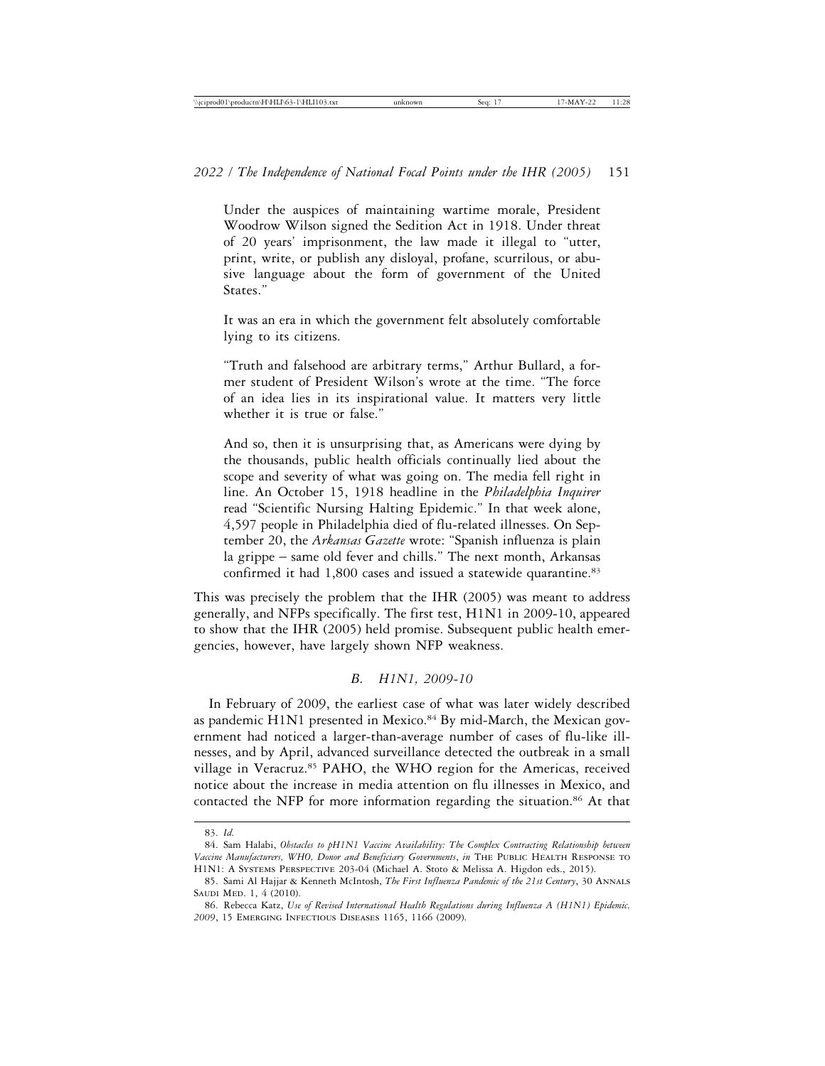Under the auspices of maintaining wartime morale, President Woodrow Wilson signed the Sedition Act in 1918. Under threat of 20 years' imprisonment, the law made it illegal to "utter, print, write, or publish any disloyal, profane, scurrilous, or abusive language about the form of government of the United States."

It was an era in which the government felt absolutely comfortable lying to its citizens.

"Truth and falsehood are arbitrary terms," Arthur Bullard, a former student of President Wilson's wrote at the time. "The force of an idea lies in its inspirational value. It matters very little whether it is true or false."

And so, then it is unsurprising that, as Americans were dying by the thousands, public health officials continually lied about the scope and severity of what was going on. The media fell right in line. An October 15, 1918 headline in the *Philadelphia Inquirer* read "Scientific Nursing Halting Epidemic." In that week alone, 4,597 people in Philadelphia died of flu-related illnesses. On September 20, the *Arkansas Gazette* wrote: "Spanish influenza is plain la grippe – same old fever and chills." The next month, Arkansas confirmed it had 1,800 cases and issued a statewide quarantine.83

This was precisely the problem that the IHR (2005) was meant to address generally, and NFPs specifically. The first test, H1N1 in 2009-10, appeared to show that the IHR (2005) held promise. Subsequent public health emergencies, however, have largely shown NFP weakness.

# *B. H1N1, 2009-10*

In February of 2009, the earliest case of what was later widely described as pandemic H1N1 presented in Mexico.<sup>84</sup> By mid-March, the Mexican government had noticed a larger-than-average number of cases of flu-like illnesses, and by April, advanced surveillance detected the outbreak in a small village in Veracruz.<sup>85</sup> PAHO, the WHO region for the Americas, received notice about the increase in media attention on flu illnesses in Mexico, and contacted the NFP for more information regarding the situation.<sup>86</sup> At that

<sup>83.</sup> *Id.*

<sup>84.</sup> Sam Halabi, *Obstacles to pH1N1 Vaccine Availability: The Complex Contracting Relationship between Vaccine Manufacturers, WHO, Donor and Beneficiary Governments*, *in* The Public Health Response to H1N1: A Systems Perspective 203-04 (Michael A. Stoto & Melissa A. Higdon eds., 2015).

<sup>85.</sup> Sami Al Hajjar & Kenneth McIntosh, *The First Influenza Pandemic of the 21st Century*, 30 Annals SAUDI MED. 1, 4 (2010).

<sup>86.</sup> Rebecca Katz, *Use of Revised International Health Regulations during Influenza A (H1N1) Epidemic, 2009*, 15 Emerging Infectious Diseases 1165, 1166 (2009).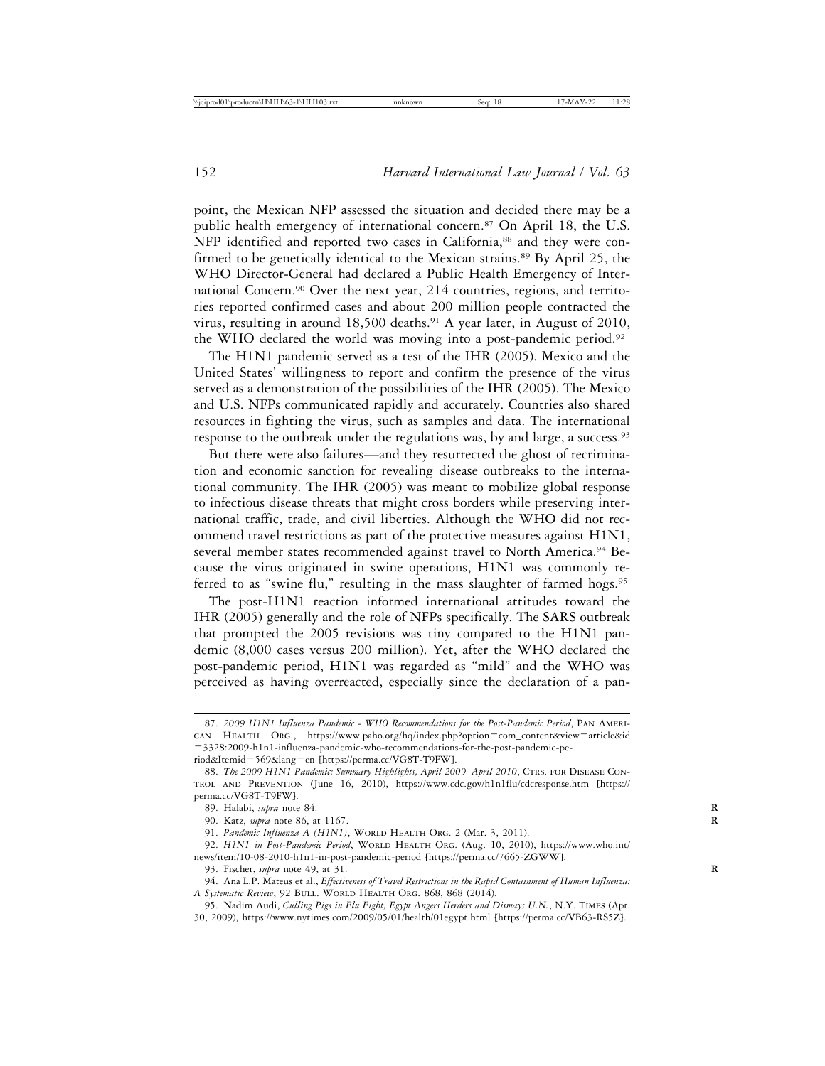point, the Mexican NFP assessed the situation and decided there may be a public health emergency of international concern.<sup>87</sup> On April 18, the U.S. NFP identified and reported two cases in California,<sup>88</sup> and they were confirmed to be genetically identical to the Mexican strains.<sup>89</sup> By April 25, the WHO Director-General had declared a Public Health Emergency of International Concern.90 Over the next year, 214 countries, regions, and territories reported confirmed cases and about 200 million people contracted the virus, resulting in around 18,500 deaths.<sup>91</sup> A year later, in August of 2010, the WHO declared the world was moving into a post-pandemic period.92

The H1N1 pandemic served as a test of the IHR (2005). Mexico and the United States' willingness to report and confirm the presence of the virus served as a demonstration of the possibilities of the IHR (2005). The Mexico and U.S. NFPs communicated rapidly and accurately. Countries also shared resources in fighting the virus, such as samples and data. The international response to the outbreak under the regulations was, by and large, a success.<sup>93</sup>

But there were also failures—and they resurrected the ghost of recrimination and economic sanction for revealing disease outbreaks to the international community. The IHR (2005) was meant to mobilize global response to infectious disease threats that might cross borders while preserving international traffic, trade, and civil liberties. Although the WHO did not recommend travel restrictions as part of the protective measures against H1N1, several member states recommended against travel to North America.94 Because the virus originated in swine operations, H1N1 was commonly referred to as "swine flu," resulting in the mass slaughter of farmed hogs.<sup>95</sup>

The post-H1N1 reaction informed international attitudes toward the IHR (2005) generally and the role of NFPs specifically. The SARS outbreak that prompted the 2005 revisions was tiny compared to the H1N1 pandemic (8,000 cases versus 200 million). Yet, after the WHO declared the post-pandemic period, H1N1 was regarded as "mild" and the WHO was perceived as having overreacted, especially since the declaration of a pan-

<sup>87.</sup> *2009 H1N1 Influenza Pandemic - WHO Recommendations for the Post-Pandemic Period*, Pan American Health Org., https://www.paho.org/hq/index.php?option=com\_content&view=article&id =3328:2009-h1n1-influenza-pandemic-who-recommendations-for-the-post-pandemic-pe-

riod&Itemid=569&lang=en [https://perma.cc/VG8T-T9FW].

<sup>88.</sup> The 2009 H1N1 Pandemic: Summary Highlights, April 2009-April 2010, CTRS. FOR DISEASE CONtrol and Prevention (June 16, 2010), https://www.cdc.gov/h1n1flu/cdcresponse.htm [https:// perma.cc/VG8T-T9FW].

<sup>89.</sup> Halabi, *supra* note 84. **R**

<sup>90.</sup> Katz, *supra* note 86, at 1167. **R**

<sup>91.</sup> *Pandemic Influenza A (H1N1)*, WORLD HEALTH ORG. 2 (Mar. 3, 2011).

<sup>92.</sup> *H1N1 in Post-Pandemic Period*, WORLD HEALTH ORG. (Aug. 10, 2010), https://www.who.int/ news/item/10-08-2010-h1n1-in-post-pandemic-period [https://perma.cc/7665-ZGWW].

<sup>93.</sup> Fischer, *supra* note 49, at 31. **R**

<sup>94.</sup> Ana L.P. Mateus et al., *Effectiveness of Travel Restrictions in the Rapid Containment of Human Influenza: A Systematic Review*, 92 BULL. WORLD HEALTH ORG. 868, 868 (2014).

<sup>95.</sup> Nadim Audi, *Culling Pigs in Flu Fight, Egypt Angers Herders and Dismays U.N.*, N.Y. Times (Apr. 30, 2009), https://www.nytimes.com/2009/05/01/health/01egypt.html [https://perma.cc/VB63-RS5Z].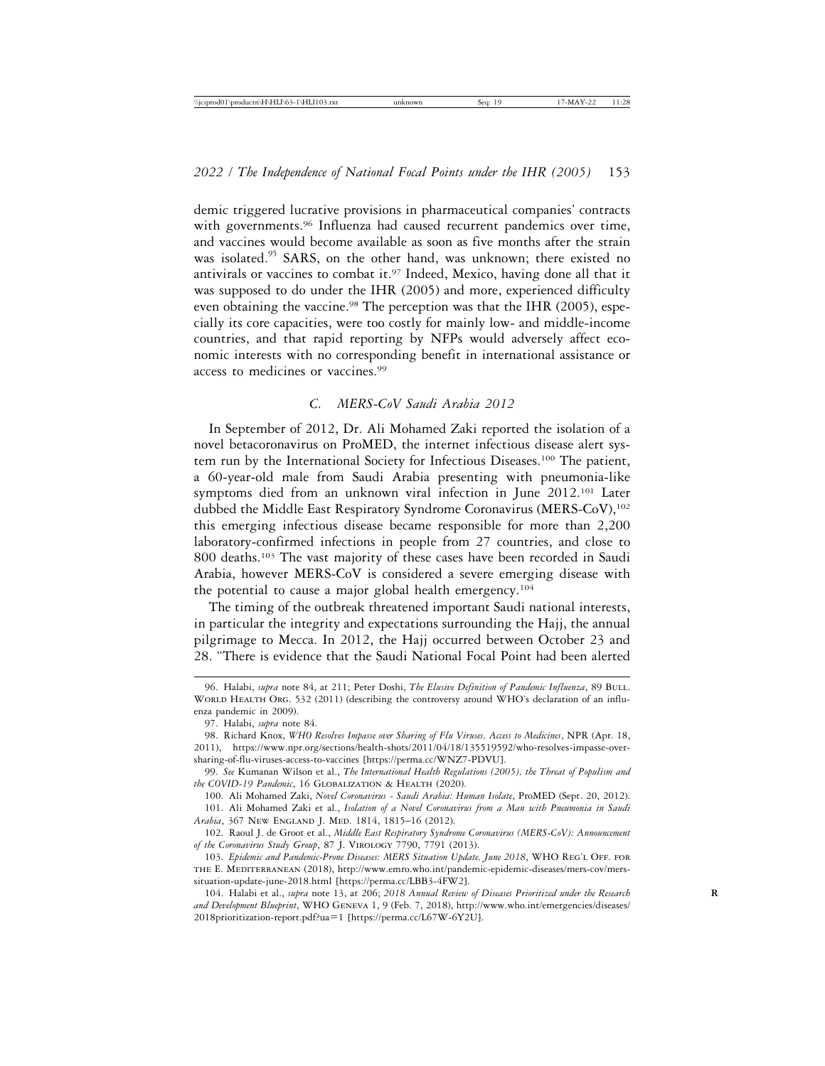demic triggered lucrative provisions in pharmaceutical companies' contracts with governments.<sup>96</sup> Influenza had caused recurrent pandemics over time, and vaccines would become available as soon as five months after the strain was isolated.<sup>95</sup> SARS, on the other hand, was unknown; there existed no antivirals or vaccines to combat it.97 Indeed, Mexico, having done all that it was supposed to do under the IHR (2005) and more, experienced difficulty even obtaining the vaccine.<sup>98</sup> The perception was that the IHR (2005), especially its core capacities, were too costly for mainly low- and middle-income countries, and that rapid reporting by NFPs would adversely affect economic interests with no corresponding benefit in international assistance or access to medicines or vaccines.99

# *C. MERS-CoV Saudi Arabia 2012*

In September of 2012, Dr. Ali Mohamed Zaki reported the isolation of a novel betacoronavirus on ProMED, the internet infectious disease alert system run by the International Society for Infectious Diseases.100 The patient, a 60-year-old male from Saudi Arabia presenting with pneumonia-like symptoms died from an unknown viral infection in June 2012.<sup>101</sup> Later dubbed the Middle East Respiratory Syndrome Coronavirus (MERS-CoV),<sup>102</sup> this emerging infectious disease became responsible for more than 2,200 laboratory-confirmed infections in people from 27 countries, and close to 800 deaths.103 The vast majority of these cases have been recorded in Saudi Arabia, however MERS-CoV is considered a severe emerging disease with the potential to cause a major global health emergency.104

The timing of the outbreak threatened important Saudi national interests, in particular the integrity and expectations surrounding the Hajj, the annual pilgrimage to Mecca. In 2012, the Hajj occurred between October 23 and 28. "There is evidence that the Saudi National Focal Point had been alerted

100. Ali Mohamed Zaki, *Novel Coronavirus - Saudi Arabia: Human Isolate*, ProMED (Sept. 20, 2012).

<sup>96.</sup> Halabi, *supra* note 84, at 211; Peter Doshi, *The Elusive Definition of Pandemic Influenza*, 89 Bull. WORLD HEALTH ORG. 532 (2011) (describing the controversy around WHO's declaration of an influenza pandemic in 2009).

<sup>97.</sup> Halabi, *supra* note 84.

<sup>98.</sup> Richard Knox, *WHO Resolves Impasse over Sharing of Flu Viruses, Access to Medicines*, NPR (Apr. 18, 2011), https://www.npr.org/sections/health-shots/2011/04/18/135519592/who-resolves-impasse-oversharing-of-flu-viruses-access-to-vaccines [https://perma.cc/WNZ7-PDVU].

<sup>99.</sup> *See* Kumanan Wilson et al., *The International Health Regulations (2005), the Threat of Populism and the COVID-19 Pandemic*, 16 Globalization & Health (2020).

<sup>101.</sup> Ali Mohamed Zaki et al., *Isolation of a Novel Coronavirus from a Man with Pneumonia in Saudi Arabia*, 367 New England J. Med. 1814, 1815–16 (2012).

<sup>102.</sup> Raoul J. de Groot et al., *Middle East Respiratory Syndrome Coronavirus (MERS-CoV): Announcement of the Coronavirus Study Group*, 87 J. Virology 7790, 7791 (2013).

<sup>103.</sup> *Epidemic and Pandemic-Prone Diseases: MERS Situation Update, June 2018*, WHO REG'L OFF. FOR THE E. MEDITERRANEAN (2018), http://www.emro.who.int/pandemic-epidemic-diseases/mers-cov/merssituation-update-june-2018.html [https://perma.cc/LBB3-4FW2].

<sup>104.</sup> Halabi et al., *supra* note 13, at 206; *2018 Annual Review of Diseases Prioritized under the Research* **R** *and Development Blueprint*, WHO Geneva 1, 9 (Feb. 7, 2018), http://www.who.int/emergencies/diseases/ 2018prioritization-report.pdf?ua=1 [https://perma.cc/L67W-6Y2U].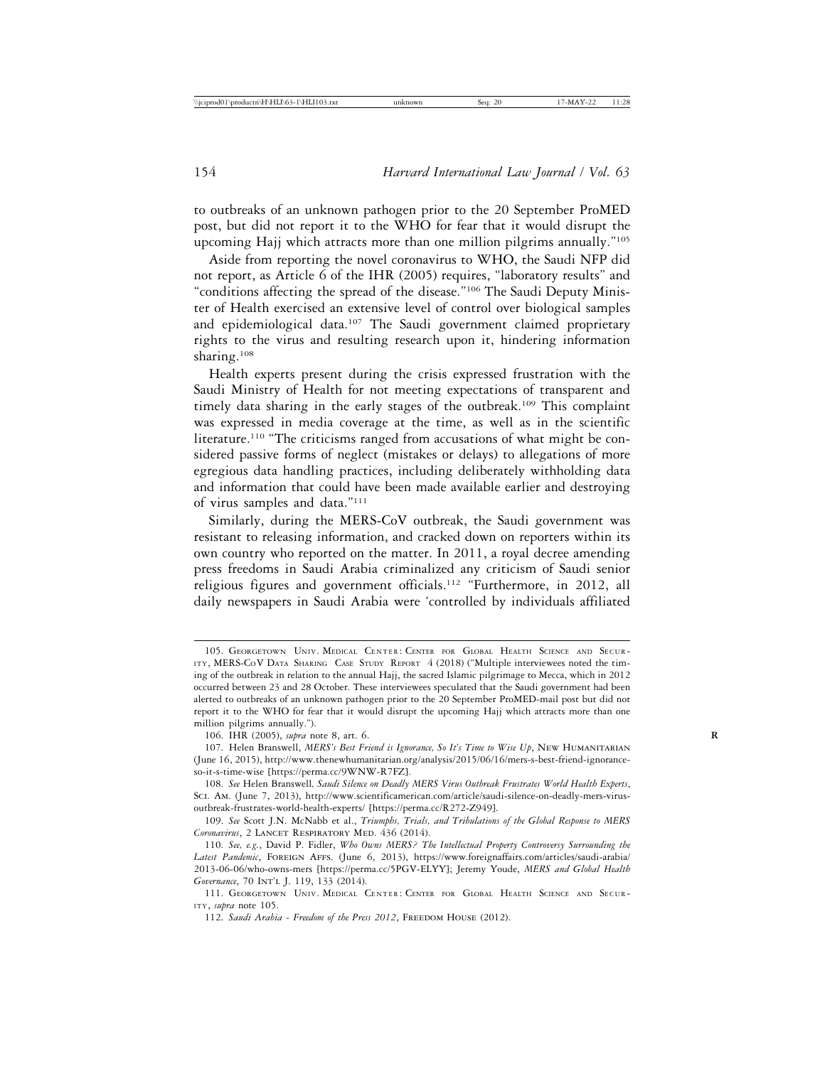to outbreaks of an unknown pathogen prior to the 20 September ProMED post, but did not report it to the WHO for fear that it would disrupt the upcoming Hajj which attracts more than one million pilgrims annually."105

Aside from reporting the novel coronavirus to WHO, the Saudi NFP did not report, as Article 6 of the IHR (2005) requires, "laboratory results" and "conditions affecting the spread of the disease."106 The Saudi Deputy Minister of Health exercised an extensive level of control over biological samples and epidemiological data.<sup>107</sup> The Saudi government claimed proprietary rights to the virus and resulting research upon it, hindering information sharing.108

Health experts present during the crisis expressed frustration with the Saudi Ministry of Health for not meeting expectations of transparent and timely data sharing in the early stages of the outbreak.<sup>109</sup> This complaint was expressed in media coverage at the time, as well as in the scientific literature.110 "The criticisms ranged from accusations of what might be considered passive forms of neglect (mistakes or delays) to allegations of more egregious data handling practices, including deliberately withholding data and information that could have been made available earlier and destroying of virus samples and data."111

Similarly, during the MERS-CoV outbreak, the Saudi government was resistant to releasing information, and cracked down on reporters within its own country who reported on the matter. In 2011, a royal decree amending press freedoms in Saudi Arabia criminalized any criticism of Saudi senior religious figures and government officials.<sup>112</sup> "Furthermore, in 2012, all daily newspapers in Saudi Arabia were 'controlled by individuals affiliated

<sup>105.</sup> GEORGETOWN UNIV. MEDICAL CENTER: CENTER FOR GLOBAL HEALTH SCIENCE AND SECUR-ITY, MERS-COV DATA SHARING CASE STUDY REPORT 4 (2018) ("Multiple interviewees noted the timing of the outbreak in relation to the annual Hajj, the sacred Islamic pilgrimage to Mecca, which in 2012 occurred between 23 and 28 October. These interviewees speculated that the Saudi government had been alerted to outbreaks of an unknown pathogen prior to the 20 September ProMED-mail post but did not report it to the WHO for fear that it would disrupt the upcoming Hajj which attracts more than one million pilgrims annually.").

<sup>106.</sup> IHR (2005), *supra* note 8, art. 6. **R**

<sup>107.</sup> Helen Branswell, *MERS's Best Friend is Ignorance, So It's Time to Wise Up*, New Humanitarian (June 16, 2015), http://www.thenewhumanitarian.org/analysis/2015/06/16/mers-s-best-friend-ignoranceso-it-s-time-wise [https://perma.cc/9WNW-R7FZ].

<sup>108.</sup> *See* Helen Branswell*, Saudi Silence on Deadly MERS Virus Outbreak Frustrates World Health Experts*, Sci. Am. (June 7, 2013), http://www.scientificamerican.com/article/saudi-silence-on-deadly-mers-virusoutbreak-frustrates-world-health-experts/ [https://perma.cc/R272-Z949].

<sup>109.</sup> *See* Scott J.N. McNabb et al., *Triumphs, Trials, and Tribulations of the Global Response to MERS* Coronavirus, 2 LANCET RESPIRATORY MED. 436 (2014).

<sup>110.</sup> *See, e.g.*, David P. Fidler, *Who Owns MERS? The Intellectual Property Controversy Surrounding the* Latest Pandemic, FOREIGN AFFS. (June 6, 2013), https://www.foreignaffairs.com/articles/saudi-arabia/ 2013-06-06/who-owns-mers [https://perma.cc/5PGV-ELYY]; Jeremy Youde, *MERS and Global Health* Governance, 70 INT'L J. 119, 133 (2014).

<sup>111.</sup> GEORGETOWN UNIV. MEDICAL CENTER: CENTER FOR GLOBAL HEALTH SCIENCE AND SECUR-ITY, *supra* note 105.

<sup>112.</sup> Saudi Arabia - Freedom of the Press 2012, FREEDOM HOUSE (2012).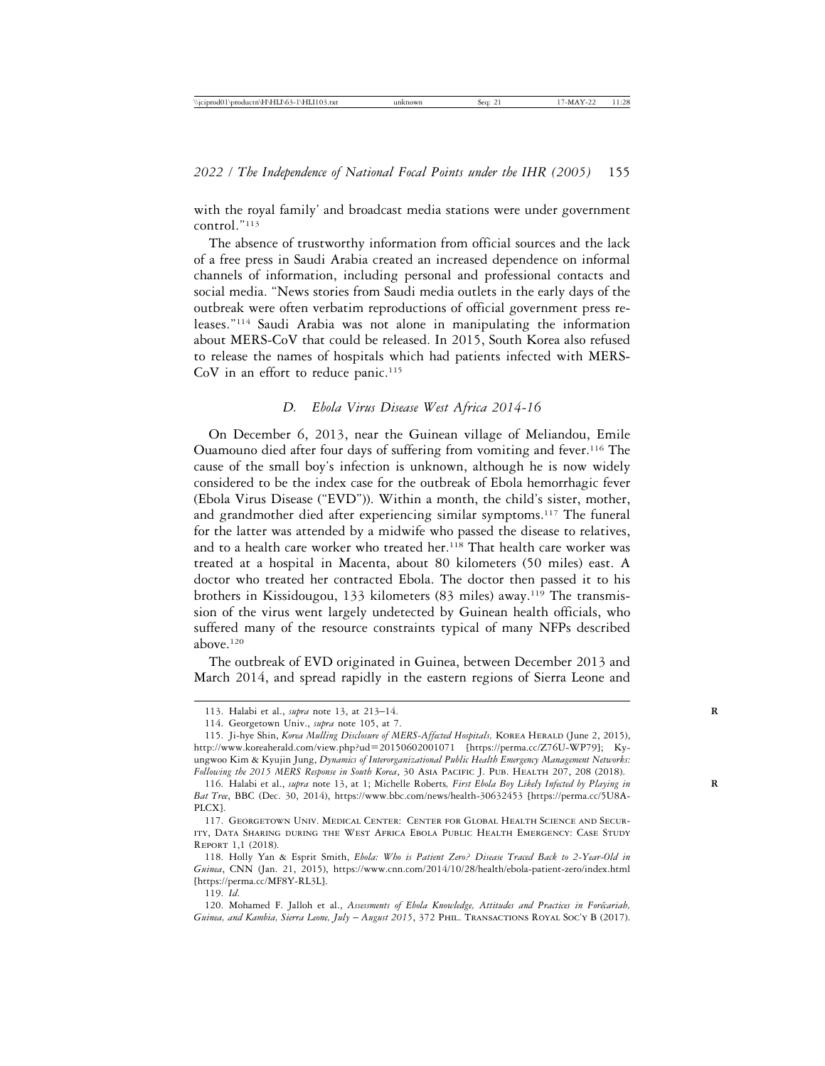with the royal family' and broadcast media stations were under government control."113

The absence of trustworthy information from official sources and the lack of a free press in Saudi Arabia created an increased dependence on informal channels of information, including personal and professional contacts and social media. "News stories from Saudi media outlets in the early days of the outbreak were often verbatim reproductions of official government press releases."114 Saudi Arabia was not alone in manipulating the information about MERS-CoV that could be released. In 2015, South Korea also refused to release the names of hospitals which had patients infected with MERS-CoV in an effort to reduce panic.<sup>115</sup>

## *D. Ebola Virus Disease West Africa 2014-16*

On December 6, 2013, near the Guinean village of Meliandou, Emile Ouamouno died after four days of suffering from vomiting and fever.116 The cause of the small boy's infection is unknown, although he is now widely considered to be the index case for the outbreak of Ebola hemorrhagic fever (Ebola Virus Disease ("EVD")). Within a month, the child's sister, mother, and grandmother died after experiencing similar symptoms.<sup>117</sup> The funeral for the latter was attended by a midwife who passed the disease to relatives, and to a health care worker who treated her.118 That health care worker was treated at a hospital in Macenta, about 80 kilometers (50 miles) east. A doctor who treated her contracted Ebola. The doctor then passed it to his brothers in Kissidougou, 133 kilometers (83 miles) away.119 The transmission of the virus went largely undetected by Guinean health officials, who suffered many of the resource constraints typical of many NFPs described above.120

The outbreak of EVD originated in Guinea, between December 2013 and March 2014, and spread rapidly in the eastern regions of Sierra Leone and

119. *Id*.

120. Mohamed F. Jalloh et al., Assessments of Ebola Knowledge, Attitudes and Practices in Forécariah, *Guinea, and Kambia, Sierra Leone, July* – *August 2015*, 372 Phil. Transactions Royal Soc'y B (2017).

<sup>113.</sup> Halabi et al., *supra* note 13, at 213–14. **R**

<sup>114.</sup> Georgetown Univ., *supra* note 105, at 7.

<sup>115.</sup> Ji-hye Shin, *Korea Mulling Disclosure of MERS-Affected Hospitals*, KOREA HERALD (June 2, 2015), http://www.koreaherald.com/view.php?ud=20150602001071 [https://perma.cc/Z76U-WP79]; Kyungwoo Kim & Kyujin Jung, *Dynamics of Interorganizational Public Health Emergency Management Networks: Following the 2015 MERS Response in South Korea*, 30 Asia Pacific J. Pub. Health 207, 208 (2018).

<sup>116.</sup> Halabi et al., *supra* note 13, at 1; Michelle Roberts*, First Ebola Boy Likely Infected by Playing in* **R** *Bat Tree*, BBC (Dec. 30, 2014), https://www.bbc.com/news/health-30632453 [https://perma.cc/5U8A-PLCX].

<sup>117.</sup> Georgetown Univ. Medical Center: Center for Global Health Science and Security, Data Sharing during the West Africa Ebola Public Health Emergency: Case Study Report 1,1 (2018).

<sup>118.</sup> Holly Yan & Esprit Smith, *Ebola: Who is Patient Zero? Disease Traced Back to 2-Year-Old in Guinea*, CNN (Jan. 21, 2015), https://www.cnn.com/2014/10/28/health/ebola-patient-zero/index.html [https://perma.cc/MF8Y-RL3L].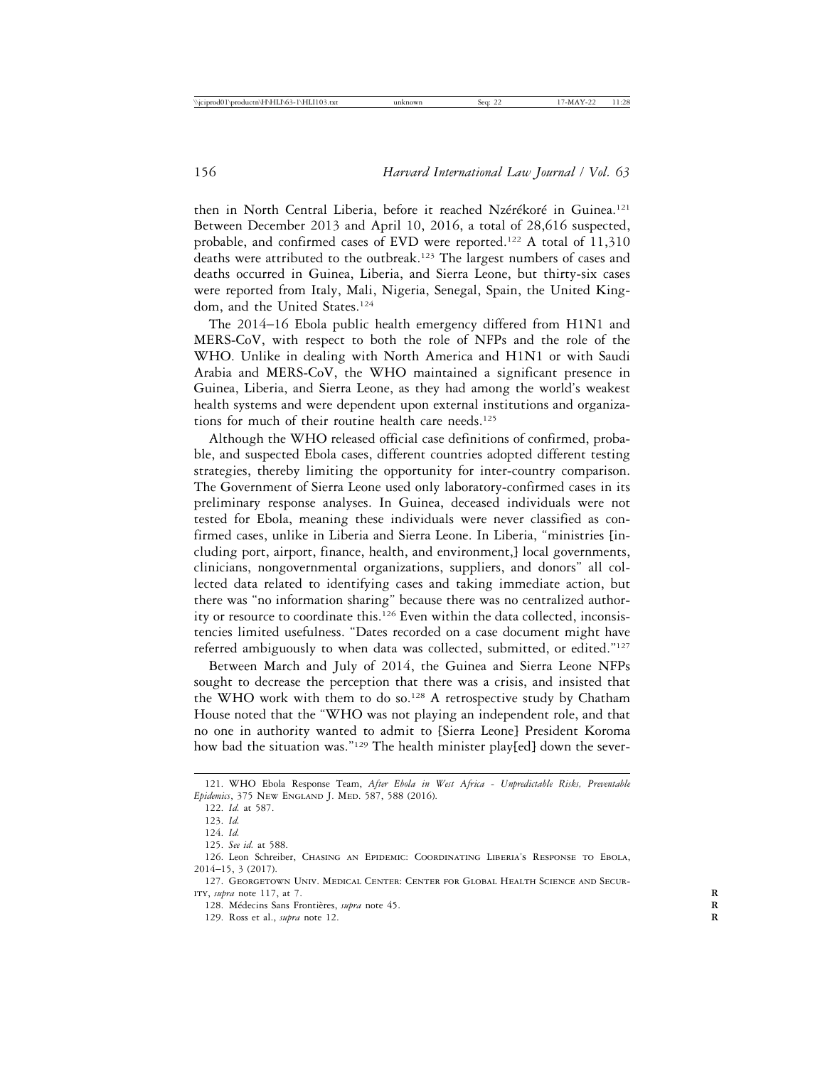then in North Central Liberia, before it reached Nzérékoré in Guinea.<sup>121</sup> Between December 2013 and April 10, 2016, a total of 28,616 suspected, probable, and confirmed cases of EVD were reported.<sup>122</sup> A total of  $11,310$ deaths were attributed to the outbreak.123 The largest numbers of cases and deaths occurred in Guinea, Liberia, and Sierra Leone, but thirty-six cases were reported from Italy, Mali, Nigeria, Senegal, Spain, the United Kingdom, and the United States.<sup>124</sup>

The 2014–16 Ebola public health emergency differed from H1N1 and MERS-CoV, with respect to both the role of NFPs and the role of the WHO. Unlike in dealing with North America and H1N1 or with Saudi Arabia and MERS-CoV, the WHO maintained a significant presence in Guinea, Liberia, and Sierra Leone, as they had among the world's weakest health systems and were dependent upon external institutions and organizations for much of their routine health care needs.125

Although the WHO released official case definitions of confirmed, probable, and suspected Ebola cases, different countries adopted different testing strategies, thereby limiting the opportunity for inter-country comparison. The Government of Sierra Leone used only laboratory-confirmed cases in its preliminary response analyses. In Guinea, deceased individuals were not tested for Ebola, meaning these individuals were never classified as confirmed cases, unlike in Liberia and Sierra Leone. In Liberia, "ministries [including port, airport, finance, health, and environment,] local governments, clinicians, nongovernmental organizations, suppliers, and donors" all collected data related to identifying cases and taking immediate action, but there was "no information sharing" because there was no centralized authority or resource to coordinate this.<sup>126</sup> Even within the data collected, inconsistencies limited usefulness. "Dates recorded on a case document might have referred ambiguously to when data was collected, submitted, or edited."<sup>127</sup>

Between March and July of 2014, the Guinea and Sierra Leone NFPs sought to decrease the perception that there was a crisis, and insisted that the WHO work with them to do so.<sup>128</sup> A retrospective study by Chatham House noted that the "WHO was not playing an independent role, and that no one in authority wanted to admit to [Sierra Leone] President Koroma how bad the situation was."129 The health minister play[ed] down the sever-

<sup>121.</sup> WHO Ebola Response Team, *After Ebola in West Africa - Unpredictable Risks, Preventable Epidemics*, 375 New ENGLAND J. MED. 587, 588 (2016).

<sup>122.</sup> *Id.* at 587.

<sup>123.</sup> *Id.*

<sup>124.</sup> *Id.*

<sup>125.</sup> *See id.* at 588.

<sup>126.</sup> Leon Schreiber, Chasing an Epidemic: Coordinating Liberia's Response to Ebola, 2014–15, 3 (2017).

<sup>127.</sup> Georgetown Univ. Medical Center: Center for Global Health Science and Security, *supra* note 117, at 7. **R**

<sup>128.</sup> Médecins Sans Frontières, *supra* note 45.

<sup>129.</sup> Ross et al., *supra* note 12. **R**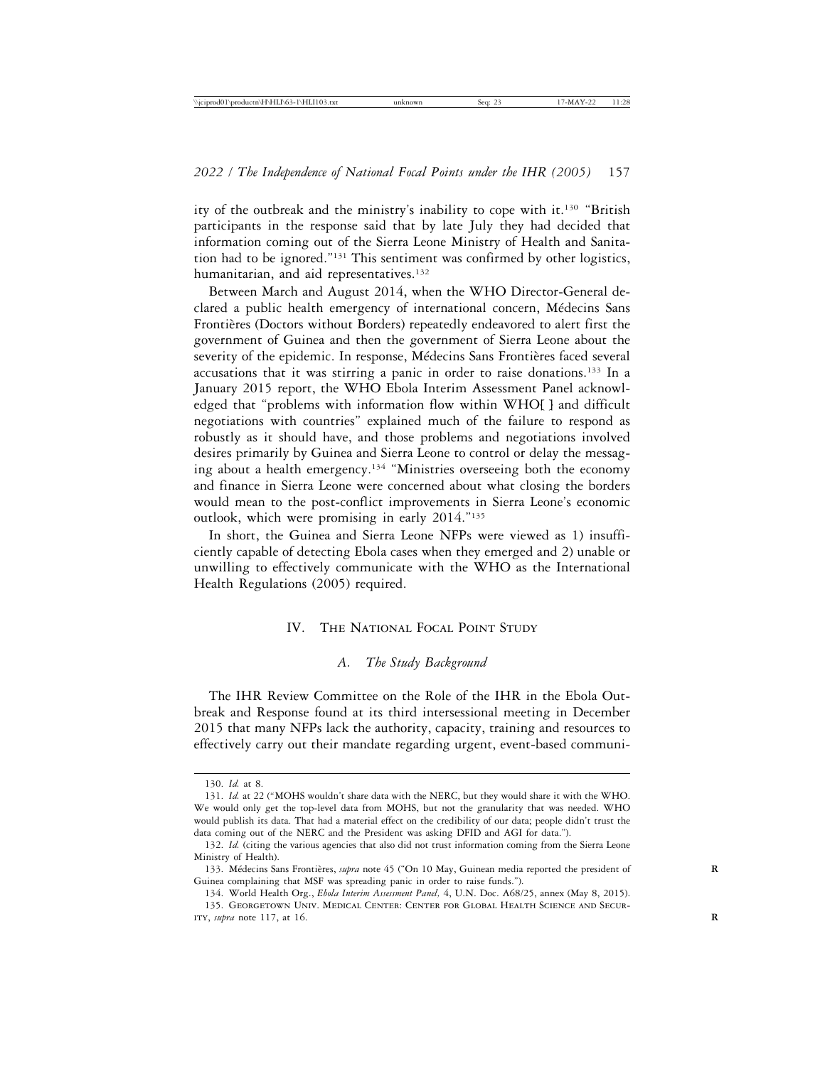ity of the outbreak and the ministry's inability to cope with it.<sup>130</sup> "British" participants in the response said that by late July they had decided that information coming out of the Sierra Leone Ministry of Health and Sanitation had to be ignored."131 This sentiment was confirmed by other logistics, humanitarian, and aid representatives.<sup>132</sup>

Between March and August 2014, when the WHO Director-General declared a public health emergency of international concern, Médecins Sans Frontières (Doctors without Borders) repeatedly endeavored to alert first the government of Guinea and then the government of Sierra Leone about the severity of the epidemic. In response, Médecins Sans Frontières faced several accusations that it was stirring a panic in order to raise donations.133 In a January 2015 report, the WHO Ebola Interim Assessment Panel acknowledged that "problems with information flow within WHO[ ] and difficult negotiations with countries" explained much of the failure to respond as robustly as it should have, and those problems and negotiations involved desires primarily by Guinea and Sierra Leone to control or delay the messaging about a health emergency.134 "Ministries overseeing both the economy and finance in Sierra Leone were concerned about what closing the borders would mean to the post-conflict improvements in Sierra Leone's economic outlook, which were promising in early 2014."135

In short, the Guinea and Sierra Leone NFPs were viewed as 1) insufficiently capable of detecting Ebola cases when they emerged and 2) unable or unwilling to effectively communicate with the WHO as the International Health Regulations (2005) required.

# IV. The National Focal Point Study

# *A. The Study Background*

The IHR Review Committee on the Role of the IHR in the Ebola Outbreak and Response found at its third intersessional meeting in December 2015 that many NFPs lack the authority, capacity, training and resources to effectively carry out their mandate regarding urgent, event-based communi-

<sup>130.</sup> *Id.* at 8.

<sup>131.</sup> *Id.* at 22 (*"*MOHS wouldn't share data with the NERC, but they would share it with the WHO. We would only get the top-level data from MOHS, but not the granularity that was needed. WHO would publish its data. That had a material effect on the credibility of our data; people didn't trust the data coming out of the NERC and the President was asking DFID and AGI for data.").

<sup>132.</sup> *Id.* (citing the various agencies that also did not trust information coming from the Sierra Leone Ministry of Health).

<sup>133.</sup> Médecins Sans Frontières, *supra* note 45 ("On 10 May, Guinean media reported the president of Guinea complaining that MSF was spreading panic in order to raise funds.").

<sup>134.</sup> World Health Org., *Ebola Interim Assessment Panel,* 4, U.N. Doc. A68/25, annex (May 8, 2015). 135. Georgetown Univ. Medical Center: Center for Global Health Science and Secur-ITY, *supra* note 117, at 16.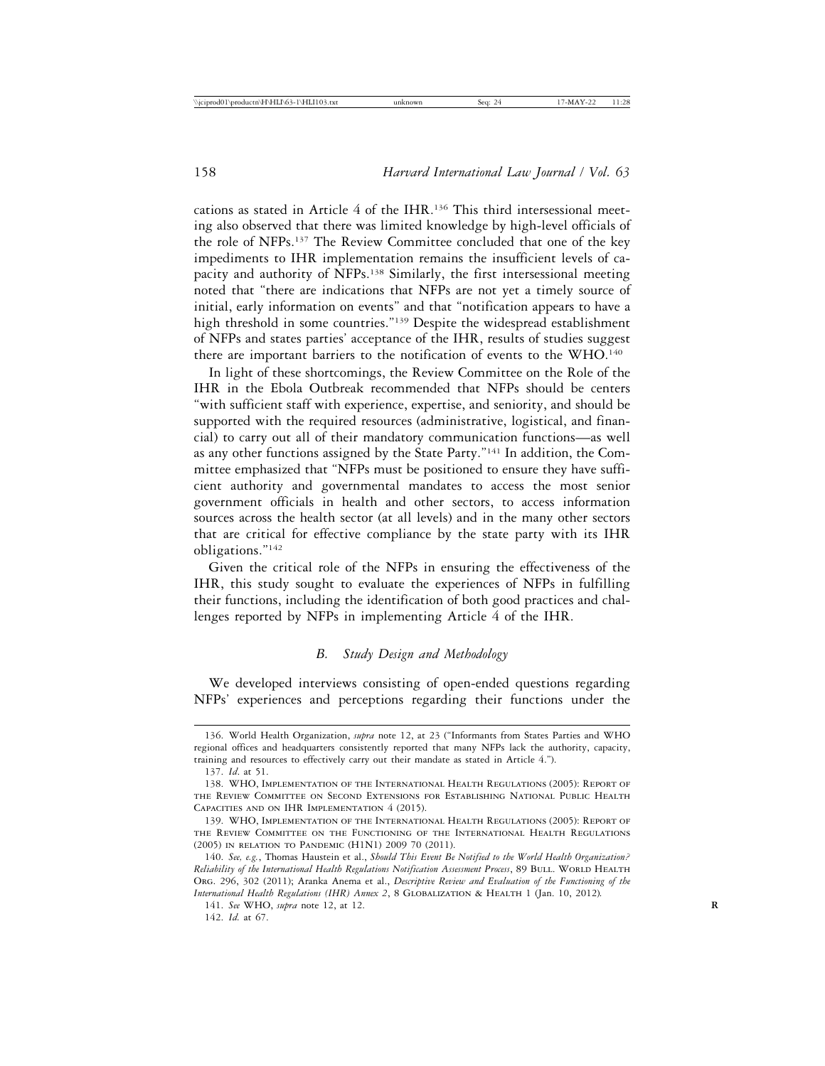cations as stated in Article 4 of the IHR.136 This third intersessional meeting also observed that there was limited knowledge by high-level officials of the role of NFPs.137 The Review Committee concluded that one of the key impediments to IHR implementation remains the insufficient levels of capacity and authority of NFPs.138 Similarly, the first intersessional meeting noted that "there are indications that NFPs are not yet a timely source of initial, early information on events" and that "notification appears to have a high threshold in some countries."139 Despite the widespread establishment of NFPs and states parties' acceptance of the IHR, results of studies suggest there are important barriers to the notification of events to the WHO.140

In light of these shortcomings, the Review Committee on the Role of the IHR in the Ebola Outbreak recommended that NFPs should be centers "with sufficient staff with experience, expertise, and seniority, and should be supported with the required resources (administrative, logistical, and financial) to carry out all of their mandatory communication functions—as well as any other functions assigned by the State Party."141 In addition, the Committee emphasized that "NFPs must be positioned to ensure they have sufficient authority and governmental mandates to access the most senior government officials in health and other sectors, to access information sources across the health sector (at all levels) and in the many other sectors that are critical for effective compliance by the state party with its IHR obligations."142

Given the critical role of the NFPs in ensuring the effectiveness of the IHR, this study sought to evaluate the experiences of NFPs in fulfilling their functions, including the identification of both good practices and challenges reported by NFPs in implementing Article 4 of the IHR.

# *B. Study Design and Methodology*

We developed interviews consisting of open-ended questions regarding NFPs' experiences and perceptions regarding their functions under the

<sup>136.</sup> World Health Organization, *supra* note 12, at 23 ("Informants from States Parties and WHO regional offices and headquarters consistently reported that many NFPs lack the authority, capacity, training and resources to effectively carry out their mandate as stated in Article 4.").

<sup>137.</sup> *Id*. at 51.

<sup>138.</sup> WHO, Implementation of the International Health Regulations (2005): Report of the Review Committee on Second Extensions for Establishing National Public Health Capacities and on IHR Implementation 4 (2015).

<sup>139.</sup> WHO, Implementation of the International Health Regulations (2005): Report of the Review Committee on the Functioning of the International Health Regulations (2005) in relation to Pandemic (H1N1) 2009 70 (2011).

<sup>140.</sup> *See, e.g.*, Thomas Haustein et al., *Should This Event Be Notified to the World Health Organization? Reliability of the International Health Regulations Notification Assessment Process*, 89 BULL. WORLD HEALTH Org. 296, 302 (2011); Aranka Anema et al., *Descriptive Review and Evaluation of the Functioning of the International Health Regulations (IHR) Annex 2, 8 GLOBALIZATION & HEALTH 1 (Jan. 10, 2012).* 

<sup>141.</sup> *See* WHO, *supra* note 12, at 12. **R**

<sup>142.</sup> *Id.* at 67.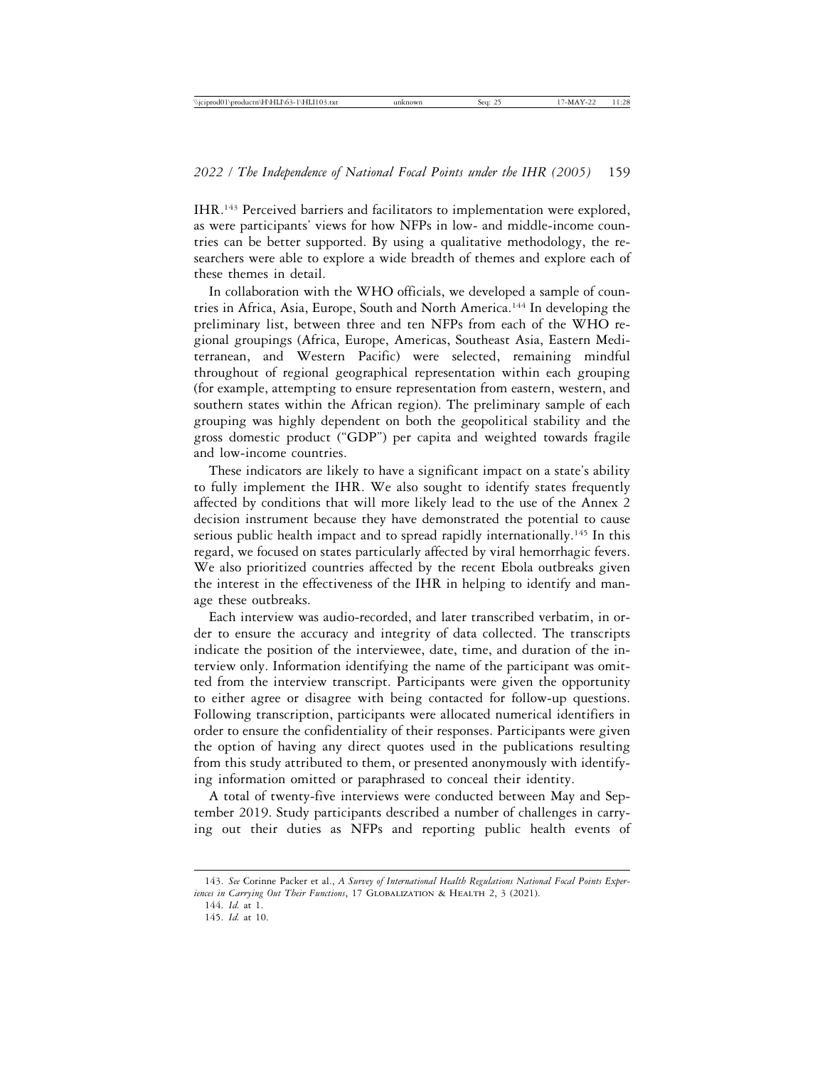IHR.143 Perceived barriers and facilitators to implementation were explored, as were participants' views for how NFPs in low- and middle-income countries can be better supported. By using a qualitative methodology, the researchers were able to explore a wide breadth of themes and explore each of these themes in detail.

In collaboration with the WHO officials, we developed a sample of countries in Africa, Asia, Europe, South and North America.144 In developing the preliminary list, between three and ten NFPs from each of the WHO regional groupings (Africa, Europe, Americas, Southeast Asia, Eastern Mediterranean, and Western Pacific) were selected, remaining mindful throughout of regional geographical representation within each grouping (for example, attempting to ensure representation from eastern, western, and southern states within the African region). The preliminary sample of each grouping was highly dependent on both the geopolitical stability and the gross domestic product ("GDP") per capita and weighted towards fragile and low-income countries.

These indicators are likely to have a significant impact on a state's ability to fully implement the IHR. We also sought to identify states frequently affected by conditions that will more likely lead to the use of the Annex 2 decision instrument because they have demonstrated the potential to cause serious public health impact and to spread rapidly internationally.<sup>145</sup> In this regard, we focused on states particularly affected by viral hemorrhagic fevers. We also prioritized countries affected by the recent Ebola outbreaks given the interest in the effectiveness of the IHR in helping to identify and manage these outbreaks.

Each interview was audio-recorded, and later transcribed verbatim, in order to ensure the accuracy and integrity of data collected. The transcripts indicate the position of the interviewee, date, time, and duration of the interview only. Information identifying the name of the participant was omitted from the interview transcript. Participants were given the opportunity to either agree or disagree with being contacted for follow-up questions. Following transcription, participants were allocated numerical identifiers in order to ensure the confidentiality of their responses. Participants were given the option of having any direct quotes used in the publications resulting from this study attributed to them, or presented anonymously with identifying information omitted or paraphrased to conceal their identity.

A total of twenty-five interviews were conducted between May and September 2019. Study participants described a number of challenges in carrying out their duties as NFPs and reporting public health events of

<sup>143.</sup> *See* Corinne Packer et al., *A Survey of International Health Regulations National Focal Points Experiences in Carrying Out Their Functions*, 17 GLOBALIZATION & HEALTH 2, 3 (2021).

<sup>144.</sup> *Id.* at 1.

<sup>145.</sup> *Id.* at 10.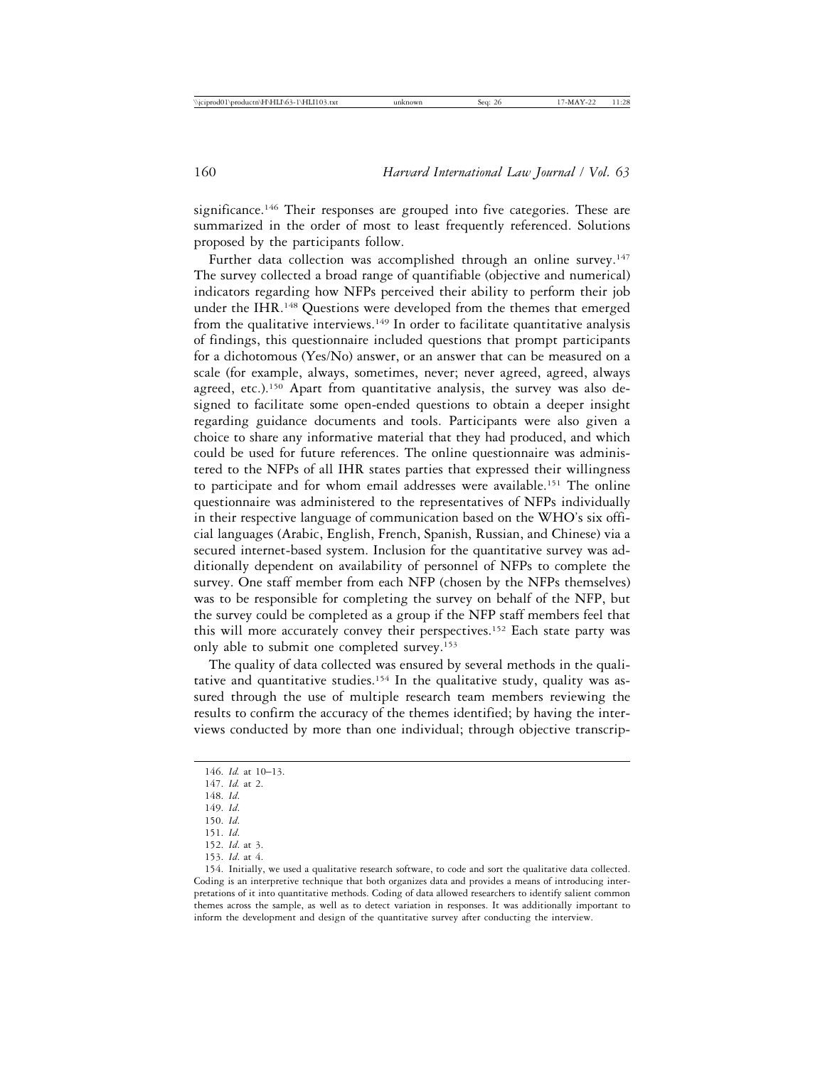significance.<sup>146</sup> Their responses are grouped into five categories. These are summarized in the order of most to least frequently referenced. Solutions proposed by the participants follow.

Further data collection was accomplished through an online survey.<sup>147</sup> The survey collected a broad range of quantifiable (objective and numerical) indicators regarding how NFPs perceived their ability to perform their job under the IHR.<sup>148</sup> Questions were developed from the themes that emerged from the qualitative interviews.<sup>149</sup> In order to facilitate quantitative analysis of findings, this questionnaire included questions that prompt participants for a dichotomous (Yes/No) answer, or an answer that can be measured on a scale (for example, always, sometimes, never; never agreed, agreed, always agreed, etc.).<sup>150</sup> Apart from quantitative analysis, the survey was also designed to facilitate some open-ended questions to obtain a deeper insight regarding guidance documents and tools. Participants were also given a choice to share any informative material that they had produced, and which could be used for future references. The online questionnaire was administered to the NFPs of all IHR states parties that expressed their willingness to participate and for whom email addresses were available.151 The online questionnaire was administered to the representatives of NFPs individually in their respective language of communication based on the WHO's six official languages (Arabic, English, French, Spanish, Russian, and Chinese) via a secured internet-based system. Inclusion for the quantitative survey was additionally dependent on availability of personnel of NFPs to complete the survey. One staff member from each NFP (chosen by the NFPs themselves) was to be responsible for completing the survey on behalf of the NFP, but the survey could be completed as a group if the NFP staff members feel that this will more accurately convey their perspectives.152 Each state party was only able to submit one completed survey.153

The quality of data collected was ensured by several methods in the qualitative and quantitative studies.<sup>154</sup> In the qualitative study, quality was assured through the use of multiple research team members reviewing the results to confirm the accuracy of the themes identified; by having the interviews conducted by more than one individual; through objective transcrip-

151. *Id*.

153. *Id*. at 4.

<sup>146.</sup> *Id.* at 10–13.

<sup>147.</sup> *Id.* at 2.

<sup>148.</sup> *Id*.

<sup>149.</sup> *Id*.

<sup>150.</sup> *Id*.

<sup>152.</sup> *Id*. at 3.

<sup>154.</sup> Initially, we used a qualitative research software, to code and sort the qualitative data collected. Coding is an interpretive technique that both organizes data and provides a means of introducing interpretations of it into quantitative methods. Coding of data allowed researchers to identify salient common themes across the sample, as well as to detect variation in responses. It was additionally important to inform the development and design of the quantitative survey after conducting the interview.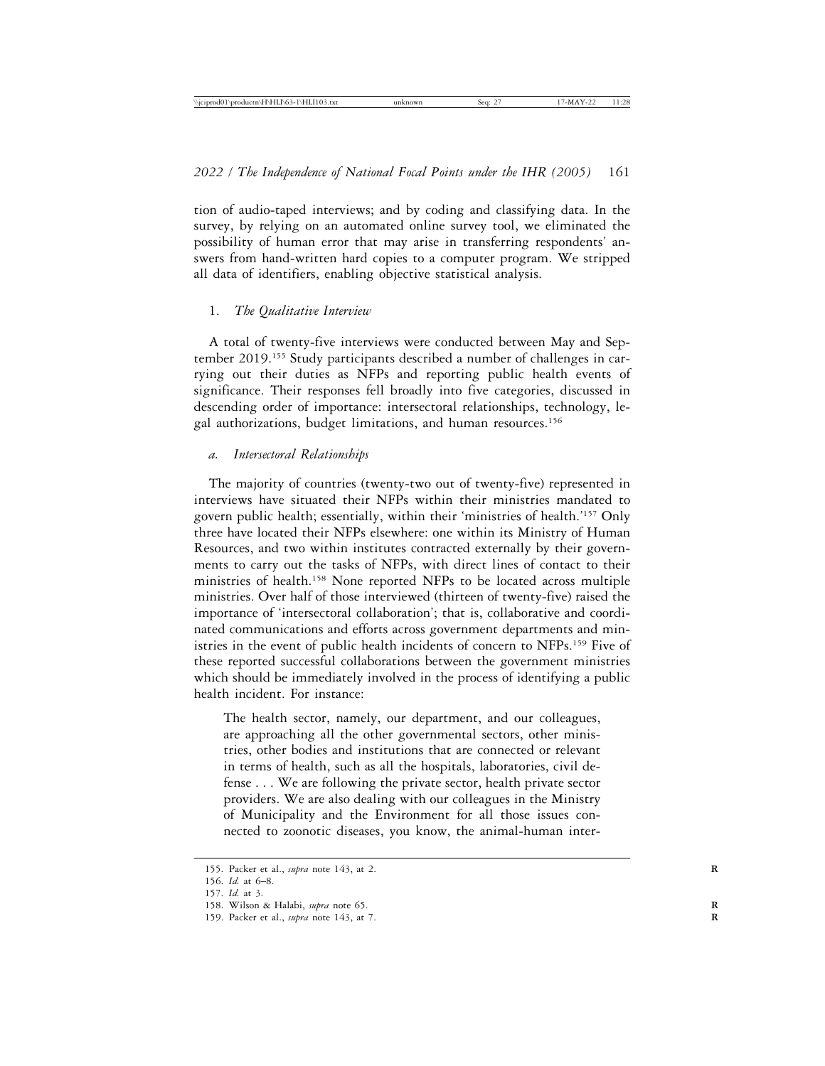tion of audio-taped interviews; and by coding and classifying data. In the survey, by relying on an automated online survey tool, we eliminated the possibility of human error that may arise in transferring respondents' answers from hand-written hard copies to a computer program. We stripped all data of identifiers, enabling objective statistical analysis.

## 1. *The Qualitative Interview*

A total of twenty-five interviews were conducted between May and September 2019.155 Study participants described a number of challenges in carrying out their duties as NFPs and reporting public health events of significance. Their responses fell broadly into five categories, discussed in descending order of importance: intersectoral relationships, technology, legal authorizations, budget limitations, and human resources.156

## *a. Intersectoral Relationships*

The majority of countries (twenty-two out of twenty-five) represented in interviews have situated their NFPs within their ministries mandated to govern public health; essentially, within their 'ministries of health.'157 Only three have located their NFPs elsewhere: one within its Ministry of Human Resources, and two within institutes contracted externally by their governments to carry out the tasks of NFPs, with direct lines of contact to their ministries of health.158 None reported NFPs to be located across multiple ministries. Over half of those interviewed (thirteen of twenty-five) raised the importance of 'intersectoral collaboration'; that is, collaborative and coordinated communications and efforts across government departments and ministries in the event of public health incidents of concern to NFPs.159 Five of these reported successful collaborations between the government ministries which should be immediately involved in the process of identifying a public health incident. For instance:

The health sector, namely, our department, and our colleagues, are approaching all the other governmental sectors, other ministries, other bodies and institutions that are connected or relevant in terms of health, such as all the hospitals, laboratories, civil defense . . . We are following the private sector, health private sector providers. We are also dealing with our colleagues in the Ministry of Municipality and the Environment for all those issues connected to zoonotic diseases, you know, the animal-human inter-

<sup>155.</sup> Packer et al., *supra* note 143, at 2. **R**

<sup>156.</sup> *Id.* at 6–8.

<sup>157.</sup> *Id.* at 3.

<sup>158.</sup> Wilson & Halabi, *supra* note 65. **R**

<sup>159.</sup> Packer et al., *supra* note 143, at 7. **R**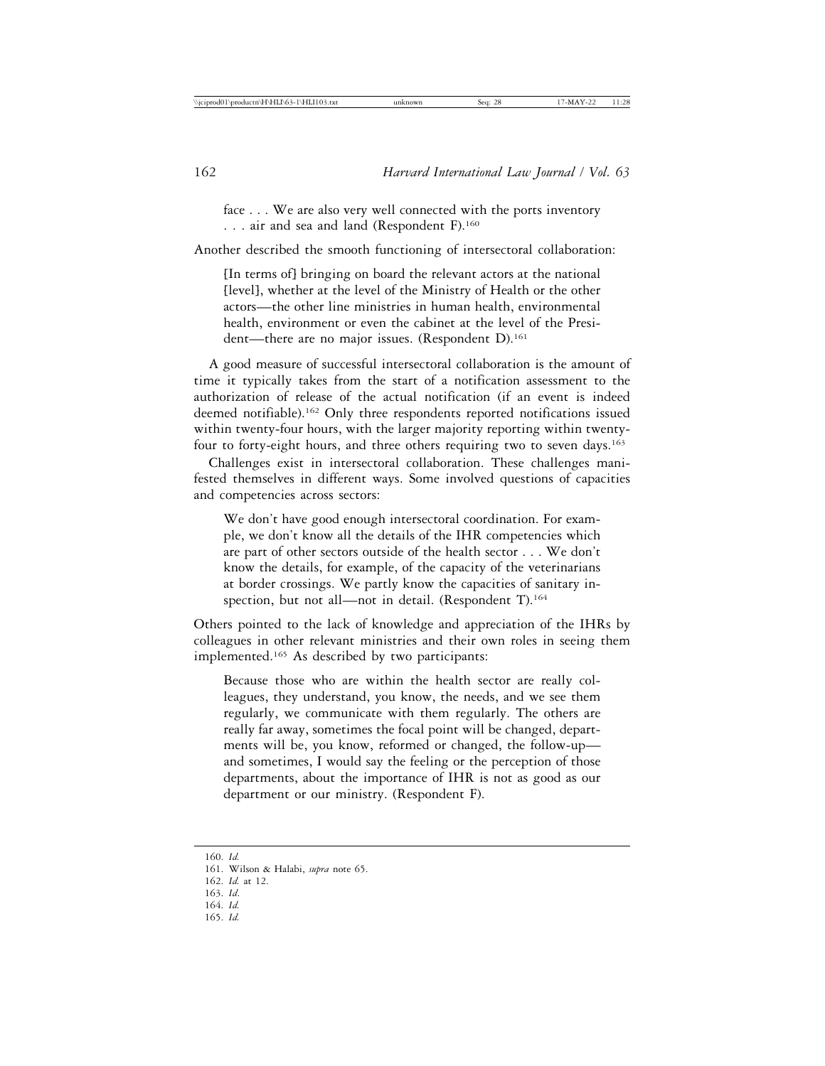face . . . We are also very well connected with the ports inventory . . . air and sea and land (Respondent F).160

Another described the smooth functioning of intersectoral collaboration:

[In terms of] bringing on board the relevant actors at the national [level], whether at the level of the Ministry of Health or the other actors—the other line ministries in human health, environmental health, environment or even the cabinet at the level of the President—there are no major issues. (Respondent D).<sup>161</sup>

A good measure of successful intersectoral collaboration is the amount of time it typically takes from the start of a notification assessment to the authorization of release of the actual notification (if an event is indeed deemed notifiable).162 Only three respondents reported notifications issued within twenty-four hours, with the larger majority reporting within twentyfour to forty-eight hours, and three others requiring two to seven days.<sup>163</sup>

Challenges exist in intersectoral collaboration. These challenges manifested themselves in different ways. Some involved questions of capacities and competencies across sectors:

We don't have good enough intersectoral coordination. For example, we don't know all the details of the IHR competencies which are part of other sectors outside of the health sector . . . We don't know the details, for example, of the capacity of the veterinarians at border crossings. We partly know the capacities of sanitary inspection, but not all—not in detail. (Respondent T).<sup>164</sup>

Others pointed to the lack of knowledge and appreciation of the IHRs by colleagues in other relevant ministries and their own roles in seeing them implemented.165 As described by two participants:

Because those who are within the health sector are really colleagues, they understand, you know, the needs, and we see them regularly, we communicate with them regularly. The others are really far away, sometimes the focal point will be changed, departments will be, you know, reformed or changed, the follow-up and sometimes, I would say the feeling or the perception of those departments, about the importance of IHR is not as good as our department or our ministry. (Respondent F).

165. *Id.*

<sup>160.</sup> *Id.*

<sup>161.</sup> Wilson & Halabi, *supra* note 65.

<sup>162.</sup> *Id.* at 12.

<sup>163.</sup> *Id*.

<sup>164.</sup> *Id.*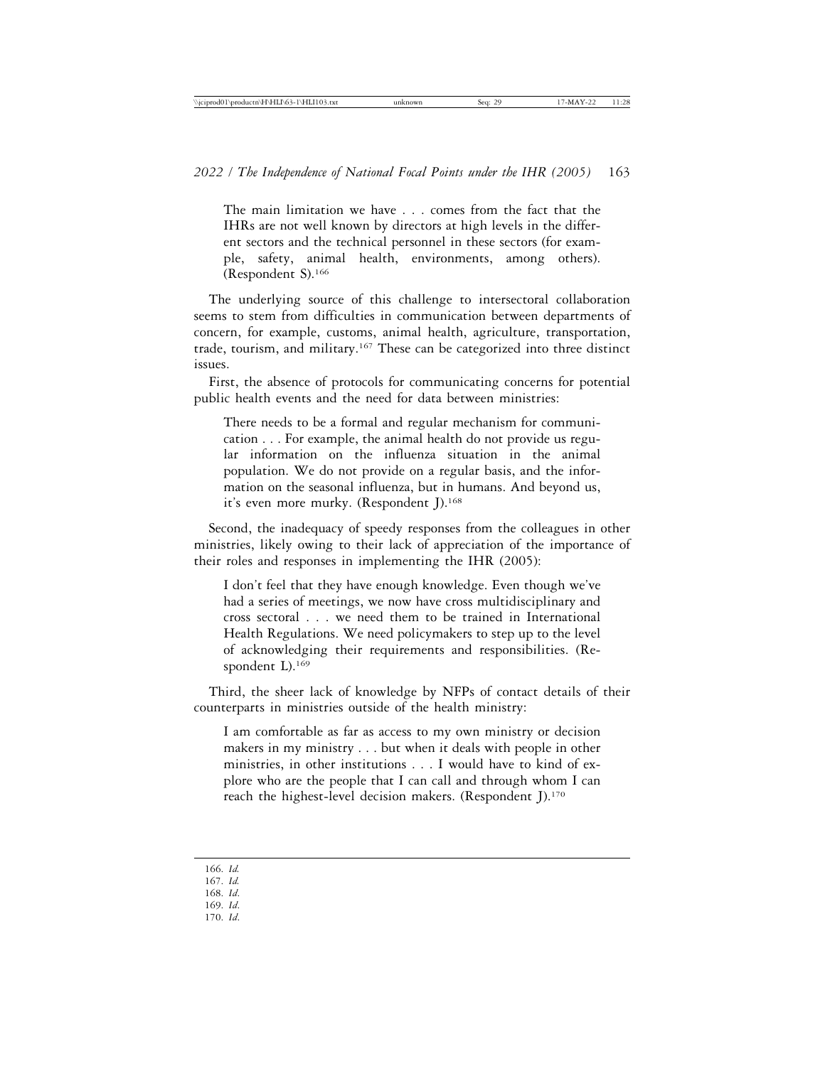The main limitation we have . . . comes from the fact that the IHRs are not well known by directors at high levels in the different sectors and the technical personnel in these sectors (for example, safety, animal health, environments, among others). (Respondent S).166

The underlying source of this challenge to intersectoral collaboration seems to stem from difficulties in communication between departments of concern, for example, customs, animal health, agriculture, transportation, trade, tourism, and military.167 These can be categorized into three distinct issues.

First, the absence of protocols for communicating concerns for potential public health events and the need for data between ministries:

There needs to be a formal and regular mechanism for communication . . . For example, the animal health do not provide us regular information on the influenza situation in the animal population. We do not provide on a regular basis, and the information on the seasonal influenza, but in humans. And beyond us, it's even more murky. (Respondent J).168

Second, the inadequacy of speedy responses from the colleagues in other ministries, likely owing to their lack of appreciation of the importance of their roles and responses in implementing the IHR (2005):

I don't feel that they have enough knowledge. Even though we've had a series of meetings, we now have cross multidisciplinary and cross sectoral . . . we need them to be trained in International Health Regulations. We need policymakers to step up to the level of acknowledging their requirements and responsibilities. (Respondent L).<sup>169</sup>

Third, the sheer lack of knowledge by NFPs of contact details of their counterparts in ministries outside of the health ministry:

I am comfortable as far as access to my own ministry or decision makers in my ministry . . . but when it deals with people in other ministries, in other institutions . . . I would have to kind of explore who are the people that I can call and through whom I can reach the highest-level decision makers. (Respondent J).<sup>170</sup>

166. *Id.*

- 167. *Id.*
- 168. *Id*.
- 169. *Id*.
- 170. *Id*.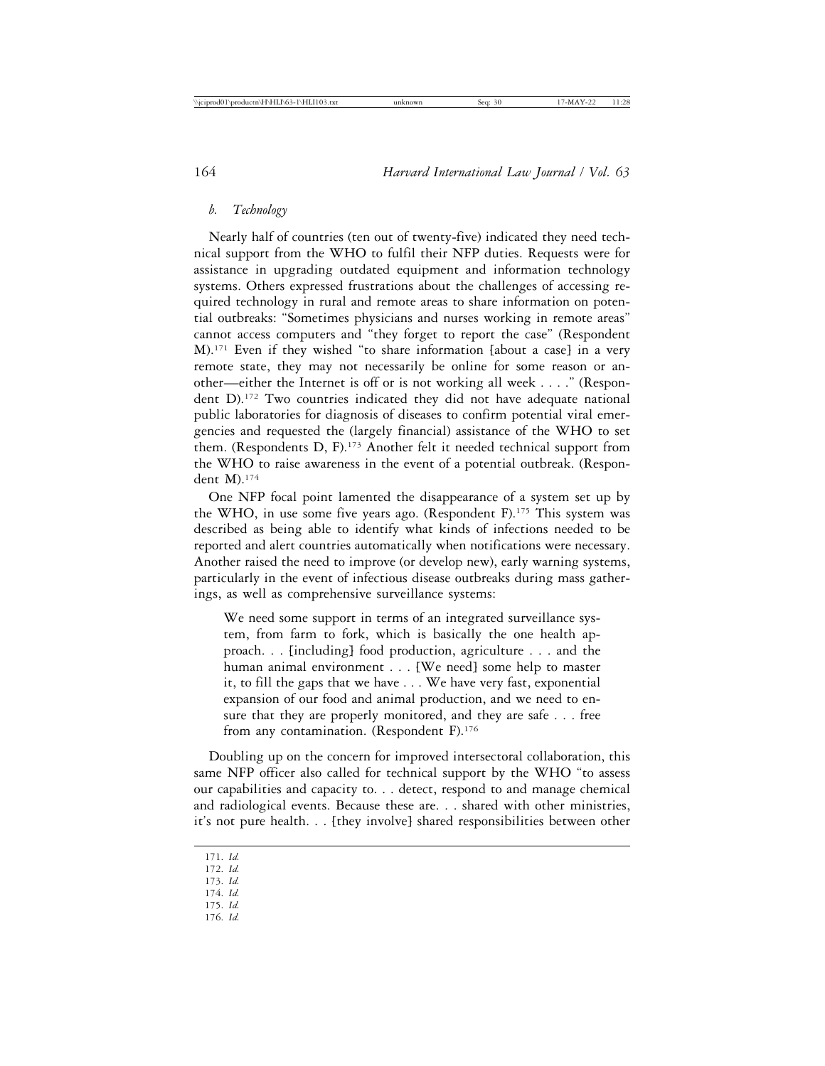# *b. Technology*

Nearly half of countries (ten out of twenty-five) indicated they need technical support from the WHO to fulfil their NFP duties. Requests were for assistance in upgrading outdated equipment and information technology systems. Others expressed frustrations about the challenges of accessing required technology in rural and remote areas to share information on potential outbreaks: "Sometimes physicians and nurses working in remote areas" cannot access computers and "they forget to report the case" (Respondent M).171 Even if they wished "to share information [about a case] in a very remote state, they may not necessarily be online for some reason or another—either the Internet is off or is not working all week . . . ." (Respondent D).172 Two countries indicated they did not have adequate national public laboratories for diagnosis of diseases to confirm potential viral emergencies and requested the (largely financial) assistance of the WHO to set them. (Respondents D, F).173 Another felt it needed technical support from the WHO to raise awareness in the event of a potential outbreak. (Respondent M).174

One NFP focal point lamented the disappearance of a system set up by the WHO, in use some five years ago. (Respondent F).175 This system was described as being able to identify what kinds of infections needed to be reported and alert countries automatically when notifications were necessary. Another raised the need to improve (or develop new), early warning systems, particularly in the event of infectious disease outbreaks during mass gatherings, as well as comprehensive surveillance systems:

We need some support in terms of an integrated surveillance system, from farm to fork, which is basically the one health approach. . . [including] food production, agriculture . . . and the human animal environment . . . [We need] some help to master it, to fill the gaps that we have . . . We have very fast, exponential expansion of our food and animal production, and we need to ensure that they are properly monitored, and they are safe . . . free from any contamination. (Respondent F).<sup>176</sup>

Doubling up on the concern for improved intersectoral collaboration, this same NFP officer also called for technical support by the WHO "to assess our capabilities and capacity to. . . detect, respond to and manage chemical and radiological events. Because these are. . . shared with other ministries, it's not pure health. . . [they involve] shared responsibilities between other

- 172. *Id.*
- 173. *Id.*
- 174. *Id.*
- 175. *Id.* 176. *Id.*

<sup>171.</sup> *Id.*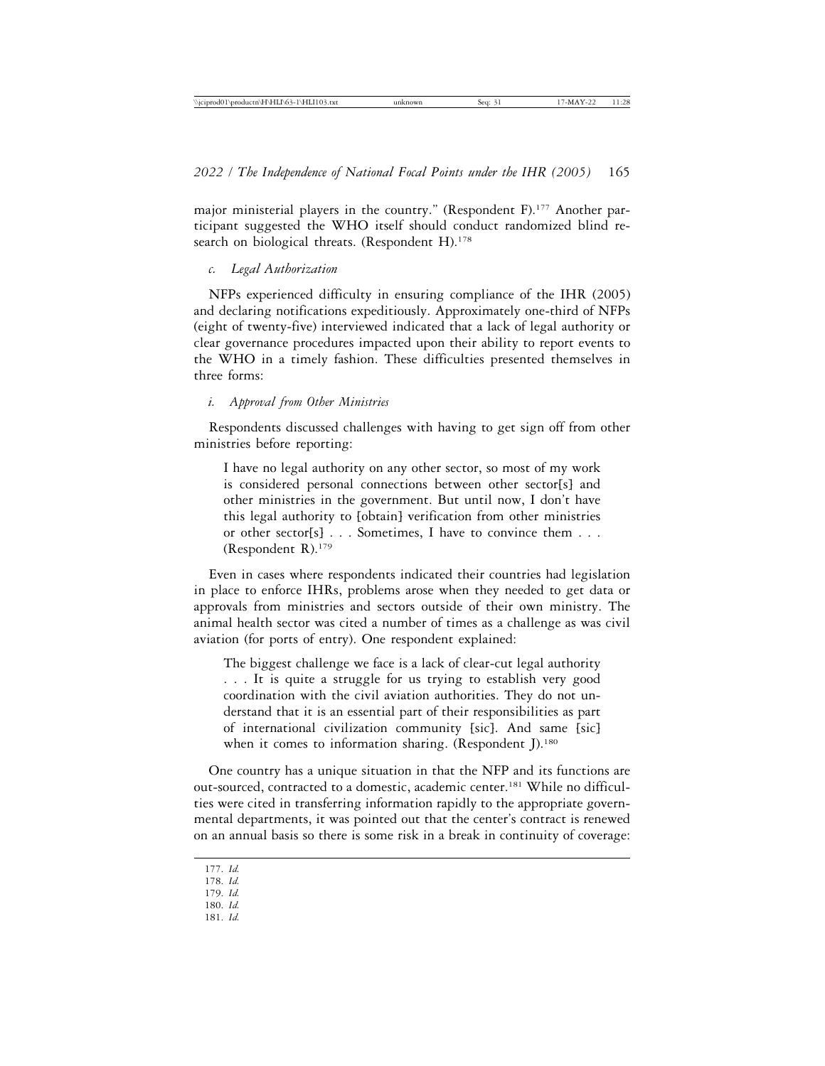major ministerial players in the country." (Respondent F).<sup>177</sup> Another participant suggested the WHO itself should conduct randomized blind research on biological threats. (Respondent H).<sup>178</sup>

#### *c. Legal Authorization*

NFPs experienced difficulty in ensuring compliance of the IHR (2005) and declaring notifications expeditiously. Approximately one-third of NFPs (eight of twenty-five) interviewed indicated that a lack of legal authority or clear governance procedures impacted upon their ability to report events to the WHO in a timely fashion. These difficulties presented themselves in three forms:

#### *i. Approval from Other Ministries*

Respondents discussed challenges with having to get sign off from other ministries before reporting:

I have no legal authority on any other sector, so most of my work is considered personal connections between other sector[s] and other ministries in the government. But until now, I don't have this legal authority to [obtain] verification from other ministries or other sector[s] . . . Sometimes, I have to convince them . . . (Respondent R).179

Even in cases where respondents indicated their countries had legislation in place to enforce IHRs, problems arose when they needed to get data or approvals from ministries and sectors outside of their own ministry. The animal health sector was cited a number of times as a challenge as was civil aviation (for ports of entry). One respondent explained:

The biggest challenge we face is a lack of clear-cut legal authority . . . It is quite a struggle for us trying to establish very good coordination with the civil aviation authorities. They do not understand that it is an essential part of their responsibilities as part of international civilization community [sic]. And same [sic] when it comes to information sharing. (Respondent J).<sup>180</sup>

One country has a unique situation in that the NFP and its functions are out-sourced, contracted to a domestic, academic center.<sup>181</sup> While no difficulties were cited in transferring information rapidly to the appropriate governmental departments, it was pointed out that the center's contract is renewed on an annual basis so there is some risk in a break in continuity of coverage:

180. *Id.* 181. *Id.*

<sup>177.</sup> *Id.*

<sup>178.</sup> *Id.*

<sup>179.</sup> *Id.*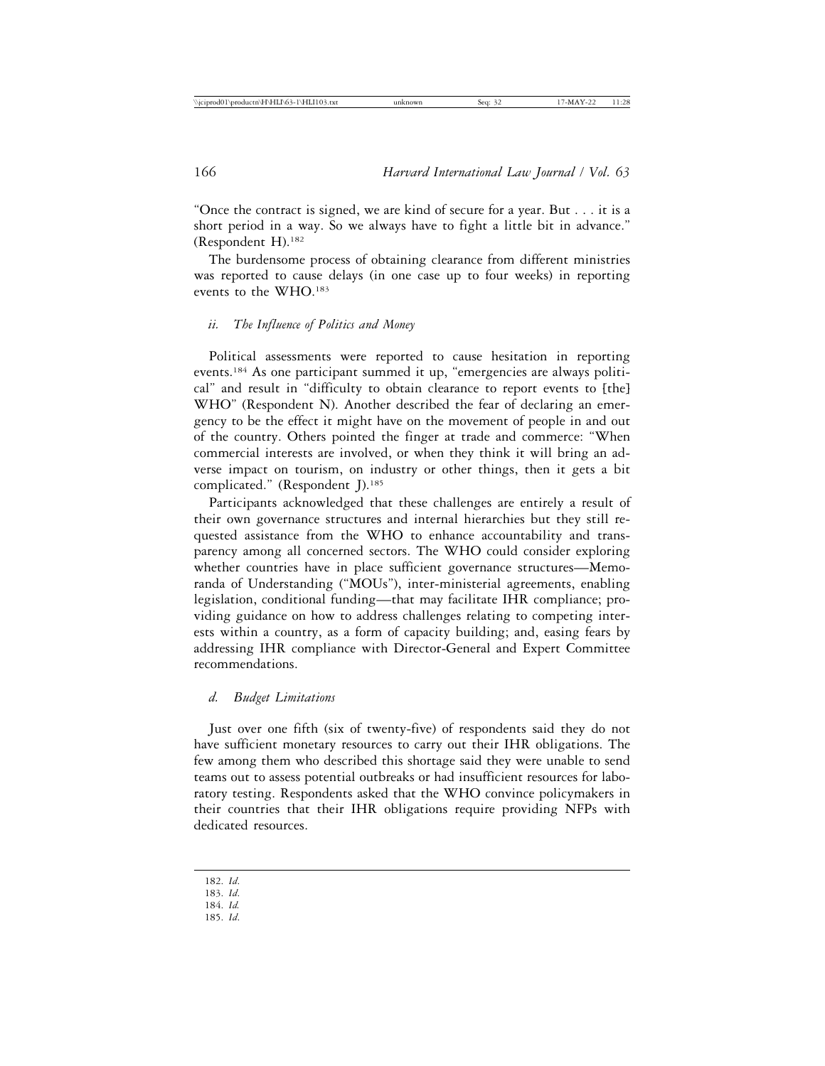"Once the contract is signed, we are kind of secure for a year. But . . . it is a short period in a way. So we always have to fight a little bit in advance." (Respondent H).182

The burdensome process of obtaining clearance from different ministries was reported to cause delays (in one case up to four weeks) in reporting events to the WHO.183

## *ii. The Influence of Politics and Money*

Political assessments were reported to cause hesitation in reporting events.184 As one participant summed it up, "emergencies are always political" and result in "difficulty to obtain clearance to report events to [the] WHO" (Respondent N). Another described the fear of declaring an emergency to be the effect it might have on the movement of people in and out of the country. Others pointed the finger at trade and commerce: "When commercial interests are involved, or when they think it will bring an adverse impact on tourism, on industry or other things, then it gets a bit complicated." (Respondent J).<sup>185</sup>

Participants acknowledged that these challenges are entirely a result of their own governance structures and internal hierarchies but they still requested assistance from the WHO to enhance accountability and transparency among all concerned sectors. The WHO could consider exploring whether countries have in place sufficient governance structures—Memoranda of Understanding ("MOUs"), inter-ministerial agreements, enabling legislation, conditional funding—that may facilitate IHR compliance; providing guidance on how to address challenges relating to competing interests within a country, as a form of capacity building; and, easing fears by addressing IHR compliance with Director-General and Expert Committee recommendations.

#### *d. Budget Limitations*

Just over one fifth (six of twenty-five) of respondents said they do not have sufficient monetary resources to carry out their IHR obligations. The few among them who described this shortage said they were unable to send teams out to assess potential outbreaks or had insufficient resources for laboratory testing. Respondents asked that the WHO convince policymakers in their countries that their IHR obligations require providing NFPs with dedicated resources.

<sup>182.</sup> *Id*.

<sup>183.</sup> *Id*.

<sup>184.</sup> *Id.*

<sup>185.</sup> *Id*.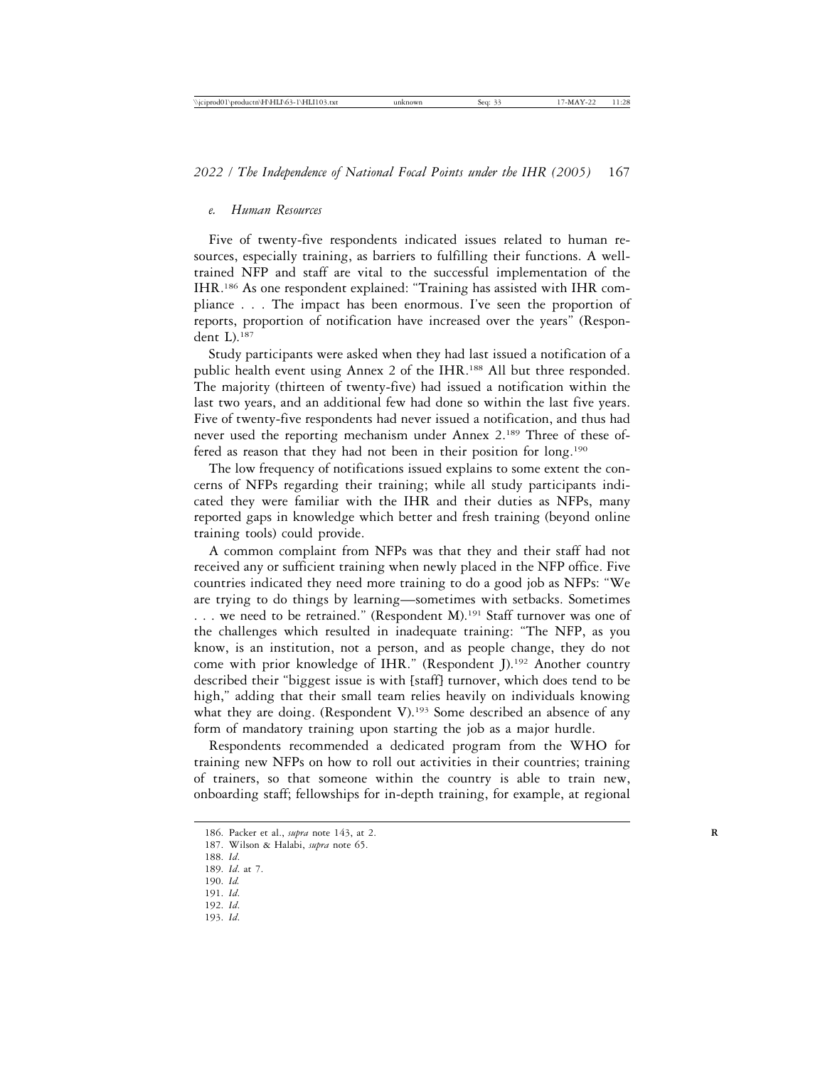#### *e. Human Resources*

Five of twenty-five respondents indicated issues related to human resources, especially training, as barriers to fulfilling their functions. A welltrained NFP and staff are vital to the successful implementation of the IHR.186 As one respondent explained: "Training has assisted with IHR compliance . . . The impact has been enormous. I've seen the proportion of reports, proportion of notification have increased over the years" (Respondent L).187

Study participants were asked when they had last issued a notification of a public health event using Annex 2 of the IHR.188 All but three responded. The majority (thirteen of twenty-five) had issued a notification within the last two years, and an additional few had done so within the last five years. Five of twenty-five respondents had never issued a notification, and thus had never used the reporting mechanism under Annex 2.189 Three of these offered as reason that they had not been in their position for long.<sup>190</sup>

The low frequency of notifications issued explains to some extent the concerns of NFPs regarding their training; while all study participants indicated they were familiar with the IHR and their duties as NFPs, many reported gaps in knowledge which better and fresh training (beyond online training tools) could provide.

A common complaint from NFPs was that they and their staff had not received any or sufficient training when newly placed in the NFP office. Five countries indicated they need more training to do a good job as NFPs: "We are trying to do things by learning—sometimes with setbacks. Sometimes ... we need to be retrained." (Respondent M).<sup>191</sup> Staff turnover was one of the challenges which resulted in inadequate training: "The NFP, as you know, is an institution, not a person, and as people change, they do not come with prior knowledge of IHR." (Respondent J).192 Another country described their "biggest issue is with [staff] turnover, which does tend to be high," adding that their small team relies heavily on individuals knowing what they are doing. (Respondent V).<sup>193</sup> Some described an absence of any form of mandatory training upon starting the job as a major hurdle.

Respondents recommended a dedicated program from the WHO for training new NFPs on how to roll out activities in their countries; training of trainers, so that someone within the country is able to train new, onboarding staff; fellowships for in-depth training, for example, at regional

- 190. *Id.* 191. *Id*.
- 192. *Id*.
- 193. *Id*.

<sup>186.</sup> Packer et al., *supra* note 143, at 2. **R**

<sup>187.</sup> Wilson & Halabi, *supra* note 65.

<sup>188.</sup> *Id*.

<sup>189.</sup> *Id*. at 7.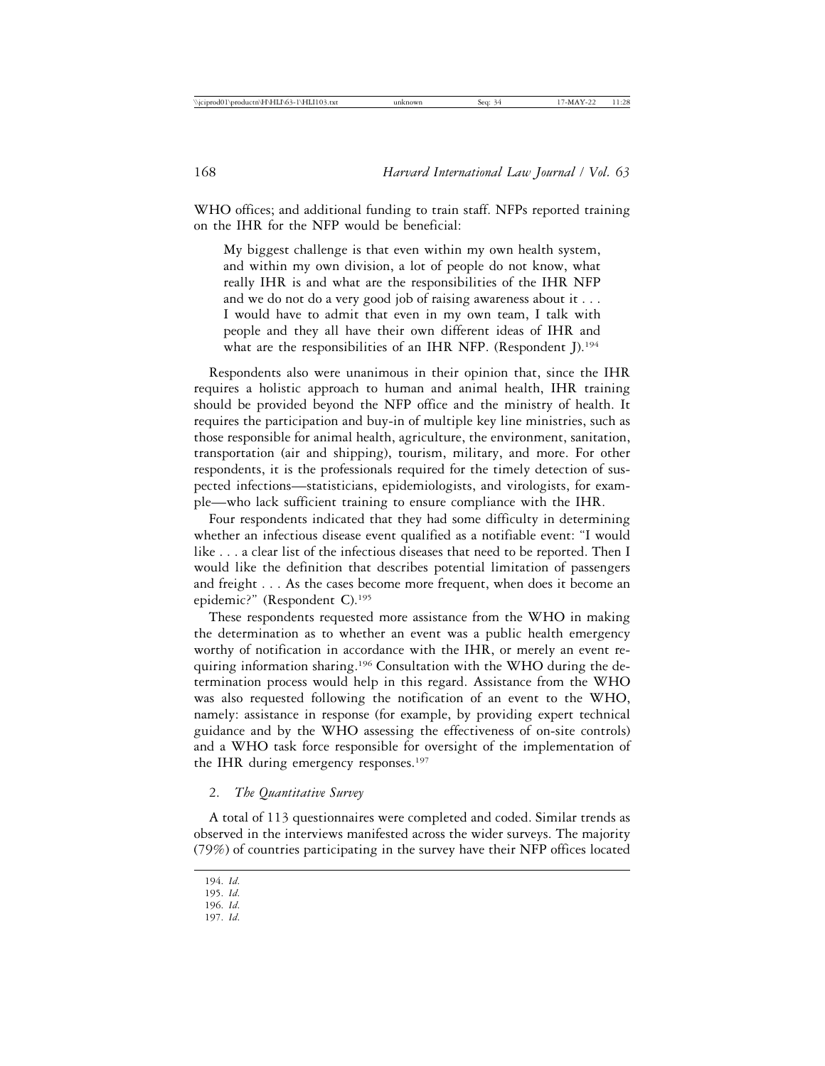WHO offices; and additional funding to train staff. NFPs reported training on the IHR for the NFP would be beneficial:

My biggest challenge is that even within my own health system, and within my own division, a lot of people do not know, what really IHR is and what are the responsibilities of the IHR NFP and we do not do a very good job of raising awareness about it . . . I would have to admit that even in my own team, I talk with people and they all have their own different ideas of IHR and what are the responsibilities of an IHR NFP. (Respondent J).<sup>194</sup>

Respondents also were unanimous in their opinion that, since the IHR requires a holistic approach to human and animal health, IHR training should be provided beyond the NFP office and the ministry of health. It requires the participation and buy-in of multiple key line ministries, such as those responsible for animal health, agriculture, the environment, sanitation, transportation (air and shipping), tourism, military, and more. For other respondents, it is the professionals required for the timely detection of suspected infections—statisticians, epidemiologists, and virologists, for example—who lack sufficient training to ensure compliance with the IHR.

Four respondents indicated that they had some difficulty in determining whether an infectious disease event qualified as a notifiable event: "I would like . . . a clear list of the infectious diseases that need to be reported. Then I would like the definition that describes potential limitation of passengers and freight . . . As the cases become more frequent, when does it become an epidemic?" (Respondent C).195

These respondents requested more assistance from the WHO in making the determination as to whether an event was a public health emergency worthy of notification in accordance with the IHR, or merely an event requiring information sharing.<sup>196</sup> Consultation with the WHO during the determination process would help in this regard. Assistance from the WHO was also requested following the notification of an event to the WHO, namely: assistance in response (for example, by providing expert technical guidance and by the WHO assessing the effectiveness of on-site controls) and a WHO task force responsible for oversight of the implementation of the IHR during emergency responses.<sup>197</sup>

## 2. *The Quantitative Survey*

A total of 113 questionnaires were completed and coded. Similar trends as observed in the interviews manifested across the wider surveys. The majority (79%) of countries participating in the survey have their NFP offices located

197. *Id*.

<sup>194.</sup> *Id*.

<sup>195.</sup> *Id*.

<sup>196.</sup> *Id*.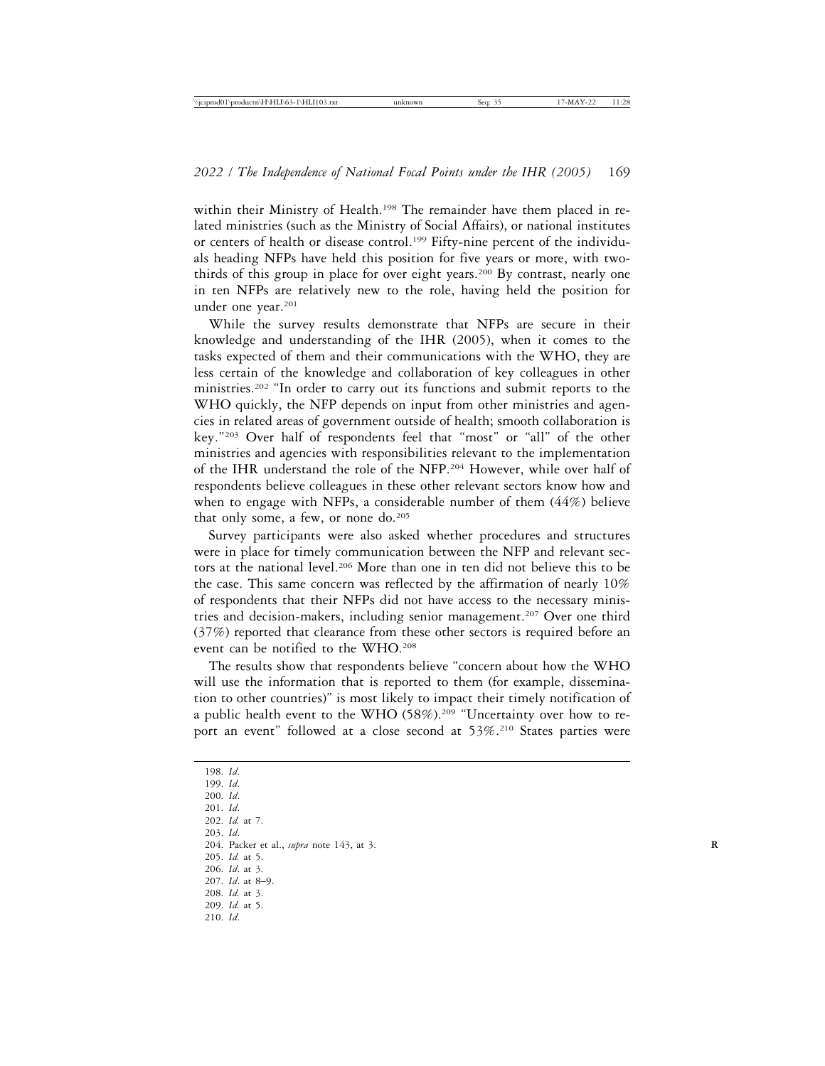within their Ministry of Health.<sup>198</sup> The remainder have them placed in related ministries (such as the Ministry of Social Affairs), or national institutes or centers of health or disease control.199 Fifty-nine percent of the individuals heading NFPs have held this position for five years or more, with twothirds of this group in place for over eight years.<sup>200</sup> By contrast, nearly one in ten NFPs are relatively new to the role, having held the position for under one year.<sup>201</sup>

While the survey results demonstrate that NFPs are secure in their knowledge and understanding of the IHR (2005), when it comes to the tasks expected of them and their communications with the WHO, they are less certain of the knowledge and collaboration of key colleagues in other ministries.202 "In order to carry out its functions and submit reports to the WHO quickly, the NFP depends on input from other ministries and agencies in related areas of government outside of health; smooth collaboration is key."203 Over half of respondents feel that "most" or "all" of the other ministries and agencies with responsibilities relevant to the implementation of the IHR understand the role of the NFP.204 However, while over half of respondents believe colleagues in these other relevant sectors know how and when to engage with NFPs, a considerable number of them (44%) believe that only some, a few, or none do.<sup>205</sup>

Survey participants were also asked whether procedures and structures were in place for timely communication between the NFP and relevant sectors at the national level.<sup>206</sup> More than one in ten did not believe this to be the case. This same concern was reflected by the affirmation of nearly 10% of respondents that their NFPs did not have access to the necessary ministries and decision-makers, including senior management.207 Over one third (37%) reported that clearance from these other sectors is required before an event can be notified to the WHO.208

The results show that respondents believe "concern about how the WHO will use the information that is reported to them (for example, dissemination to other countries)" is most likely to impact their timely notification of a public health event to the WHO (58%).<sup>209</sup> "Uncertainty over how to report an event" followed at a close second at 53%.<sup>210</sup> States parties were

198. *Id*. 199. *Id*. 200. *Id*. 201. *Id*. 202. *Id.* at 7. 203. *Id*. 204. Packer et al., *supra* note 143, at 3. **R** 205. *Id.* at 5. 206. *Id*. at 3. 207. *Id*. at 8–9. 208. *Id.* at 3. 209. *Id.* at 5. 210. *Id*.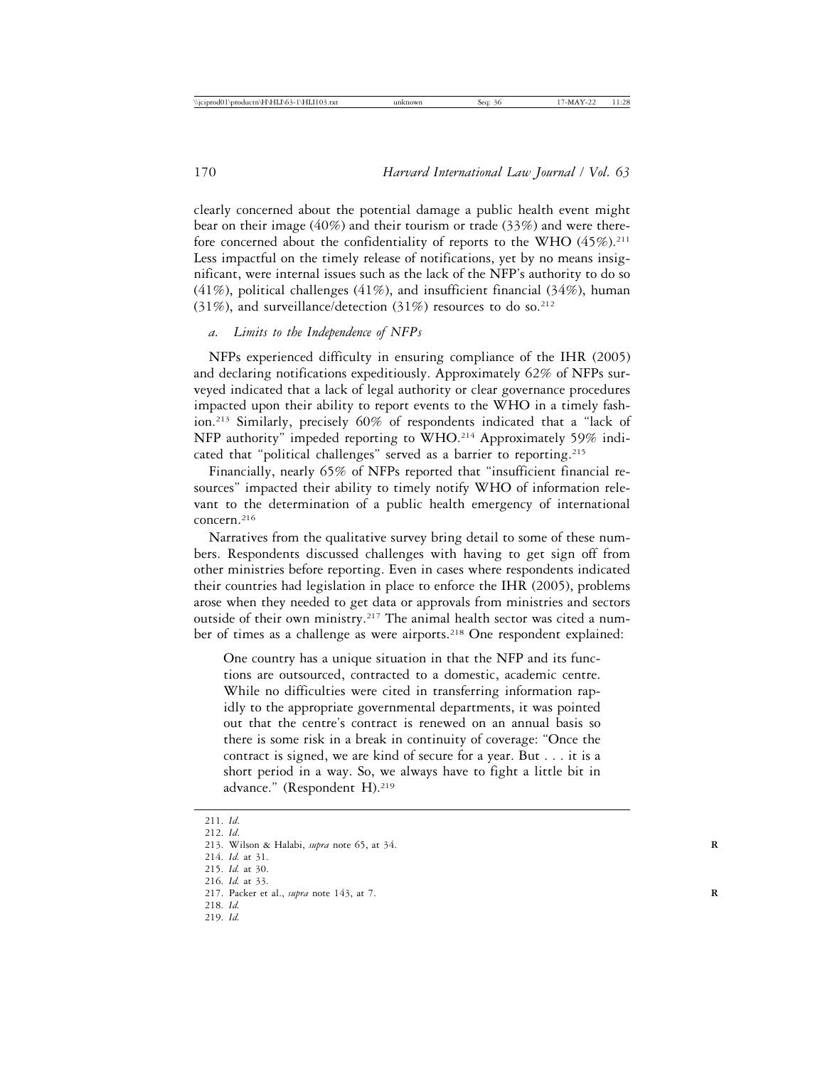clearly concerned about the potential damage a public health event might bear on their image (40%) and their tourism or trade (33%) and were therefore concerned about the confidentiality of reports to the WHO  $(45\%)$ .<sup>211</sup> Less impactful on the timely release of notifications, yet by no means insignificant, were internal issues such as the lack of the NFP's authority to do so  $(41\%)$ , political challenges  $(41\%)$ , and insufficient financial  $(34\%)$ , human (31%), and surveillance/detection (31%) resources to do so.<sup>212</sup>

# *a. Limits to the Independence of NFPs*

NFPs experienced difficulty in ensuring compliance of the IHR (2005) and declaring notifications expeditiously. Approximately 62% of NFPs surveyed indicated that a lack of legal authority or clear governance procedures impacted upon their ability to report events to the WHO in a timely fashion.213 Similarly, precisely 60% of respondents indicated that a "lack of NFP authority" impeded reporting to WHO.214 Approximately 59% indicated that "political challenges" served as a barrier to reporting.<sup>215</sup>

Financially, nearly 65% of NFPs reported that "insufficient financial resources" impacted their ability to timely notify WHO of information relevant to the determination of a public health emergency of international concern.216

Narratives from the qualitative survey bring detail to some of these numbers. Respondents discussed challenges with having to get sign off from other ministries before reporting. Even in cases where respondents indicated their countries had legislation in place to enforce the IHR (2005), problems arose when they needed to get data or approvals from ministries and sectors outside of their own ministry.<sup>217</sup> The animal health sector was cited a number of times as a challenge as were airports.<sup>218</sup> One respondent explained:

One country has a unique situation in that the NFP and its functions are outsourced, contracted to a domestic, academic centre. While no difficulties were cited in transferring information rapidly to the appropriate governmental departments, it was pointed out that the centre's contract is renewed on an annual basis so there is some risk in a break in continuity of coverage: "Once the contract is signed, we are kind of secure for a year. But . . . it is a short period in a way. So, we always have to fight a little bit in advance." (Respondent H).<sup>219</sup>

- 214. *Id.* at 31.
- 215. *Id.* at 30.
- 216. *Id.* at 33.

- 218. *Id.*
- 219. *Id.*

<sup>211.</sup> *Id*.

<sup>212.</sup> *Id*.

<sup>213.</sup> Wilson & Halabi, *supra* note 65, at 34. **R**

<sup>217.</sup> Packer et al., *supra* note 143, at 7. **R**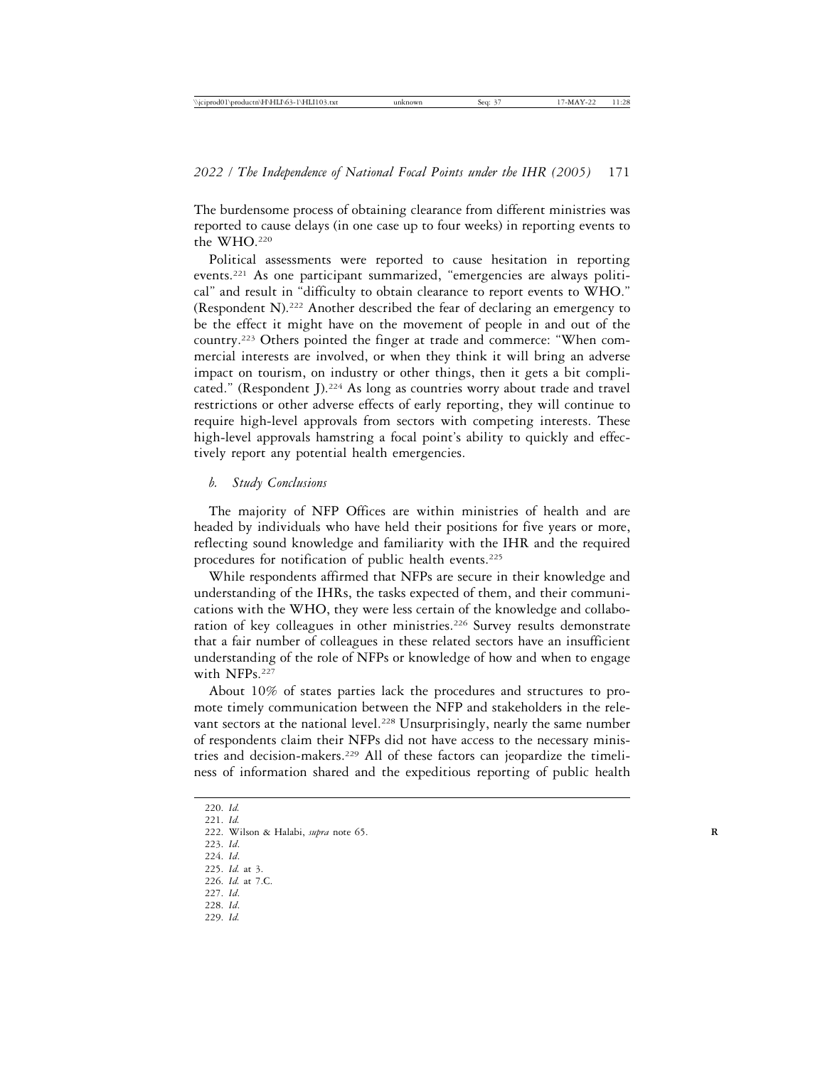The burdensome process of obtaining clearance from different ministries was reported to cause delays (in one case up to four weeks) in reporting events to the WHO.220

Political assessments were reported to cause hesitation in reporting events.221 As one participant summarized, "emergencies are always political" and result in "difficulty to obtain clearance to report events to WHO." (Respondent N).222 Another described the fear of declaring an emergency to be the effect it might have on the movement of people in and out of the country.223 Others pointed the finger at trade and commerce: "When commercial interests are involved, or when they think it will bring an adverse impact on tourism, on industry or other things, then it gets a bit complicated." (Respondent J).224 As long as countries worry about trade and travel restrictions or other adverse effects of early reporting, they will continue to require high-level approvals from sectors with competing interests. These high-level approvals hamstring a focal point's ability to quickly and effectively report any potential health emergencies.

#### *b. Study Conclusions*

The majority of NFP Offices are within ministries of health and are headed by individuals who have held their positions for five years or more, reflecting sound knowledge and familiarity with the IHR and the required procedures for notification of public health events.<sup>225</sup>

While respondents affirmed that NFPs are secure in their knowledge and understanding of the IHRs, the tasks expected of them, and their communications with the WHO, they were less certain of the knowledge and collaboration of key colleagues in other ministries.<sup>226</sup> Survey results demonstrate that a fair number of colleagues in these related sectors have an insufficient understanding of the role of NFPs or knowledge of how and when to engage with NFPs.<sup>227</sup>

About 10% of states parties lack the procedures and structures to promote timely communication between the NFP and stakeholders in the relevant sectors at the national level.<sup>228</sup> Unsurprisingly, nearly the same number of respondents claim their NFPs did not have access to the necessary ministries and decision-makers.229 All of these factors can jeopardize the timeliness of information shared and the expeditious reporting of public health

220. *Id.*

221. *Id.*

- 223. *Id*.
- 224. *Id*.

- 228. *Id*.
- 229. *Id.*

<sup>222.</sup> Wilson & Halabi, *supra* note 65. **R**

<sup>225.</sup> *Id.* at 3. 226. *Id.* at 7.C.

<sup>227.</sup> *Id*.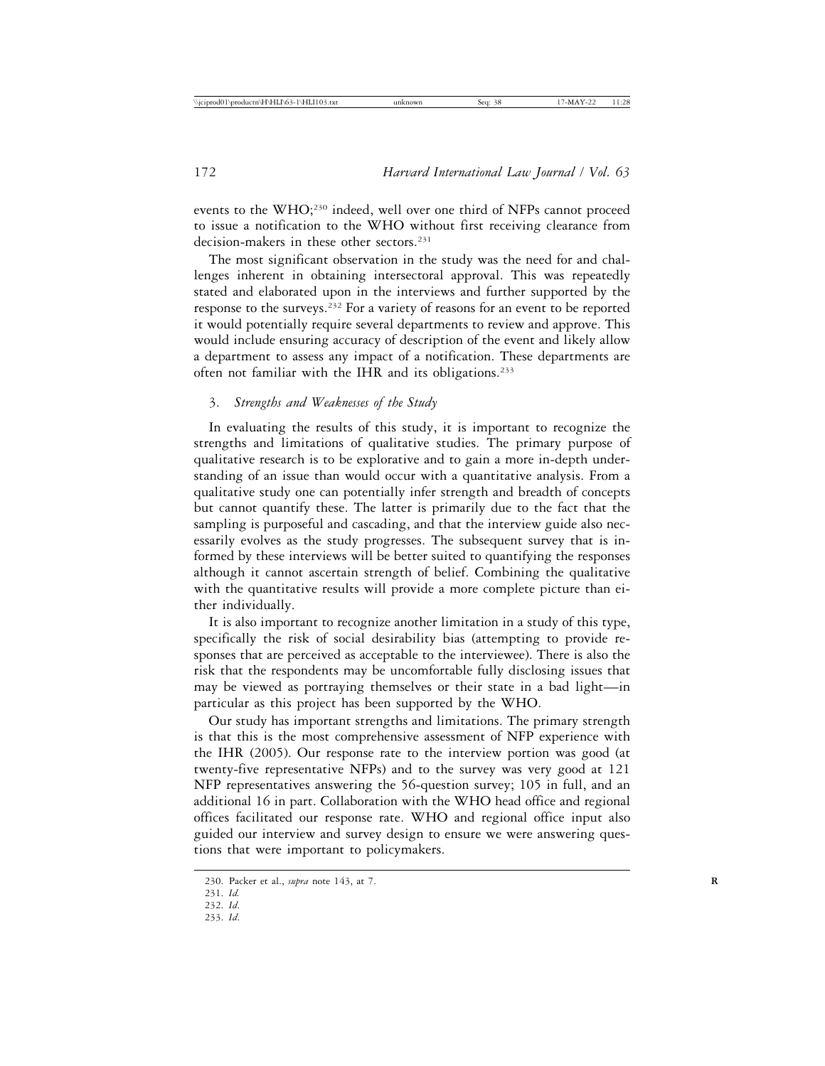events to the WHO;<sup>230</sup> indeed, well over one third of NFPs cannot proceed to issue a notification to the WHO without first receiving clearance from decision-makers in these other sectors.<sup>231</sup>

The most significant observation in the study was the need for and challenges inherent in obtaining intersectoral approval. This was repeatedly stated and elaborated upon in the interviews and further supported by the response to the surveys.<sup>232</sup> For a variety of reasons for an event to be reported it would potentially require several departments to review and approve. This would include ensuring accuracy of description of the event and likely allow a department to assess any impact of a notification. These departments are often not familiar with the IHR and its obligations.233

# 3. *Strengths and Weaknesses of the Study*

In evaluating the results of this study, it is important to recognize the strengths and limitations of qualitative studies. The primary purpose of qualitative research is to be explorative and to gain a more in-depth understanding of an issue than would occur with a quantitative analysis. From a qualitative study one can potentially infer strength and breadth of concepts but cannot quantify these. The latter is primarily due to the fact that the sampling is purposeful and cascading, and that the interview guide also necessarily evolves as the study progresses. The subsequent survey that is informed by these interviews will be better suited to quantifying the responses although it cannot ascertain strength of belief. Combining the qualitative with the quantitative results will provide a more complete picture than either individually.

It is also important to recognize another limitation in a study of this type, specifically the risk of social desirability bias (attempting to provide responses that are perceived as acceptable to the interviewee). There is also the risk that the respondents may be uncomfortable fully disclosing issues that may be viewed as portraying themselves or their state in a bad light—in particular as this project has been supported by the WHO.

Our study has important strengths and limitations. The primary strength is that this is the most comprehensive assessment of NFP experience with the IHR (2005). Our response rate to the interview portion was good (at twenty-five representative NFPs) and to the survey was very good at 121 NFP representatives answering the 56-question survey; 105 in full, and an additional 16 in part. Collaboration with the WHO head office and regional offices facilitated our response rate. WHO and regional office input also guided our interview and survey design to ensure we were answering questions that were important to policymakers.

233. *Id*.

<sup>230.</sup> Packer et al., *supra* note 143, at 7. **R**

<sup>231.</sup> *Id.*

<sup>232.</sup> *Id*.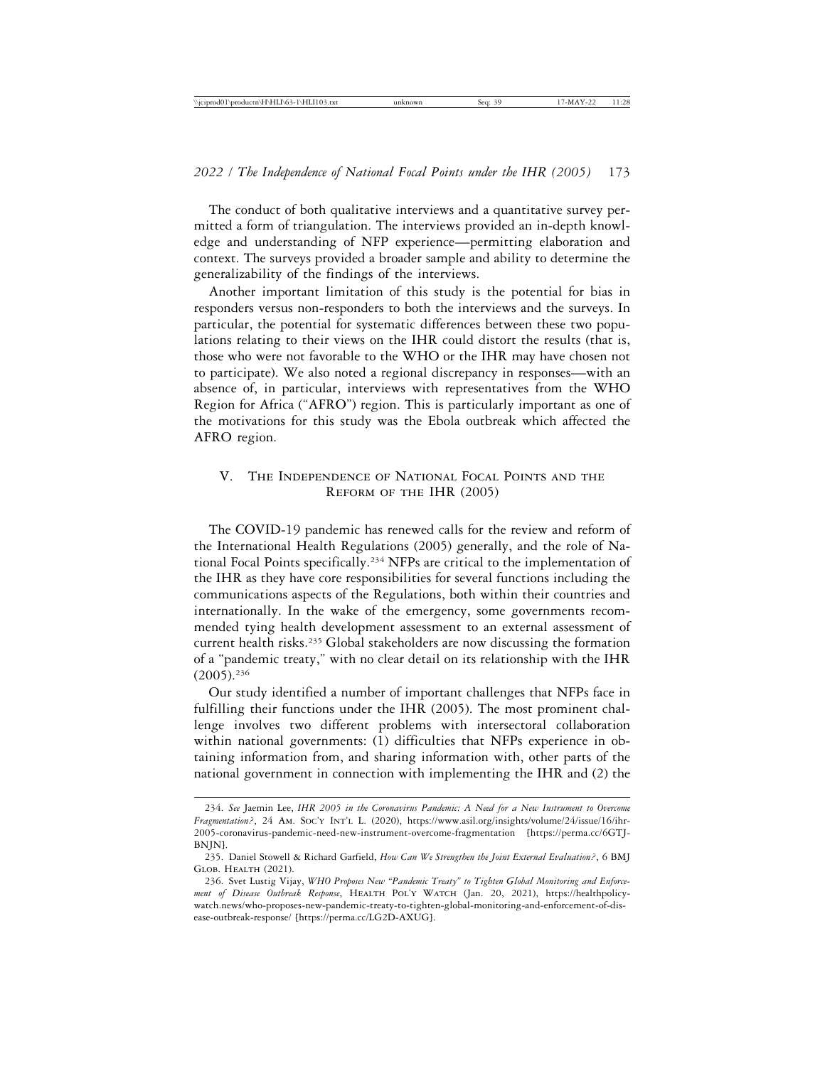The conduct of both qualitative interviews and a quantitative survey permitted a form of triangulation. The interviews provided an in-depth knowledge and understanding of NFP experience—permitting elaboration and context. The surveys provided a broader sample and ability to determine the generalizability of the findings of the interviews.

Another important limitation of this study is the potential for bias in responders versus non-responders to both the interviews and the surveys. In particular, the potential for systematic differences between these two populations relating to their views on the IHR could distort the results (that is, those who were not favorable to the WHO or the IHR may have chosen not to participate). We also noted a regional discrepancy in responses—with an absence of, in particular, interviews with representatives from the WHO Region for Africa ("AFRO") region. This is particularly important as one of the motivations for this study was the Ebola outbreak which affected the AFRO region.

# V. The Independence of National Focal Points and the Reform of the IHR (2005)

The COVID-19 pandemic has renewed calls for the review and reform of the International Health Regulations (2005) generally, and the role of National Focal Points specifically.234 NFPs are critical to the implementation of the IHR as they have core responsibilities for several functions including the communications aspects of the Regulations, both within their countries and internationally. In the wake of the emergency, some governments recommended tying health development assessment to an external assessment of current health risks.235 Global stakeholders are now discussing the formation of a "pandemic treaty," with no clear detail on its relationship with the IHR (2005).236

Our study identified a number of important challenges that NFPs face in fulfilling their functions under the IHR (2005). The most prominent challenge involves two different problems with intersectoral collaboration within national governments: (1) difficulties that NFPs experience in obtaining information from, and sharing information with, other parts of the national government in connection with implementing the IHR and (2) the

<sup>234.</sup> *See* Jaemin Lee, *IHR 2005 in the Coronavirus Pandemic: A Need for a New Instrument to Overcome Fragmentation?*, 24 Am. Soc'y Int'l L. (2020), https://www.asil.org/insights/volume/24/issue/16/ihr-2005-coronavirus-pandemic-need-new-instrument-overcome-fragmentation [https://perma.cc/6GTJ-BNJN].

<sup>235.</sup> Daniel Stowell & Richard Garfield, *How Can We Strengthen the Joint External Evaluation?*, 6 BMJ Glob. Health (2021).

<sup>236.</sup> Svet Lustig Vijay, *WHO Proposes New "Pandemic Treaty" to Tighten Global Monitoring and Enforcement of Disease Outbreak Response*, Health Pol'y Watch (Jan. 20, 2021), https://healthpolicywatch.news/who-proposes-new-pandemic-treaty-to-tighten-global-monitoring-and-enforcement-of-disease-outbreak-response/ [https://perma.cc/LG2D-AXUG].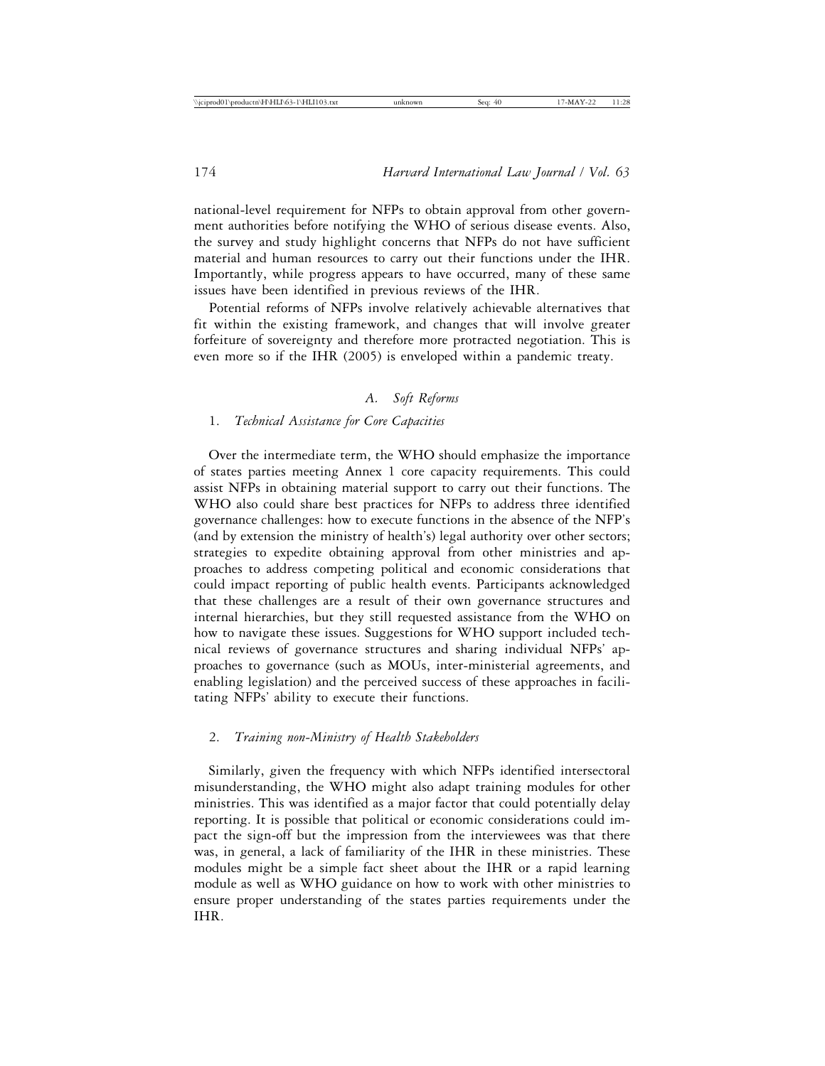national-level requirement for NFPs to obtain approval from other government authorities before notifying the WHO of serious disease events. Also, the survey and study highlight concerns that NFPs do not have sufficient material and human resources to carry out their functions under the IHR. Importantly, while progress appears to have occurred, many of these same issues have been identified in previous reviews of the IHR.

Potential reforms of NFPs involve relatively achievable alternatives that fit within the existing framework, and changes that will involve greater forfeiture of sovereignty and therefore more protracted negotiation. This is even more so if the IHR (2005) is enveloped within a pandemic treaty.

# *A. Soft Reforms*

# 1. *Technical Assistance for Core Capacities*

Over the intermediate term, the WHO should emphasize the importance of states parties meeting Annex 1 core capacity requirements. This could assist NFPs in obtaining material support to carry out their functions. The WHO also could share best practices for NFPs to address three identified governance challenges: how to execute functions in the absence of the NFP's (and by extension the ministry of health's) legal authority over other sectors; strategies to expedite obtaining approval from other ministries and approaches to address competing political and economic considerations that could impact reporting of public health events. Participants acknowledged that these challenges are a result of their own governance structures and internal hierarchies, but they still requested assistance from the WHO on how to navigate these issues. Suggestions for WHO support included technical reviews of governance structures and sharing individual NFPs' approaches to governance (such as MOUs, inter-ministerial agreements, and enabling legislation) and the perceived success of these approaches in facilitating NFPs' ability to execute their functions.

# 2. *Training non-Ministry of Health Stakeholders*

Similarly, given the frequency with which NFPs identified intersectoral misunderstanding, the WHO might also adapt training modules for other ministries. This was identified as a major factor that could potentially delay reporting. It is possible that political or economic considerations could impact the sign-off but the impression from the interviewees was that there was, in general, a lack of familiarity of the IHR in these ministries. These modules might be a simple fact sheet about the IHR or a rapid learning module as well as WHO guidance on how to work with other ministries to ensure proper understanding of the states parties requirements under the IHR.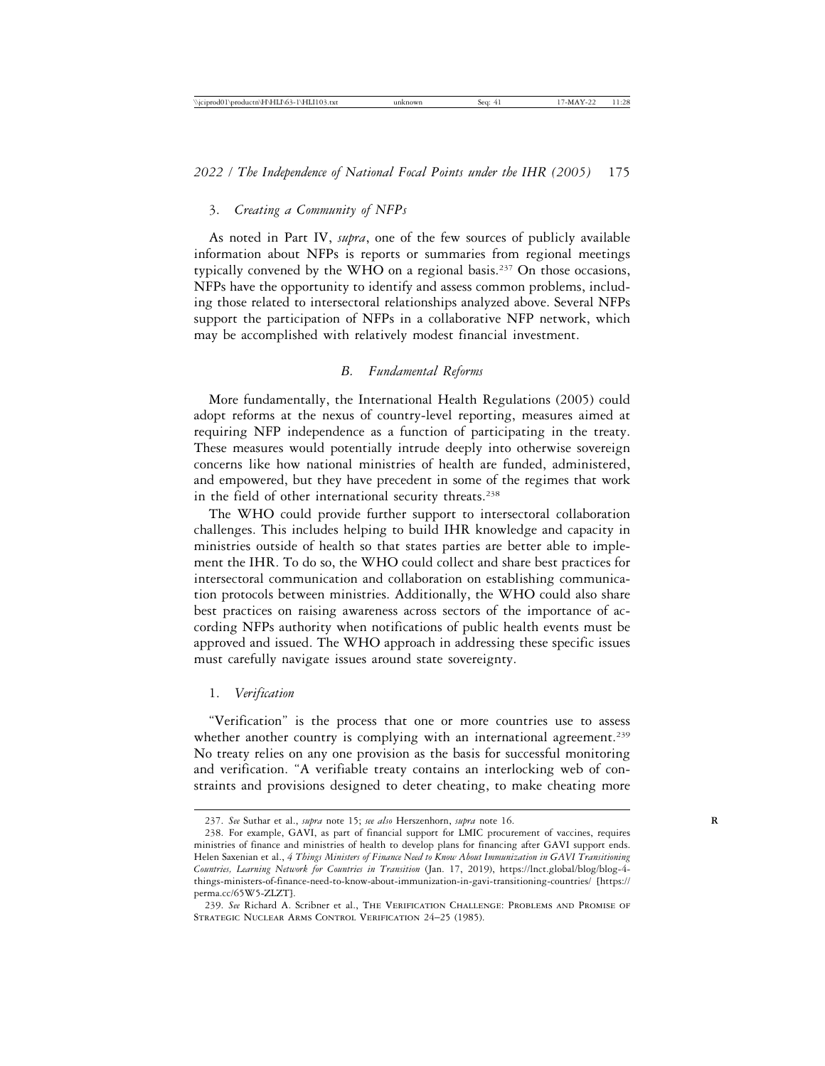# 3. *Creating a Community of NFPs*

As noted in Part IV, *supra*, one of the few sources of publicly available information about NFPs is reports or summaries from regional meetings typically convened by the WHO on a regional basis.237 On those occasions, NFPs have the opportunity to identify and assess common problems, including those related to intersectoral relationships analyzed above. Several NFPs support the participation of NFPs in a collaborative NFP network, which may be accomplished with relatively modest financial investment.

# *B. Fundamental Reforms*

More fundamentally, the International Health Regulations (2005) could adopt reforms at the nexus of country-level reporting, measures aimed at requiring NFP independence as a function of participating in the treaty. These measures would potentially intrude deeply into otherwise sovereign concerns like how national ministries of health are funded, administered, and empowered, but they have precedent in some of the regimes that work in the field of other international security threats.<sup>238</sup>

The WHO could provide further support to intersectoral collaboration challenges. This includes helping to build IHR knowledge and capacity in ministries outside of health so that states parties are better able to implement the IHR. To do so, the WHO could collect and share best practices for intersectoral communication and collaboration on establishing communication protocols between ministries. Additionally, the WHO could also share best practices on raising awareness across sectors of the importance of according NFPs authority when notifications of public health events must be approved and issued. The WHO approach in addressing these specific issues must carefully navigate issues around state sovereignty.

# 1. *Verification*

"Verification" is the process that one or more countries use to assess whether another country is complying with an international agreement.<sup>239</sup> No treaty relies on any one provision as the basis for successful monitoring and verification. "A verifiable treaty contains an interlocking web of constraints and provisions designed to deter cheating, to make cheating more

<sup>237.</sup> *See* Suthar et al., *supra* note 15; *see also* Herszenhorn, *supra* note 16. **R**

<sup>238.</sup> For example, GAVI, as part of financial support for LMIC procurement of vaccines, requires ministries of finance and ministries of health to develop plans for financing after GAVI support ends. Helen Saxenian et al., *4 Things Ministers of Finance Need to Know About Immunization in GAVI Transitioning Countries, Learning Network for Countries in Transition* (Jan. 17, 2019), https://lnct.global/blog/blog-4 things-ministers-of-finance-need-to-know-about-immunization-in-gavi-transitioning-countries/ [https:// perma.cc/65W5-ZLZT].

<sup>239.</sup> *See* Richard A. Scribner et al., The Verification Challenge: Problems and Promise of STRATEGIC NUCLEAR ARMS CONTROL VERIFICATION 24-25 (1985).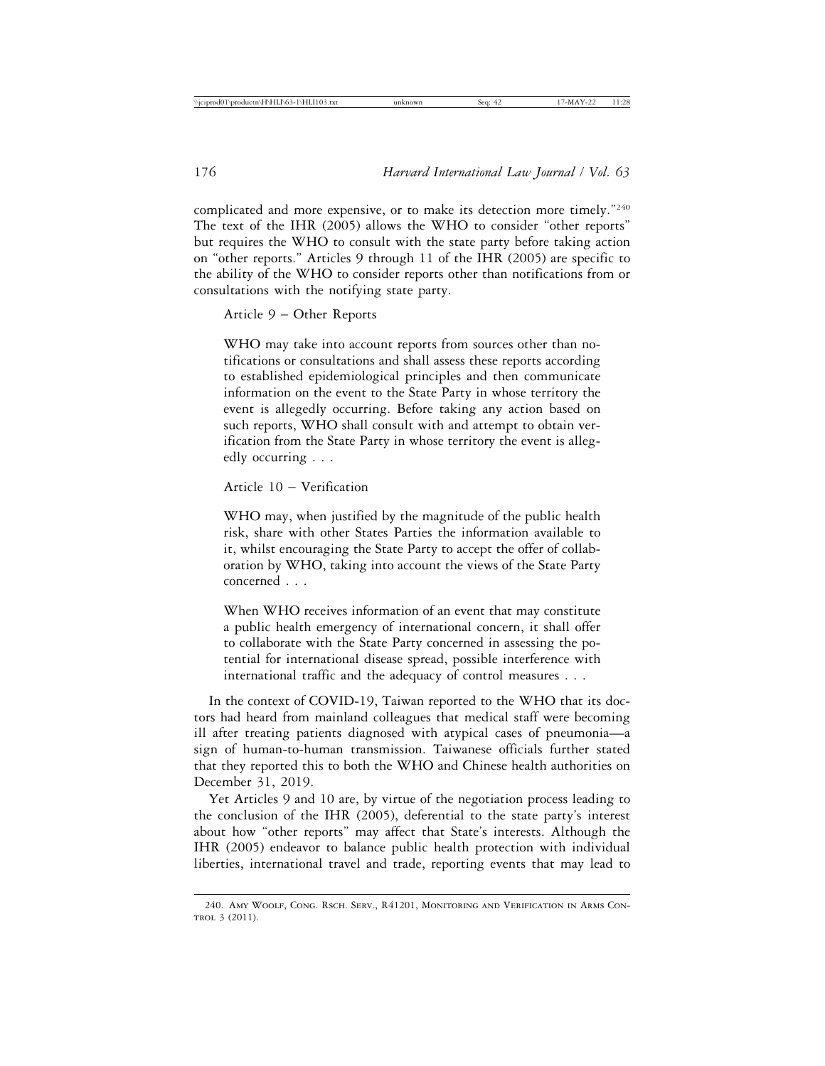complicated and more expensive, or to make its detection more timely."240 The text of the IHR (2005) allows the WHO to consider "other reports" but requires the WHO to consult with the state party before taking action on "other reports." Articles 9 through 11 of the IHR (2005) are specific to the ability of the WHO to consider reports other than notifications from or consultations with the notifying state party.

Article 9 – Other Reports

WHO may take into account reports from sources other than notifications or consultations and shall assess these reports according to established epidemiological principles and then communicate information on the event to the State Party in whose territory the event is allegedly occurring. Before taking any action based on such reports, WHO shall consult with and attempt to obtain verification from the State Party in whose territory the event is allegedly occurring . . .

Article 10 – Verification

WHO may, when justified by the magnitude of the public health risk, share with other States Parties the information available to it, whilst encouraging the State Party to accept the offer of collaboration by WHO, taking into account the views of the State Party concerned . . .

When WHO receives information of an event that may constitute a public health emergency of international concern, it shall offer to collaborate with the State Party concerned in assessing the potential for international disease spread, possible interference with international traffic and the adequacy of control measures . . .

In the context of COVID-19, Taiwan reported to the WHO that its doctors had heard from mainland colleagues that medical staff were becoming ill after treating patients diagnosed with atypical cases of pneumonia—a sign of human-to-human transmission. Taiwanese officials further stated that they reported this to both the WHO and Chinese health authorities on December 31, 2019.

Yet Articles 9 and 10 are, by virtue of the negotiation process leading to the conclusion of the IHR (2005), deferential to the state party's interest about how "other reports" may affect that State's interests. Although the IHR (2005) endeavor to balance public health protection with individual liberties, international travel and trade, reporting events that may lead to

<sup>240.</sup> Amy Woolf, Cong. Rsch. Serv., R41201, Monitoring and Verification in Arms Con-TROL 3 (2011).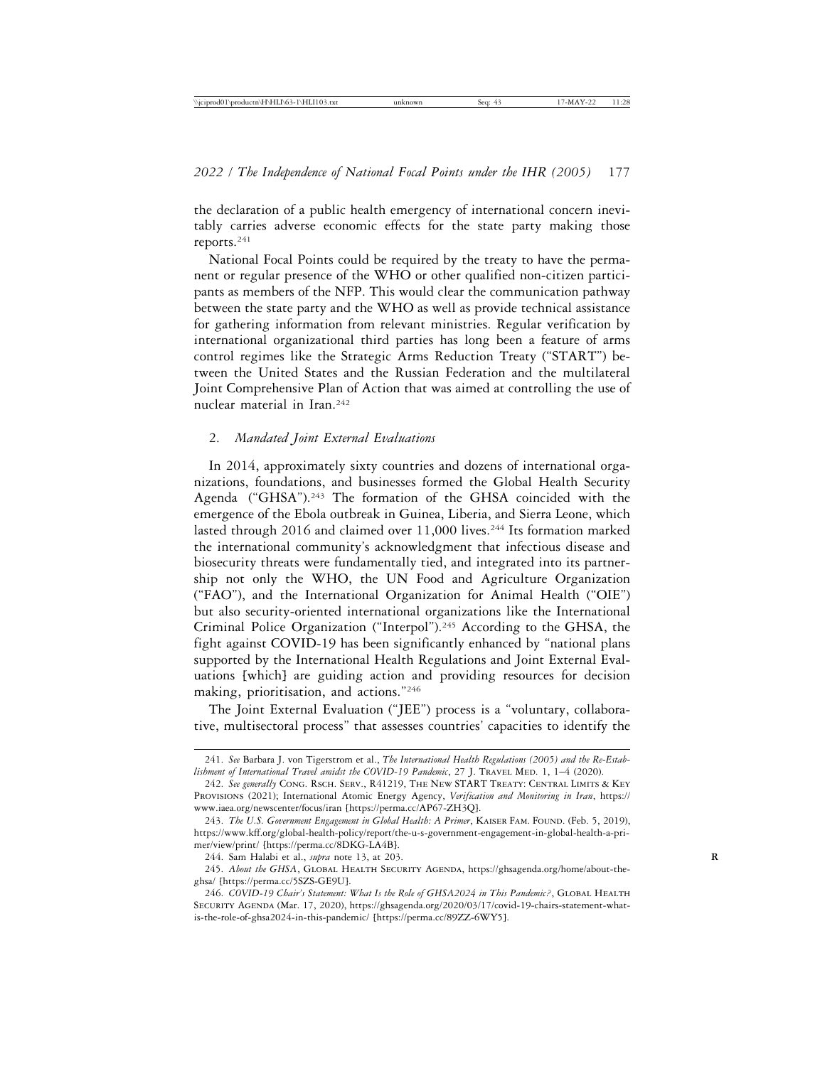the declaration of a public health emergency of international concern inevitably carries adverse economic effects for the state party making those reports.241

National Focal Points could be required by the treaty to have the permanent or regular presence of the WHO or other qualified non-citizen participants as members of the NFP. This would clear the communication pathway between the state party and the WHO as well as provide technical assistance for gathering information from relevant ministries. Regular verification by international organizational third parties has long been a feature of arms control regimes like the Strategic Arms Reduction Treaty ("START") between the United States and the Russian Federation and the multilateral Joint Comprehensive Plan of Action that was aimed at controlling the use of nuclear material in Iran.242

## 2. *Mandated Joint External Evaluations*

In 2014, approximately sixty countries and dozens of international organizations, foundations, and businesses formed the Global Health Security Agenda ("GHSA").<sup>243</sup> The formation of the GHSA coincided with the emergence of the Ebola outbreak in Guinea, Liberia, and Sierra Leone, which lasted through 2016 and claimed over 11,000 lives.<sup>244</sup> Its formation marked the international community's acknowledgment that infectious disease and biosecurity threats were fundamentally tied, and integrated into its partnership not only the WHO, the UN Food and Agriculture Organization ("FAO"), and the International Organization for Animal Health ("OIE") but also security-oriented international organizations like the International Criminal Police Organization ("Interpol").<sup>245</sup> According to the GHSA, the fight against COVID-19 has been significantly enhanced by "national plans supported by the International Health Regulations and Joint External Evaluations [which] are guiding action and providing resources for decision making, prioritisation, and actions."246

The Joint External Evaluation ("JEE") process is a "voluntary, collaborative, multisectoral process" that assesses countries' capacities to identify the

<sup>241.</sup> *See* Barbara J. von Tigerstrom et al., *The International Health Regulations (2005) and the Re-Estab*lishment of International Travel amidst the COVID-19 Pandemic, 27 J. TRAVEL MED. 1, 1-4 (2020).

<sup>242.</sup> *See generally* Cong. Rsch. Serv., R41219, The New START Treaty: Central Limits & Key Provisions (2021); International Atomic Energy Agency, *Verification and Monitoring in Iran*, https:// www.iaea.org/newscenter/focus/iran [https://perma.cc/AP67-ZH3Q].

<sup>243.</sup> The U.S. Government Engagement in Global Health: A Primer, KAISER FAM. FOUND. (Feb. 5, 2019), https://www.kff.org/global-health-policy/report/the-u-s-government-engagement-in-global-health-a-primer/view/print/ [https://perma.cc/8DKG-LA4B].

<sup>244.</sup> Sam Halabi et al., *supra* note 13, at 203. **R**

<sup>245.</sup> About the GHSA, GLOBAL HEALTH SECURITY AGENDA, https://ghsagenda.org/home/about-theghsa/ [https://perma.cc/5SZS-GE9U].

<sup>246.</sup> *COVID-19 Chair's Statement: What Is the Role of GHSA2024 in This Pandemic?*, GLOBAL HEALTH SECURITY AGENDA (Mar. 17, 2020), https://ghsagenda.org/2020/03/17/covid-19-chairs-statement-whatis-the-role-of-ghsa2024-in-this-pandemic/ [https://perma.cc/89ZZ-6WY5].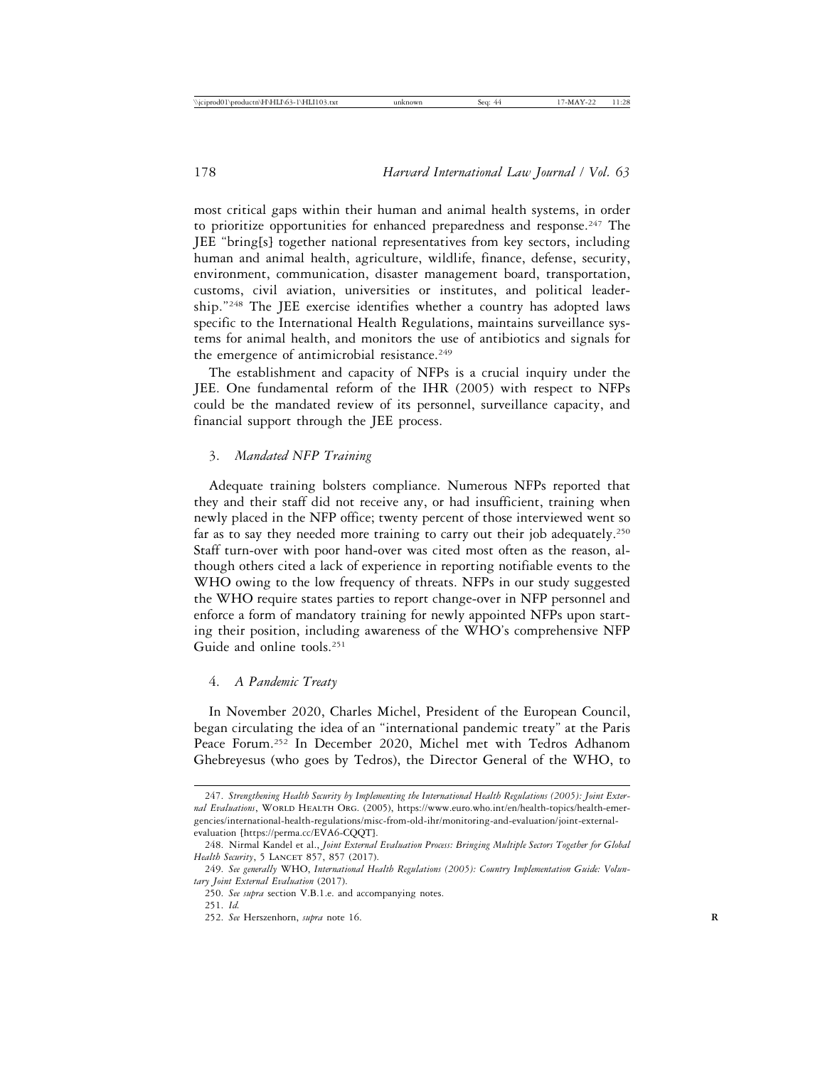most critical gaps within their human and animal health systems, in order to prioritize opportunities for enhanced preparedness and response.<sup>247</sup> The JEE "bring[s] together national representatives from key sectors, including human and animal health, agriculture, wildlife, finance, defense, security, environment, communication, disaster management board, transportation, customs, civil aviation, universities or institutes, and political leadership."248 The JEE exercise identifies whether a country has adopted laws specific to the International Health Regulations, maintains surveillance systems for animal health, and monitors the use of antibiotics and signals for the emergence of antimicrobial resistance.<sup>249</sup>

The establishment and capacity of NFPs is a crucial inquiry under the JEE. One fundamental reform of the IHR (2005) with respect to NFPs could be the mandated review of its personnel, surveillance capacity, and financial support through the JEE process.

# 3. *Mandated NFP Training*

Adequate training bolsters compliance. Numerous NFPs reported that they and their staff did not receive any, or had insufficient, training when newly placed in the NFP office; twenty percent of those interviewed went so far as to say they needed more training to carry out their job adequately.<sup>250</sup> Staff turn-over with poor hand-over was cited most often as the reason, although others cited a lack of experience in reporting notifiable events to the WHO owing to the low frequency of threats. NFPs in our study suggested the WHO require states parties to report change-over in NFP personnel and enforce a form of mandatory training for newly appointed NFPs upon starting their position, including awareness of the WHO's comprehensive NFP Guide and online tools.251

# 4. *A Pandemic Treaty*

In November 2020, Charles Michel, President of the European Council, began circulating the idea of an "international pandemic treaty" at the Paris Peace Forum.252 In December 2020, Michel met with Tedros Adhanom Ghebreyesus (who goes by Tedros), the Director General of the WHO, to

<sup>247.</sup> *Strengthening Health Security by Implementing the International Health Regulations (2005): Joint Exter*nal Evaluations, WORLD HEALTH ORG. (2005), https://www.euro.who.int/en/health-topics/health-emergencies/international-health-regulations/misc-from-old-ihr/monitoring-and-evaluation/joint-externalevaluation [https://perma.cc/EVA6-CQQT].

<sup>248.</sup> Nirmal Kandel et al., *Joint External Evaluation Process: Bringing Multiple Sectors Together for Global Health Security*, 5 LANCET 857, 857 (2017).

<sup>249.</sup> *See generally* WHO, *International Health Regulations (2005): Country Implementation Guide: Voluntary Joint External Evaluation* (2017).

<sup>250.</sup> *See supra* section V.B.1.e. and accompanying notes.

<sup>251.</sup> *Id.*

<sup>252.</sup> *See* Herszenhorn, *supra* note 16. **R**